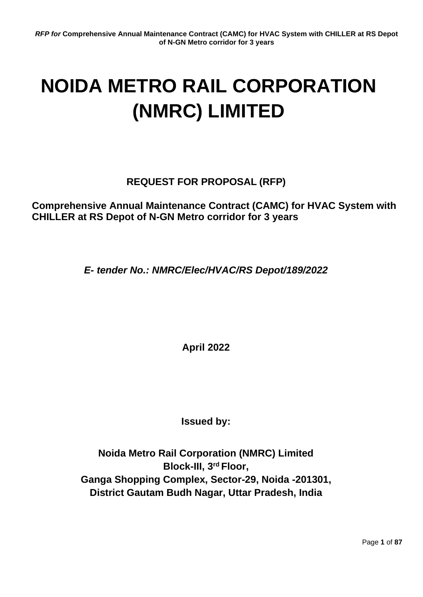# **NOIDA METRO RAIL CORPORATION (NMRC) LIMITED**

# **REQUEST FOR PROPOSAL (RFP)**

**Comprehensive Annual Maintenance Contract (CAMC) for HVAC System with CHILLER at RS Depot of N-GN Metro corridor for 3 years**

*E- tender No.: NMRC/Elec/HVAC/RS Depot/189/2022*

**April 2022**

**Issued by:**

**Noida Metro Rail Corporation (NMRC) Limited Block-III, 3rd Floor, Ganga Shopping Complex, Sector-29, Noida -201301, District Gautam Budh Nagar, Uttar Pradesh, India**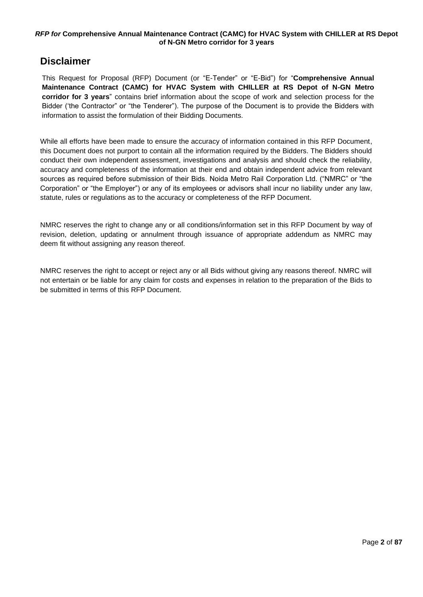# <span id="page-1-0"></span>**Disclaimer**

This Request for Proposal (RFP) Document (or "E-Tender" or "E-Bid") for "**Comprehensive Annual Maintenance Contract (CAMC) for HVAC System with CHILLER at RS Depot of N-GN Metro corridor for 3 years**" contains brief information about the scope of work and selection process for the Bidder ('the Contractor" or "the Tenderer"). The purpose of the Document is to provide the Bidders with information to assist the formulation of their Bidding Documents.

While all efforts have been made to ensure the accuracy of information contained in this RFP Document, this Document does not purport to contain all the information required by the Bidders. The Bidders should conduct their own independent assessment, investigations and analysis and should check the reliability, accuracy and completeness of the information at their end and obtain independent advice from relevant sources as required before submission of their Bids. Noida Metro Rail Corporation Ltd. ("NMRC" or "the Corporation" or "the Employer") or any of its employees or advisors shall incur no liability under any law, statute, rules or regulations as to the accuracy or completeness of the RFP Document.

NMRC reserves the right to change any or all conditions/information set in this RFP Document by way of revision, deletion, updating or annulment through issuance of appropriate addendum as NMRC may deem fit without assigning any reason thereof.

NMRC reserves the right to accept or reject any or all Bids without giving any reasons thereof. NMRC will not entertain or be liable for any claim for costs and expenses in relation to the preparation of the Bids to be submitted in terms of this RFP Document.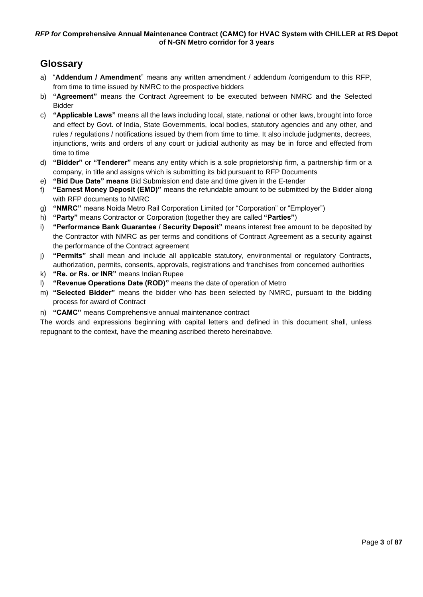# <span id="page-2-0"></span>**Glossary**

- a) "**Addendum / Amendment**" means any written amendment / addendum /corrigendum to this RFP, from time to time issued by NMRC to the prospective bidders
- b) **"Agreement"** means the Contract Agreement to be executed between NMRC and the Selected Bidder
- c) **"Applicable Laws"** means all the laws including local, state, national or other laws, brought into force and effect by Govt. of India, State Governments, local bodies, statutory agencies and any other, and rules / regulations / notifications issued by them from time to time. It also include judgments, decrees, injunctions, writs and orders of any court or judicial authority as may be in force and effected from time to time
- d) **"Bidder"** or **"Tenderer"** means any entity which is a sole proprietorship firm, a partnership firm or a company, in title and assigns which is submitting its bid pursuant to RFP Documents
- e) **"Bid Due Date" means** Bid Submission end date and time given in the E-tender
- f) **"Earnest Money Deposit (EMD)"** means the refundable amount to be submitted by the Bidder along with RFP documents to NMRC
- g) **"NMRC"** means Noida Metro Rail Corporation Limited (or "Corporation" or "Employer")
- h) **"Party"** means Contractor or Corporation (together they are called **"Parties"**)
- i) **"Performance Bank Guarantee / Security Deposit"** means interest free amount to be deposited by the Contractor with NMRC as per terms and conditions of Contract Agreement as a security against the performance of the Contract agreement
- j) **"Permits"** shall mean and include all applicable statutory, environmental or regulatory Contracts, authorization, permits, consents, approvals, registrations and franchises from concerned authorities
- k) **"Re. or Rs. or INR"** means Indian Rupee
- l) **"Revenue Operations Date (ROD)"** means the date of operation of Metro
- m) **"Selected Bidder"** means the bidder who has been selected by NMRC, pursuant to the bidding process for award of Contract
- n) **"CAMC"** means Comprehensive annual maintenance contract

The words and expressions beginning with capital letters and defined in this document shall, unless repugnant to the context, have the meaning ascribed thereto hereinabove.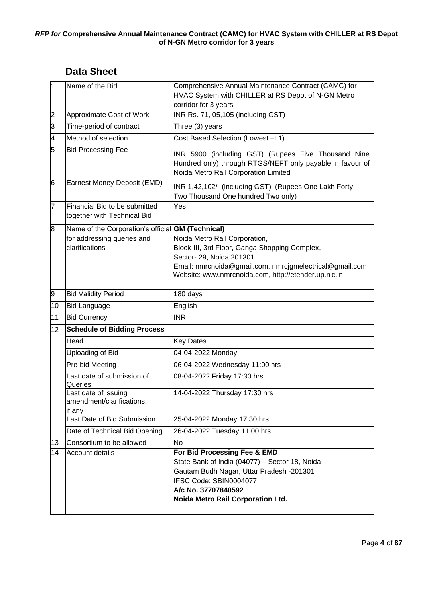<span id="page-3-0"></span>

| 1              | Name of the Bid                                                                                          | Comprehensive Annual Maintenance Contract (CAMC) for<br>HVAC System with CHILLER at RS Depot of N-GN Metro                                                                                                                    |  |
|----------------|----------------------------------------------------------------------------------------------------------|-------------------------------------------------------------------------------------------------------------------------------------------------------------------------------------------------------------------------------|--|
|                |                                                                                                          | corridor for 3 years                                                                                                                                                                                                          |  |
| $\overline{2}$ | Approximate Cost of Work                                                                                 | INR Rs. 71, 05,105 (including GST)                                                                                                                                                                                            |  |
| $\overline{3}$ | Time-period of contract                                                                                  | Three (3) years                                                                                                                                                                                                               |  |
| 4              | Method of selection                                                                                      | Cost Based Selection (Lowest -L1)                                                                                                                                                                                             |  |
| 5              | <b>Bid Processing Fee</b>                                                                                | INR 5900 (including GST) (Rupees Five Thousand Nine<br>Hundred only) through RTGS/NEFT only payable in favour of<br>Noida Metro Rail Corporation Limited                                                                      |  |
| 6              | Earnest Money Deposit (EMD)                                                                              | INR 1,42,102/-(including GST) (Rupees One Lakh Forty<br>Two Thousand One hundred Two only)                                                                                                                                    |  |
| 7              | Financial Bid to be submitted<br>together with Technical Bid                                             | Yes                                                                                                                                                                                                                           |  |
| 8              | Name of the Corporation's official <b>GM (Technical)</b><br>for addressing queries and<br>clarifications | Noida Metro Rail Corporation,<br>Block-III, 3rd Floor, Ganga Shopping Complex,<br>Sector- 29, Noida 201301<br>Email: nmrcnoida@gmail.com, nmrcjgmelectrical@gmail.com<br>Website: www.nmrcnoida.com, http://etender.up.nic.in |  |
| 9              | <b>Bid Validity Period</b>                                                                               | 180 days                                                                                                                                                                                                                      |  |
| 10             | <b>Bid Language</b>                                                                                      | English                                                                                                                                                                                                                       |  |
| 11             | <b>Bid Currency</b>                                                                                      | <b>INR</b>                                                                                                                                                                                                                    |  |
| 12             | <b>Schedule of Bidding Process</b>                                                                       |                                                                                                                                                                                                                               |  |
|                | Head                                                                                                     | <b>Key Dates</b>                                                                                                                                                                                                              |  |
|                | Uploading of Bid                                                                                         | 04-04-2022 Monday                                                                                                                                                                                                             |  |
|                | Pre-bid Meeting                                                                                          | 06-04-2022 Wednesday 11:00 hrs                                                                                                                                                                                                |  |
|                | Last date of submission of<br>Queries                                                                    | 08-04-2022 Friday 17:30 hrs                                                                                                                                                                                                   |  |
|                | Last date of issuing<br>amendment/clarifications,<br>lif any                                             | 14-04-2022 Thursday 17:30 hrs                                                                                                                                                                                                 |  |
|                | Last Date of Bid Submission                                                                              | 25-04-2022 Monday 17:30 hrs                                                                                                                                                                                                   |  |
|                | Date of Technical Bid Opening                                                                            | 26-04-2022 Tuesday 11:00 hrs                                                                                                                                                                                                  |  |
| 13             | Consortium to be allowed                                                                                 | <b>No</b>                                                                                                                                                                                                                     |  |
| 14             | Account details                                                                                          | For Bid Processing Fee & EMD<br>State Bank of India (04077) - Sector 18, Noida<br>Gautam Budh Nagar, Uttar Pradesh -201301<br>IFSC Code: SBIN0004077<br>A/c No. 37707840592<br>Noida Metro Rail Corporation Ltd.              |  |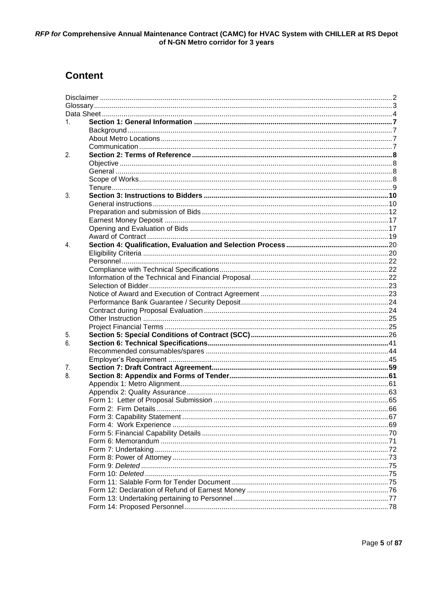# **Content**

| 1. |  |
|----|--|
|    |  |
|    |  |
|    |  |
| 2. |  |
|    |  |
|    |  |
|    |  |
|    |  |
| 3. |  |
|    |  |
|    |  |
|    |  |
|    |  |
|    |  |
| 4  |  |
|    |  |
|    |  |
|    |  |
|    |  |
|    |  |
|    |  |
|    |  |
|    |  |
|    |  |
|    |  |
| 5. |  |
| 6. |  |
|    |  |
|    |  |
| 7. |  |
| 8. |  |
|    |  |
|    |  |
|    |  |
|    |  |
|    |  |
|    |  |
|    |  |
|    |  |
|    |  |
|    |  |
|    |  |
|    |  |
|    |  |
|    |  |
|    |  |
|    |  |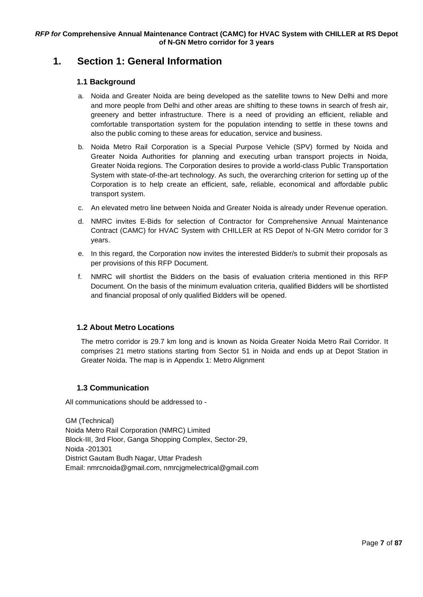# <span id="page-6-1"></span><span id="page-6-0"></span>**1. Section 1: General Information**

# **1.1 Background**

- a. Noida and Greater Noida are being developed as the satellite towns to New Delhi and more and more people from Delhi and other areas are shifting to these towns in search of fresh air, greenery and better infrastructure. There is a need of providing an efficient, reliable and comfortable transportation system for the population intending to settle in these towns and also the public coming to these areas for education, service and business.
- b. Noida Metro Rail Corporation is a Special Purpose Vehicle (SPV) formed by Noida and Greater Noida Authorities for planning and executing urban transport projects in Noida, Greater Noida regions. The Corporation desires to provide a world-class Public Transportation System with state-of-the-art technology. As such, the overarching criterion for setting up of the Corporation is to help create an efficient, safe, reliable, economical and affordable public transport system.
- c. An elevated metro line between Noida and Greater Noida is already under Revenue operation.
- d. NMRC invites E-Bids for selection of Contractor for Comprehensive Annual Maintenance Contract (CAMC) for HVAC System with CHILLER at RS Depot of N-GN Metro corridor for 3 years.
- e. In this regard, the Corporation now invites the interested Bidder/s to submit their proposals as per provisions of this RFP Document.
- f. NMRC will shortlist the Bidders on the basis of evaluation criteria mentioned in this RFP Document. On the basis of the minimum evaluation criteria, qualified Bidders will be shortlisted and financial proposal of only qualified Bidders will be opened.

# <span id="page-6-2"></span>**1.2 About Metro Locations**

The metro corridor is 29.7 km long and is known as Noida Greater Noida Metro Rail Corridor. It comprises 21 metro stations starting from Sector 51 in Noida and ends up at Depot Station in Greater Noida. The map is in [Appendix 1: Metro](#page-60-1) Alignment

# **1.3 Communication**

<span id="page-6-3"></span>All communications should be addressed to -

GM (Technical) Noida Metro Rail Corporation (NMRC) Limited Block-III, 3rd Floor, Ganga Shopping Complex, Sector-29, Noida -201301 District Gautam Budh Nagar, Uttar Pradesh Email: [nmrcnoida@gmail.com,](mailto:nmrcnoida@gmail.com,) nmrcjgmelectrical@gmail.com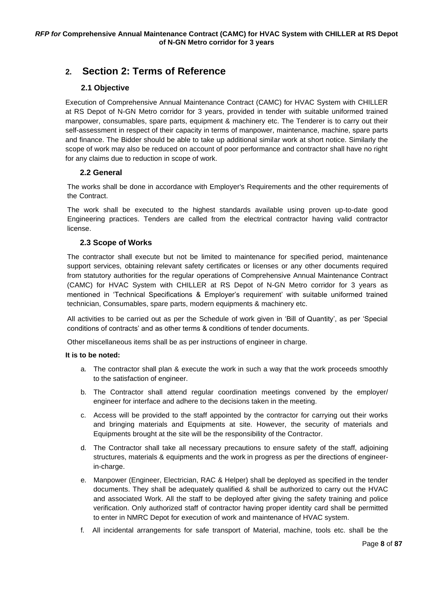# <span id="page-7-0"></span>**2. Section 2: Terms of Reference**

# **2.1 Objective**

<span id="page-7-2"></span><span id="page-7-1"></span>Execution of Comprehensive Annual Maintenance Contract (CAMC) for HVAC System with CHILLER at RS Depot of N-GN Metro corridor for 3 years, provided in tender with suitable uniformed trained manpower, consumables, spare parts, equipment & machinery etc. The Tenderer is to carry out their self-assessment in respect of their capacity in terms of manpower, maintenance, machine, spare parts and finance. The Bidder should be able to take up additional similar work at short notice. Similarly the scope of work may also be reduced on account of poor performance and contractor shall have no right for any claims due to reduction in scope of work.

# **2.2 General**

The works shall be done in accordance with Employer's Requirements and the other requirements of the Contract.

The work shall be executed to the highest standards available using proven up-to-date good Engineering practices. Tenders are called from the electrical contractor having valid contractor license.

# **2.3 Scope of Works**

<span id="page-7-3"></span>The contractor shall execute but not be limited to maintenance for specified period, maintenance support services, obtaining relevant safety certificates or licenses or any other documents required from statutory authorities for the regular operations of Comprehensive Annual Maintenance Contract (CAMC) for HVAC System with CHILLER at RS Depot of N-GN Metro corridor for 3 years as mentioned in 'Technical Specifications & Employer's requirement' with suitable uniformed trained technician, Consumables, spare parts, modern equipments & machinery etc.

All activities to be carried out as per the Schedule of work given in 'Bill of Quantity', as per 'Special conditions of contracts' and as other terms & conditions of tender documents.

Other miscellaneous items shall be as per instructions of engineer in charge.

# **It is to be noted:**

- a. The contractor shall plan & execute the work in such a way that the work proceeds smoothly to the satisfaction of engineer.
- b. The Contractor shall attend regular coordination meetings convened by the employer/ engineer for interface and adhere to the decisions taken in the meeting.
- c. Access will be provided to the staff appointed by the contractor for carrying out their works and bringing materials and Equipments at site. However, the security of materials and Equipments brought at the site will be the responsibility of the Contractor.
- d. The Contractor shall take all necessary precautions to ensure safety of the staff, adjoining structures, materials & equipments and the work in progress as per the directions of engineerin-charge.
- e. Manpower (Engineer, Electrician, RAC & Helper) shall be deployed as specified in the tender documents. They shall be adequately qualified & shall be authorized to carry out the HVAC and associated Work. All the staff to be deployed after giving the safety training and police verification. Only authorized staff of contractor having proper identity card shall be permitted to enter in NMRC Depot for execution of work and maintenance of HVAC system.
- f. All incidental arrangements for safe transport of Material, machine, tools etc. shall be the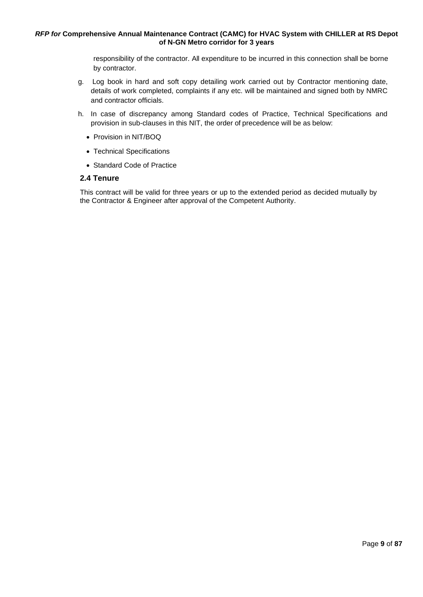responsibility of the contractor. All expenditure to be incurred in this connection shall be borne by contractor.

- g. Log book in hard and soft copy detailing work carried out by Contractor mentioning date, details of work completed, complaints if any etc. will be maintained and signed both by NMRC and contractor officials.
- h. In case of discrepancy among Standard codes of Practice, Technical Specifications and provision in sub-clauses in this NIT, the order of precedence will be as below:
	- Provision in NIT/BOQ
	- Technical Specifications
	- Standard Code of Practice

#### <span id="page-8-0"></span>**2.4 Tenure**

This contract will be valid for three years or up to the extended period as decided mutually by the Contractor & Engineer after approval of the Competent Authority.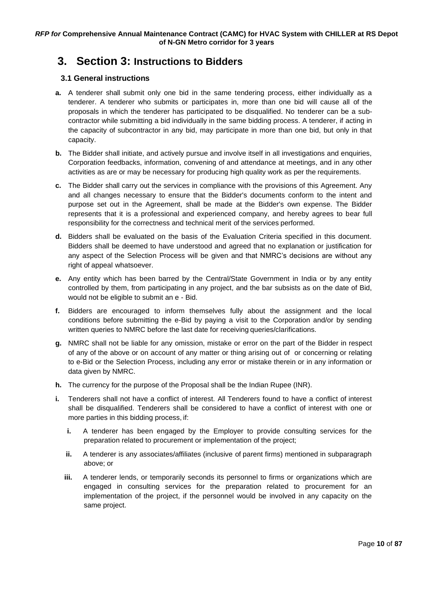# <span id="page-9-1"></span><span id="page-9-0"></span>**3. Section 3: Instructions to Bidders**

# **3.1 General instructions**

- **a.** A tenderer shall submit only one bid in the same tendering process, either individually as a tenderer. A tenderer who submits or participates in, more than one bid will cause all of the proposals in which the tenderer has participated to be disqualified. No tenderer can be a subcontractor while submitting a bid individually in the same bidding process. A tenderer, if acting in the capacity of subcontractor in any bid, may participate in more than one bid, but only in that capacity.
- **b.** The Bidder shall initiate, and actively pursue and involve itself in all investigations and enquiries, Corporation feedbacks, information, convening of and attendance at meetings, and in any other activities as are or may be necessary for producing high quality work as per the requirements.
- **c.** The Bidder shall carry out the services in compliance with the provisions of this Agreement. Any and all changes necessary to ensure that the Bidder's documents conform to the intent and purpose set out in the Agreement, shall be made at the Bidder's own expense. The Bidder represents that it is a professional and experienced company, and hereby agrees to bear full responsibility for the correctness and technical merit of the services performed.
- **d.** Bidders shall be evaluated on the basis of the Evaluation Criteria specified in this document. Bidders shall be deemed to have understood and agreed that no explanation or justification for any aspect of the Selection Process will be given and that NMRC's decisions are without any right of appeal whatsoever.
- **e.** Any entity which has been barred by the Central/State Government in India or by any entity controlled by them, from participating in any project, and the bar subsists as on the date of Bid, would not be eligible to submit an e - Bid.
- **f.** Bidders are encouraged to inform themselves fully about the assignment and the local conditions before submitting the e-Bid by paying a visit to the Corporation and/or by sending written queries to NMRC before the last date for receiving queries/clarifications.
- **g.** NMRC shall not be liable for any omission, mistake or error on the part of the Bidder in respect of any of the above or on account of any matter or thing arising out of or concerning or relating to e-Bid or the Selection Process, including any error or mistake therein or in any information or data given by NMRC.
- **h.** The currency for the purpose of the Proposal shall be the Indian Rupee (INR).
- **i.** Tenderers shall not have a conflict of interest. All Tenderers found to have a conflict of interest shall be disqualified. Tenderers shall be considered to have a conflict of interest with one or more parties in this bidding process, if:
	- **i.** A tenderer has been engaged by the Employer to provide consulting services for the preparation related to procurement or implementation of the project;
	- **ii.** A tenderer is any associates/affiliates (inclusive of parent firms) mentioned in subparagraph above; or
	- **iii.** A tenderer lends, or temporarily seconds its personnel to firms or organizations which are engaged in consulting services for the preparation related to procurement for an implementation of the project, if the personnel would be involved in any capacity on the same project.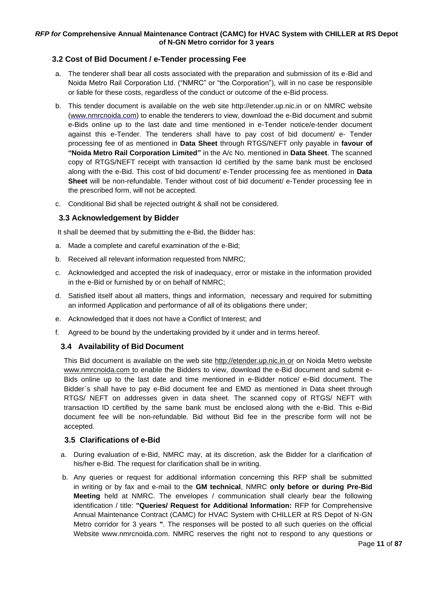# **3.2 Cost of Bid Document / e-Tender processing Fee**

- a. The tenderer shall bear all costs associated with the preparation and submission of its e-Bid and Noida Metro Rail Corporation Ltd. ("NMRC" or "the Corporation"), will in no case be responsible or liable for these costs, regardless of the conduct or outcome of the e-Bid process.
- b. This tender document is available on the web site [http://etender.up.nic.in](http://etender.up.nic.in/) or on NMRC website [\(www.nmrcnoida.com\)](http://www.nmrcnoida.com/) to enable the tenderers to view, download the e-Bid document and submit e-Bids online up to the last date and time mentioned in e-Tender notice/e-tender document against this e-Tender. The tenderers shall have to pay cost of bid document/ e- Tender processing fee of as mentioned in **Data Sheet** through RTGS/NEFT only payable in **favour of "Noida Metro Rail Corporation Limited"** in the A/c No. mentioned in **Data Sheet**. The scanned copy of RTGS/NEFT receipt with transaction Id certified by the same bank must be enclosed along with the e-Bid. This cost of bid document/ e-Tender processing fee as mentioned in **Data Sheet** will be non-refundable. Tender without cost of bid document/ e-Tender processing fee in the prescribed form, will not be accepted.
- c. Conditional Bid shall be rejected outright & shall not be considered.

# **3.3 Acknowledgement by Bidder**

It shall be deemed that by submitting the e-Bid, the Bidder has:

- a. Made a complete and careful examination of the e-Bid;
- b. Received all relevant information requested from NMRC;
- c. Acknowledged and accepted the risk of inadequacy, error or mistake in the information provided in the e-Bid or furnished by or on behalf of NMRC;
- d. Satisfied itself about all matters, things and information, necessary and required for submitting an informed Application and performance of all of its obligations there under;
- e. Acknowledged that it does not have a Conflict of Interest; and
- f. Agreed to be bound by the undertaking provided by it under and in terms hereof.

# **3.4 Availability of Bid Document**

This Bid document is available on the web site http://etender.up.nic.in or on Noida Metro website www.nmrcnoida.com to enable the Bidders to view, download the e-Bid document and submit e-Bids online up to the last date and time mentioned in e-Bidder notice/ e-Bid document. The Bidder`s shall have to pay e-Bid document fee and EMD as mentioned in Data sheet through RTGS/ NEFT on addresses given in data sheet. The scanned copy of RTGS/ NEFT with transaction ID certified by the same bank must be enclosed along with the e-Bid. This e-Bid document fee will be non-refundable. Bid without Bid fee in the prescribe form will not be accepted.

# **3.5 Clarifications of e-Bid**

- a. During evaluation of e-Bid, NMRC may, at its discretion, ask the Bidder for a clarification of his/her e-Bid. The request for clarification shall be in writing.
- b. Any queries or request for additional information concerning this RFP shall be submitted in writing or by fax and e-mail to the **GM technical**, NMRC **only before or during Pre-Bid Meeting** held at NMRC. The envelopes / communication shall clearly bear the following identification / title: **"Queries/ Request for Additional Information:** RFP for Comprehensive Annual Maintenance Contract (CAMC) for HVAC System with CHILLER at RS Depot of N-GN Metro corridor for 3 years **"**. The responses will be posted to all such queries on the official Website [www.nmrcnoida.com.](http://www.nmrcnoida.com/) NMRC reserves the right not to respond to any questions or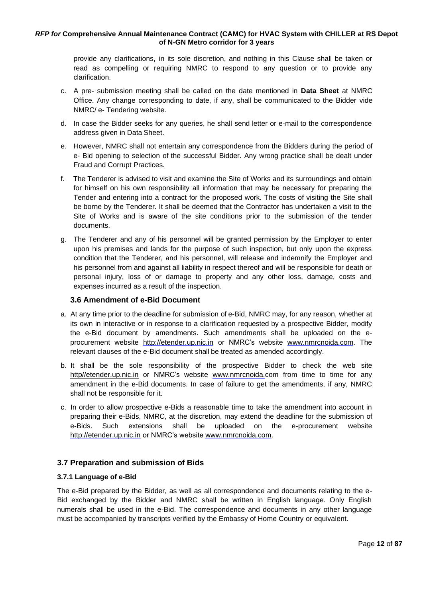provide any clarifications, in its sole discretion, and nothing in this Clause shall be taken or read as compelling or requiring NMRC to respond to any question or to provide any clarification.

- c. A pre- submission meeting shall be called on the date mentioned in **Data Sheet** at NMRC Office. Any change corresponding to date, if any, shall be communicated to the Bidder vide NMRC/ e- Tendering website.
- d. In case the Bidder seeks for any queries, he shall send letter or e-mail to the correspondence address given in Data Sheet.
- e. However, NMRC shall not entertain any correspondence from the Bidders during the period of e- Bid opening to selection of the successful Bidder. Any wrong practice shall be dealt under Fraud and Corrupt Practices.
- f. The Tenderer is advised to visit and examine the Site of Works and its surroundings and obtain for himself on his own responsibility all information that may be necessary for preparing the Tender and entering into a contract for the proposed work. The costs of visiting the Site shall be borne by the Tenderer. It shall be deemed that the Contractor has undertaken a visit to the Site of Works and is aware of the site conditions prior to the submission of the tender documents.
- g. The Tenderer and any of his personnel will be granted permission by the Employer to enter upon his premises and lands for the purpose of such inspection, but only upon the express condition that the Tenderer, and his personnel, will release and indemnify the Employer and his personnel from and against all liability in respect thereof and will be responsible for death or personal injury, loss of or damage to property and any other loss, damage, costs and expenses incurred as a result of the inspection.

# **3.6 Amendment of e-Bid Document**

- a. At any time prior to the deadline for submission of e-Bid, NMRC may, for any reason, whether at its own in interactive or in response to a clarification requested by a prospective Bidder, modify the e-Bid document by amendments. Such amendments shall be uploaded on the eprocurement website [http://etender.up.nic.in](http://etender.up.nic.in/) or NMRC's website [www.nmrcnoida.com.](http://www.nmrcnoida.com/) The relevant clauses of the e-Bid document shall be treated as amended accordingly.
- b. It shall be the sole responsibility of the prospective Bidder to check the web site http//etender.up.nic.in or NMRC's website [www.nmrcnoida.com](http://www.nmrcnoida.com/) from time to time for any amendment in the e-Bid documents. In case of failure to get the amendments, if any, NMRC shall not be responsible for it.
- c. In order to allow prospective e-Bids a reasonable time to take the amendment into account in preparing their e-Bids, NMRC, at the discretion, may extend the deadline for the submission of e-Bids. Such extensions shall be uploaded on the e-procurement websit[e](http://etender.up.nic.in/) [http://etender.up.nic.in](http://etender.up.nic.in/) or NMRC's website [www.nmrcnoida.com.](http://www.nmrcnoida.com/)

# <span id="page-11-0"></span>**3.7 Preparation and submission of Bids**

# **3.7.1 Language of e-Bid**

The e-Bid prepared by the Bidder, as well as all correspondence and documents relating to the e-Bid exchanged by the Bidder and NMRC shall be written in English language. Only English numerals shall be used in the e-Bid. The correspondence and documents in any other language must be accompanied by transcripts verified by the Embassy of Home Country or equivalent.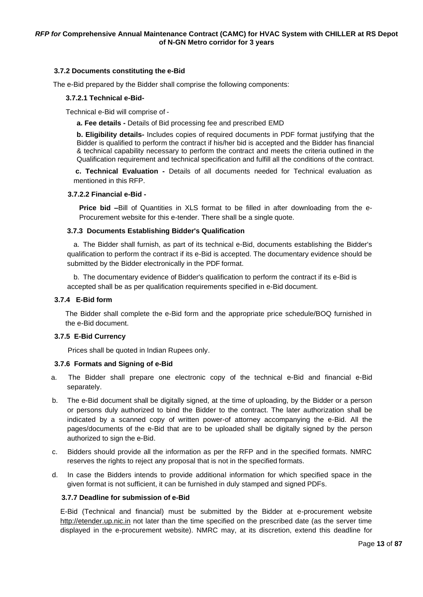#### **3.7.2 Documents constituting the e-Bid**

The e-Bid prepared by the Bidder shall comprise the following components:

#### **3.7.2.1 Technical e-Bid-**

Technical e-Bid will comprise of -

**a. Fee details -** Details of Bid processing fee and prescribed EMD

**b. Eligibility details-** Includes copies of required documents in PDF format justifying that the Bidder is qualified to perform the contract if his/her bid is accepted and the Bidder has financial & technical capability necessary to perform the contract and meets the criteria outlined in the Qualification requirement and technical specification and fulfill all the conditions of the contract.

**c. Technical Evaluation -** Details of all documents needed for Technical evaluation as mentioned in this RFP.

#### **3.7.2.2 Financial e-Bid -**

**Price bid –**Bill of Quantities in XLS format to be filled in after downloading from the e-Procurement website for this e-tender. There shall be a single quote.

#### **3.7.3 Documents Establishing Bidder's Qualification**

a. The Bidder shall furnish, as part of its technical e-Bid, documents establishing the Bidder's qualification to perform the contract if its e-Bid is accepted. The documentary evidence should be submitted by the Bidder electronically in the PDF format.

b. The documentary evidence of Bidder's qualification to perform the contract if its e-Bid is accepted shall be as per qualification requirements specified in e-Bid document.

#### **3.7.4 E-Bid form**

The Bidder shall complete the e-Bid form and the appropriate price schedule/BOQ furnished in the e-Bid document.

#### **3.7.5 E-Bid Currency**

Prices shall be quoted in Indian Rupees only.

#### **3.7.6 Formats and Signing of e-Bid**

- a. The Bidder shall prepare one electronic copy of the technical e-Bid and financial e-Bid separately.
- b. The e-Bid document shall be digitally signed, at the time of uploading, by the Bidder or a person or persons duly authorized to bind the Bidder to the contract. The later authorization shall be indicated by a scanned copy of written power-of attorney accompanying the e-Bid. All the pages/documents of the e-Bid that are to be uploaded shall be digitally signed by the person authorized to sign the e-Bid.
- c. Bidders should provide all the information as per the RFP and in the specified formats. NMRC reserves the rights to reject any proposal that is not in the specified formats.
- d. In case the Bidders intends to provide additional information for which specified space in the given format is not sufficient, it can be furnished in duly stamped and signed PDFs.

#### **3.7.7 Deadline for submission of e-Bid**

E-Bid (Technical and financial) must be submitted by the Bidder at e-procurement websit[e](http://etender.up.nic.in/) [http://etender.up.nic.in](http://etender.up.nic.in/) not later than the time specified on the prescribed date (as the server time displayed in the e-procurement website). NMRC may, at its discretion, extend this deadline for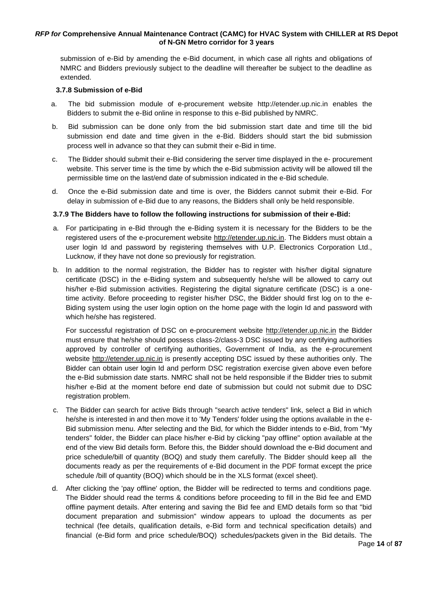submission of e-Bid by amending the e-Bid document, in which case all rights and obligations of NMRC and Bidders previously subject to the deadline will thereafter be subject to the deadline as extended.

#### **3.7.8 Submission of e-Bid**

- a. The bid submission module of e-procurement website [http://etender.up.nic.in](http://etender.up.nic.in/) enables the Bidders to submit the e-Bid online in response to this e-Bid published by NMRC.
- b. Bid submission can be done only from the bid submission start date and time till the bid submission end date and time given in the e-Bid. Bidders should start the bid submission process well in advance so that they can submit their e-Bid in time.
- c. The Bidder should submit their e-Bid considering the server time displayed in the e- procurement website. This server time is the time by which the e-Bid submission activity will be allowed till the permissible time on the last/end date of submission indicated in the e-Bid schedule.
- d. Once the e-Bid submission date and time is over, the Bidders cannot submit their e-Bid. For delay in submission of e-Bid due to any reasons, the Bidders shall only be held responsible.

# **3.7.9 The Bidders have to follow the following instructions for submission of their e-Bid:**

- a. For participating in e-Bid through the e-Biding system it is necessary for the Bidders to be the registered users of the e-procurement website [http://etender.up.nic.in. T](http://etender.up.nic.in/)he Bidders must obtain a user login Id and password by registering themselves with U.P. Electronics Corporation Ltd., Lucknow, if they have not done so previously for registration.
- b. In addition to the normal registration, the Bidder has to register with his/her digital signature certificate (DSC) in the e-Biding system and subsequently he/she will be allowed to carry out his/her e-Bid submission activities. Registering the digital signature certificate (DSC) is a onetime activity. Before proceeding to register his/her DSC, the Bidder should first log on to the e-Biding system using the user login option on the home page with the login Id and password with which he/she has registered.

For successful registration of DSC on e-procurement website [http://etender.up.nic.in](http://etender.up.nic.in/) the Bidder must ensure that he/she should possess class-2/class-3 DSC issued by any certifying authorities approved by controller of certifying authorities, Government of India, as the e-procurement website [http://etender.up.nic.in](http://etender.up.nic.in/) is presently accepting DSC issued by these authorities only. The Bidder can obtain user login Id and perform DSC registration exercise given above even before the e-Bid submission date starts. NMRC shall not be held responsible if the Bidder tries to submit his/her e-Bid at the moment before end date of submission but could not submit due to DSC registration problem.

- c. The Bidder can search for active Bids through "search active tenders" link, select a Bid in which he/she is interested in and then move it to 'My Tenders' folder using the options available in the e-Bid submission menu. After selecting and the Bid, for which the Bidder intends to e-Bid, from "My tenders" folder, the Bidder can place his/her e-Bid by clicking "pay offline" option available at the end of the view Bid details form. Before this, the Bidder should download the e-Bid document and price schedule/bill of quantity (BOQ) and study them carefully. The Bidder should keep all the documents ready as per the requirements of e-Bid document in the PDF format except the price schedule /bill of quantity (BOQ) which should be in the XLS format (excel sheet).
- d. After clicking the 'pay offline' option, the Bidder will be redirected to terms and conditions page. The Bidder should read the terms & conditions before proceeding to fill in the Bid fee and EMD offline payment details. After entering and saving the Bid fee and EMD details form so that "bid document preparation and submission" window appears to upload the documents as per technical (fee details, qualification details, e-Bid form and technical specification details) and financial (e-Bid form and price schedule/BOQ) schedules/packets given in the Bid details. The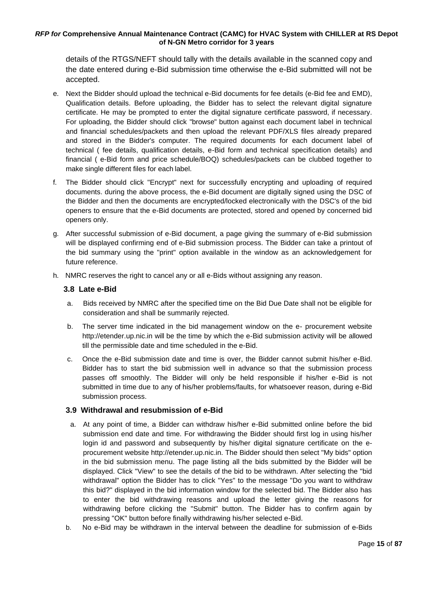details of the RTGS/NEFT should tally with the details available in the scanned copy and the date entered during e-Bid submission time otherwise the e-Bid submitted will not be accepted.

- e. Next the Bidder should upload the technical e-Bid documents for fee details (e-Bid fee and EMD), Qualification details. Before uploading, the Bidder has to select the relevant digital signature certificate. He may be prompted to enter the digital signature certificate password, if necessary. For uploading, the Bidder should click "browse" button against each document label in technical and financial schedules/packets and then upload the relevant PDF/XLS files already prepared and stored in the Bidder's computer. The required documents for each document label of technical ( fee details, qualification details, e-Bid form and technical specification details) and financial ( e-Bid form and price schedule/BOQ) schedules/packets can be clubbed together to make single different files for each label.
- f. The Bidder should click "Encrypt" next for successfully encrypting and uploading of required documents. during the above process, the e-Bid document are digitally signed using the DSC of the Bidder and then the documents are encrypted/locked electronically with the DSC's of the bid openers to ensure that the e-Bid documents are protected, stored and opened by concerned bid openers only.
- g. After successful submission of e-Bid document, a page giving the summary of e-Bid submission will be displayed confirming end of e-Bid submission process. The Bidder can take a printout of the bid summary using the "print" option available in the window as an acknowledgement for future reference.
- h. NMRC reserves the right to cancel any or all e-Bids without assigning any reason.

# **3.8 Late e-Bid**

- a. Bids received by NMRC after the specified time on the Bid Due Date shall not be eligible for consideration and shall be summarily rejected.
- b. The server time indicated in the bid management window on the e- procurement websit[e](http://etender.up.nic.in/) [http://etender.up.nic.in w](http://etender.up.nic.in/)ill be the time by which the e-Bid submission activity will be allowed till the permissible date and time scheduled in the e-Bid.
- c. Once the e-Bid submission date and time is over, the Bidder cannot submit his/her e-Bid. Bidder has to start the bid submission well in advance so that the submission process passes off smoothly. The Bidder will only be held responsible if his/her e-Bid is not submitted in time due to any of his/her problems/faults, for whatsoever reason, during e-Bid submission process.

# **3.9 Withdrawal and resubmission of e-Bid**

- a. At any point of time, a Bidder can withdraw his/her e-Bid submitted online before the bid submission end date and time. For withdrawing the Bidder should first log in using his/her login id and password and subsequently by his/her digital signature certificate on the eprocurement website [http://etender.up.nic.in.](http://etender.up.nic.in/) The Bidder should then select "My bids" option in the bid submission menu. The page listing all the bids submitted by the Bidder will be displayed. Click "View" to see the details of the bid to be withdrawn. After selecting the "bid withdrawal" option the Bidder has to click "Yes" to the message "Do you want to withdraw this bid?" displayed in the bid information window for the selected bid. The Bidder also has to enter the bid withdrawing reasons and upload the letter giving the reasons for withdrawing before clicking the "Submit" button. The Bidder has to confirm again by pressing "OK" button before finally withdrawing his/her selected e-Bid.
- b. No e-Bid may be withdrawn in the interval between the deadline for submission of e-Bids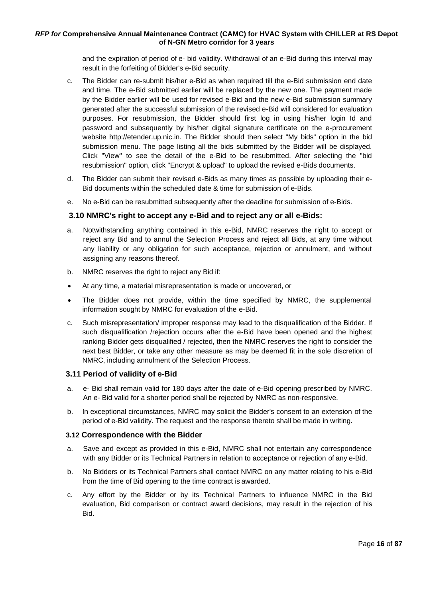and the expiration of period of e- bid validity. Withdrawal of an e-Bid during this interval may result in the forfeiting of Bidder's e-Bid security.

- c. The Bidder can re-submit his/her e-Bid as when required till the e-Bid submission end date and time. The e-Bid submitted earlier will be replaced by the new one. The payment made by the Bidder earlier will be used for revised e-Bid and the new e-Bid submission summary generated after the successful submission of the revised e-Bid will considered for evaluation purposes. For resubmission, the Bidder should first log in using his/her login Id and password and subsequently by his/her digital signature certificate on the e-procurement website [http://etender.up.nic.in. T](http://etender.up.nic.in/)he Bidder should then select "My bids" option in the bid submission menu. The page listing all the bids submitted by the Bidder will be displayed. Click "View" to see the detail of the e-Bid to be resubmitted. After selecting the "bid resubmission" option, click "Encrypt & upload" to upload the revised e-Bids documents.
- d. The Bidder can submit their revised e-Bids as many times as possible by uploading their e-Bid documents within the scheduled date & time for submission of e-Bids.
- e. No e-Bid can be resubmitted subsequently after the deadline for submission of e-Bids.

# **3.10 NMRC's right to accept any e-Bid and to reject any or all e-Bids:**

- a. Notwithstanding anything contained in this e-Bid, NMRC reserves the right to accept or reject any Bid and to annul the Selection Process and reject all Bids, at any time without any liability or any obligation for such acceptance, rejection or annulment, and without assigning any reasons thereof.
- b. NMRC reserves the right to reject any Bid if:
- At any time, a material misrepresentation is made or uncovered, or
- The Bidder does not provide, within the time specified by NMRC, the supplemental information sought by NMRC for evaluation of the e-Bid.
- c. Such misrepresentation/ improper response may lead to the disqualification of the Bidder. If such disqualification /rejection occurs after the e-Bid have been opened and the highest ranking Bidder gets disqualified / rejected, then the NMRC reserves the right to consider the next best Bidder, or take any other measure as may be deemed fit in the sole discretion of NMRC, including annulment of the Selection Process.

# **3.11 Period of validity of e-Bid**

- a. e- Bid shall remain valid for 180 days after the date of e-Bid opening prescribed by NMRC. An e- Bid valid for a shorter period shall be rejected by NMRC as non-responsive.
- b. In exceptional circumstances, NMRC may solicit the Bidder's consent to an extension of the period of e-Bid validity. The request and the response thereto shall be made in writing.

#### **3.12 Correspondence with the Bidder**

- a. Save and except as provided in this e-Bid, NMRC shall not entertain any correspondence with any Bidder or its Technical Partners in relation to acceptance or rejection of any e-Bid.
- b. No Bidders or its Technical Partners shall contact NMRC on any matter relating to his e-Bid from the time of Bid opening to the time contract is awarded.
- c. Any effort by the Bidder or by its Technical Partners to influence NMRC in the Bid evaluation, Bid comparison or contract award decisions, may result in the rejection of his Bid.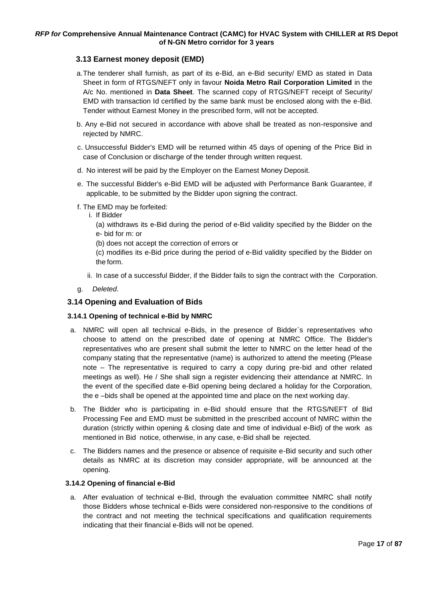# <span id="page-16-0"></span> **3.13 Earnest money deposit (EMD)**

- a.The tenderer shall furnish, as part of its e-Bid, an e-Bid security/ EMD as stated in Data Sheet in form of RTGS/NEFT only in favour **Noida Metro Rail Corporation Limited** in the A/c No. mentioned in **Data Sheet**. The scanned copy of RTGS/NEFT receipt of Security/ EMD with transaction Id certified by the same bank must be enclosed along with the e-Bid. Tender without Earnest Money in the prescribed form, will not be accepted.
- b. Any e-Bid not secured in accordance with above shall be treated as non-responsive and rejected by NMRC.
- c. Unsuccessful Bidder's EMD will be returned within 45 days of opening of the Price Bid in case of Conclusion or discharge of the tender through written request.
- d. No interest will be paid by the Employer on the Earnest Money Deposit.
- e. The successful Bidder's e-Bid EMD will be adjusted with Performance Bank Guarantee, if applicable, to be submitted by the Bidder upon signing the contract.
- f. The EMD may be forfeited:
	- i. If Bidder
		- (a) withdraws its e-Bid during the period of e-Bid validity specified by the Bidder on the e- bid for m: or
		- (b) does not accept the correction of errors or
		- (c) modifies its e-Bid price during the period of e-Bid validity specified by the Bidder on the form.
	- ii. In case of a successful Bidder, if the Bidder fails to sign the contract with the Corporation.
- g. *Deleted*.

# <span id="page-16-1"></span> **3.14 Opening and Evaluation of Bids**

# **3.14.1 Opening of technical e-Bid by NMRC**

- a. NMRC will open all technical e-Bids, in the presence of Bidder`s representatives who choose to attend on the prescribed date of opening at NMRC Office. The Bidder's representatives who are present shall submit the letter to NMRC on the letter head of the company stating that the representative (name) is authorized to attend the meeting (Please note – The representative is required to carry a copy during pre-bid and other related meetings as well). He / She shall sign a register evidencing their attendance at NMRC. In the event of the specified date e-Bid opening being declared a holiday for the Corporation, the e –bids shall be opened at the appointed time and place on the next working day.
- b. The Bidder who is participating in e-Bid should ensure that the RTGS/NEFT of Bid Processing Fee and EMD must be submitted in the prescribed account of NMRC within the duration (strictly within opening & closing date and time of individual e-Bid) of the work as mentioned in Bid notice, otherwise, in any case, e-Bid shall be rejected.
- c. The Bidders names and the presence or absence of requisite e-Bid security and such other details as NMRC at its discretion may consider appropriate, will be announced at the opening.

#### **3.14.2 Opening of financial e-Bid**

a. After evaluation of technical e-Bid, through the evaluation committee NMRC shall notify those Bidders whose technical e-Bids were considered non-responsive to the conditions of the contract and not meeting the technical specifications and qualification requirements indicating that their financial e-Bids will not be opened.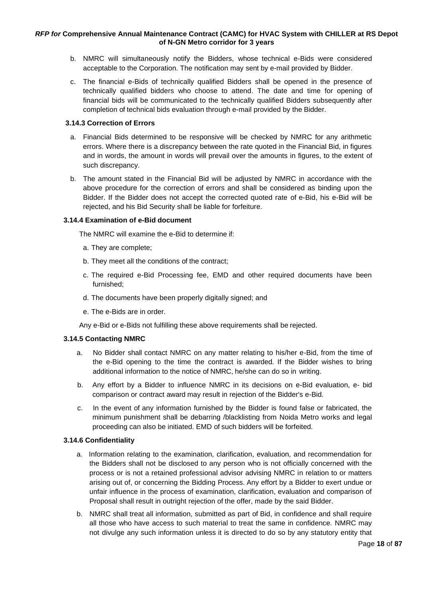- b. NMRC will simultaneously notify the Bidders, whose technical e-Bids were considered acceptable to the Corporation. The notification may sent by e-mail provided by Bidder.
- c. The financial e-Bids of technically qualified Bidders shall be opened in the presence of technically qualified bidders who choose to attend. The date and time for opening of financial bids will be communicated to the technically qualified Bidders subsequently after completion of technical bids evaluation through e-mail provided by the Bidder.

#### **3.14.3 Correction of Errors**

- a. Financial Bids determined to be responsive will be checked by NMRC for any arithmetic errors. Where there is a discrepancy between the rate quoted in the Financial Bid, in figures and in words, the amount in words will prevail over the amounts in figures, to the extent of such discrepancy.
- b. The amount stated in the Financial Bid will be adjusted by NMRC in accordance with the above procedure for the correction of errors and shall be considered as binding upon the Bidder. If the Bidder does not accept the corrected quoted rate of e-Bid, his e-Bid will be rejected, and his Bid Security shall be liable for forfeiture.

#### **3.14.4 Examination of e-Bid document**

The NMRC will examine the e-Bid to determine if:

- a. They are complete;
- b. They meet all the conditions of the contract;
- c. The required e-Bid Processing fee, EMD and other required documents have been furnished;
- d. The documents have been properly digitally signed; and
- e. The e-Bids are in order.

Any e-Bid or e-Bids not fulfilling these above requirements shall be rejected.

# **3.14.5 Contacting NMRC**

- a. No Bidder shall contact NMRC on any matter relating to his/her e-Bid, from the time of the e-Bid opening to the time the contract is awarded. If the Bidder wishes to bring additional information to the notice of NMRC, he/she can do so in writing.
- b. Any effort by a Bidder to influence NMRC in its decisions on e-Bid evaluation, e- bid comparison or contract award may result in rejection of the Bidder's e-Bid.
- c. In the event of any information furnished by the Bidder is found false or fabricated, the minimum punishment shall be debarring /blacklisting from Noida Metro works and legal proceeding can also be initiated. EMD of such bidders will be forfeited.

# **3.14.6 Confidentiality**

- a. Information relating to the examination, clarification, evaluation, and recommendation for the Bidders shall not be disclosed to any person who is not officially concerned with the process or is not a retained professional advisor advising NMRC in relation to or matters arising out of, or concerning the Bidding Process. Any effort by a Bidder to exert undue or unfair influence in the process of examination, clarification, evaluation and comparison of Proposal shall result in outright rejection of the offer, made by the said Bidder.
- b. NMRC shall treat all information, submitted as part of Bid, in confidence and shall require all those who have access to such material to treat the same in confidence. NMRC may not divulge any such information unless it is directed to do so by any statutory entity that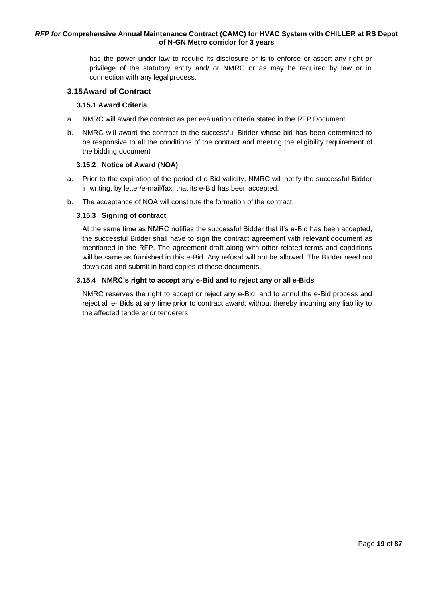has the power under law to require its disclosure or is to enforce or assert any right or privilege of the statutory entity and/ or NMRC or as may be required by law or in connection with any legalprocess.

#### <span id="page-18-0"></span>**3.15Award of Contract**

#### **3.15.1 Award Criteria**

- a. NMRC will award the contract as per evaluation criteria stated in the RFP Document.
- b. NMRC will award the contract to the successful Bidder whose bid has been determined to be responsive to all the conditions of the contract and meeting the eligibility requirement of the bidding document.

#### **3.15.2 Notice of Award (NOA)**

- a. Prior to the expiration of the period of e-Bid validity, NMRC will notify the successful Bidder in writing, by letter/e-mail/fax, that its e-Bid has been accepted.
- b. The acceptance of NOA will constitute the formation of the contract.

#### **3.15.3 Signing of contract**

At the same time as NMRC notifies the successful Bidder that it's e-Bid has been accepted, the successful Bidder shall have to sign the contract agreement with relevant document as mentioned in the RFP. The agreement draft along with other related terms and conditions will be same as furnished in this e-Bid. Any refusal will not be allowed. The Bidder need not download and submit in hard copies of these documents.

#### **3.15.4 NMRC's right to accept any e-Bid and to reject any or all e-Bids**

NMRC reserves the right to accept or reject any e-Bid, and to annul the e-Bid process and reject all e- Bids at any time prior to contract award, without thereby incurring any liability to the affected tenderer or tenderers.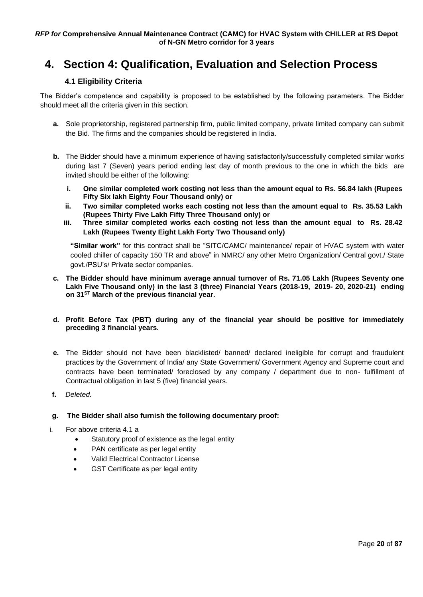# <span id="page-19-1"></span><span id="page-19-0"></span>**4. Section 4: Qualification, Evaluation and Selection Process**

# **4.1 Eligibility Criteria**

The Bidder's competence and capability is proposed to be established by the following parameters. The Bidder should meet all the criteria given in this section.

- **a.** Sole proprietorship, registered partnership firm, public limited company, private limited company can submit the Bid. The firms and the companies should be registered in India.
- **b.** The Bidder should have a minimum experience of having satisfactorily/successfully completed similar works during last 7 (Seven) years period ending last day of month previous to the one in which the bids are invited should be either of the following:
	- **i. One similar completed work costing not less than the amount equal to Rs. 56.84 lakh (Rupees Fifty Six lakh Eighty Four Thousand only) or**
	- **ii. Two similar completed works each costing not less than the amount equal to Rs. 35.53 Lakh (Rupees Thirty Five Lakh Fifty Three Thousand only) or**
	- **iii. Three similar completed works each costing not less than the amount equal to Rs. 28.42 Lakh (Rupees Twenty Eight Lakh Forty Two Thousand only)**

**"Similar work"** for this contract shall be "SITC/CAMC/ maintenance/ repair of HVAC system with water cooled chiller of capacity 150 TR and above" in NMRC/ any other Metro Organization/ Central govt./ State govt./PSU's/ Private sector companies.

- **c. The Bidder should have minimum average annual turnover of Rs. 71.05 Lakh (Rupees Seventy one Lakh Five Thousand only) in the last 3 (three) Financial Years (2018-19, 2019- 20, 2020-21) ending on 31ST March of the previous financial year.**
- **d. Profit Before Tax (PBT) during any of the financial year should be positive for immediately preceding 3 financial years.**
- **e.** The Bidder should not have been blacklisted/ banned/ declared ineligible for corrupt and fraudulent practices by the Government of India/ any State Government/ Government Agency and Supreme court and contracts have been terminated/ foreclosed by any company / department due to non- fulfillment of Contractual obligation in last 5 (five) financial years.
- **f.** *Deleted.*

# **g. The Bidder shall also furnish the following documentary proof:**

- i. For above criteria [4.](#page-19-1)1 a
	- Statutory proof of existence as the legal entity
	- PAN certificate as per legal entity
	- Valid Electrical Contractor License
	- GST Certificate as per legal entity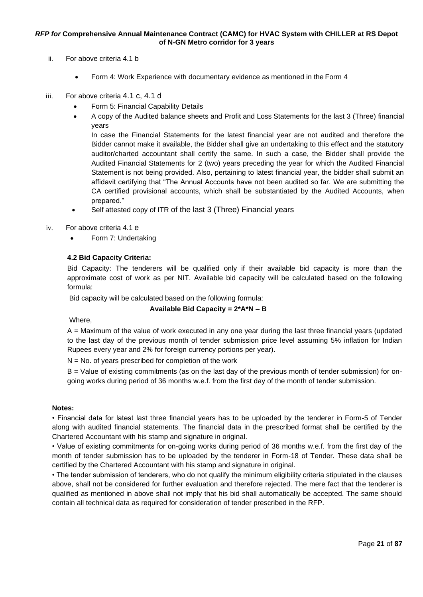- ii. For above criteria [4.](#page-19-1)1 b
	- [Form 4: Work Experience](#page-68-0) with documentary evidence as mentioned in the Form 4
- iii. For above criteria 4.1 c, 4.1 d
	- [Form 5: Financial Capability](#page-69-0) Details
	- A copy of the Audited balance sheets and Profit and Loss Statements for the last 3 (Three) financial years

In case the Financial Statements for the latest financial year are not audited and therefore the Bidder cannot make it available, the Bidder shall give an undertaking to this effect and the statutory auditor/charted accountant shall certify the same. In such a case, the Bidder shall provide the Audited Financial Statements for 2 (two) years preceding the year for which the Audited Financial Statement is not being provided. Also, pertaining to latest financial year, the bidder shall submit an affidavit certifying that "The Annual Accounts have not been audited so far. We are submitting the CA certified provisional accounts, which shall be substantiated by the Audited Accounts, when prepared."

- Self attested copy of ITR of the last 3 (Three) Financial years
- iv. For above criteria [4.](#page-19-1)1 e
	- Form 7: [Undertaking](#page-71-0)

#### **4.2 Bid Capacity Criteria:**

Bid Capacity: The tenderers will be qualified only if their available bid capacity is more than the approximate cost of work as per NIT. Available bid capacity will be calculated based on the following formula:

Bid capacity will be calculated based on the following formula:

#### **Available Bid Capacity = 2\*A\*N – B**

Where,

A = Maximum of the value of work executed in any one year during the last three financial years (updated to the last day of the previous month of tender submission price level assuming 5% inflation for Indian Rupees every year and 2% for foreign currency portions per year).

 $N = No$ . of years prescribed for completion of the work

B = Value of existing commitments (as on the last day of the previous month of tender submission) for ongoing works during period of 36 months w.e.f. from the first day of the month of tender submission.

#### **Notes:**

• Financial data for latest last three financial years has to be uploaded by the tenderer in Form-5 of Tender along with audited financial statements. The financial data in the prescribed format shall be certified by the Chartered Accountant with his stamp and signature in original.

• Value of existing commitments for on-going works during period of 36 months w.e.f. from the first day of the month of tender submission has to be uploaded by the tenderer in Form-18 of Tender. These data shall be certified by the Chartered Accountant with his stamp and signature in original.

• The tender submission of tenderers, who do not qualify the minimum eligibility criteria stipulated in the clauses above, shall not be considered for further evaluation and therefore rejected. The mere fact that the tenderer is qualified as mentioned in above shall not imply that his bid shall automatically be accepted. The same should contain all technical data as required for consideration of tender prescribed in the RFP.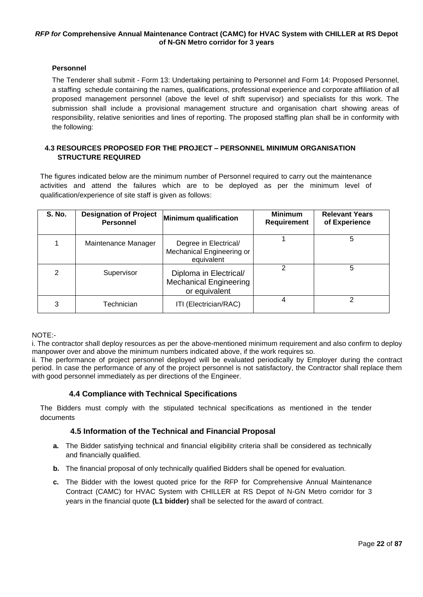# <span id="page-21-0"></span>**Personnel**

The Tenderer shall submit - [Form 13: Undertaking pertaining to Personnel](#page-76-0) and Form 14: Proposed Personnel, a staffing schedule containing the names, qualifications, professional experience and corporate affiliation of all proposed management personnel (above the level of shift supervisor) and specialists for this work. The submission shall include a provisional management structure and organisation chart showing areas of responsibility, relative seniorities and lines of reporting. The proposed staffing plan shall be in conformity with the following:

# **4.3 RESOURCES PROPOSED FOR THE PROJECT – PERSONNEL MINIMUM ORGANISATION STRUCTURE REQUIRED**

The figures indicated below are the minimum number of Personnel required to carry out the maintenance activities and attend the failures which are to be deployed as per the minimum level of qualification/experience of site staff is given as follows:

| <b>S. No.</b> | <b>Designation of Project</b><br><b>Personnel</b> | Minimum qualification                                                    | <b>Minimum</b><br>Requirement | <b>Relevant Years</b><br>of Experience |
|---------------|---------------------------------------------------|--------------------------------------------------------------------------|-------------------------------|----------------------------------------|
|               | Maintenance Manager                               | Degree in Electrical/<br>Mechanical Engineering or<br>equivalent         |                               | 5                                      |
| 2             | Supervisor                                        | Diploma in Electrical/<br><b>Mechanical Engineering</b><br>or equivalent | 2                             | 5                                      |
| 3             | Technician                                        | ITI (Electrician/RAC)                                                    |                               |                                        |

<span id="page-21-1"></span>NOTE:-

i. The contractor shall deploy resources as per the above-mentioned minimum requirement and also confirm to deploy manpower over and above the minimum numbers indicated above, if the work requires so.

ii. The performance of project personnel deployed will be evaluated periodically by Employer during the contract period. In case the performance of any of the project personnel is not satisfactory, the Contractor shall replace them with good personnel immediately as per directions of the Engineer.

# **4.4 Compliance with Technical Specifications**

<span id="page-21-2"></span>The Bidders must comply with the stipulated technical specifications as mentioned in the tender documents

# **4.5 Information of the Technical and Financial Proposal**

- **a.** The Bidder satisfying technical and financial eligibility criteria shall be considered as technically and financially qualified.
- **b.** The financial proposal of only technically qualified Bidders shall be opened for evaluation.
- <span id="page-21-3"></span>**c.** The Bidder with the lowest quoted price for the RFP for Comprehensive Annual Maintenance Contract (CAMC) for HVAC System with CHILLER at RS Depot of N-GN Metro corridor for 3 years in the financial quote **(L1 bidder)** shall be selected for the award of contract.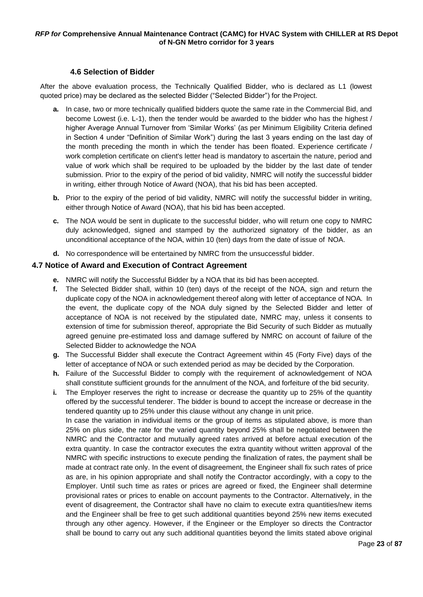# **4.6 Selection of Bidder**

After the above evaluation process, the Technically Qualified Bidder, who is declared as L1 (lowest quoted price) may be declared as the selected Bidder ("Selected Bidder") for the Project.

- **a.** In case, two or more technically qualified bidders quote the same rate in the Commercial Bid, and become Lowest (i.e. L-1), then the tender would be awarded to the bidder who has the highest / higher Average Annual Turnover from 'Similar Works' (as per Minimum Eligibility Criteria defined in Section 4 under "Definition of Similar Work") during the last 3 years ending on the last day of the month preceding the month in which the tender has been floated. Experience certificate / work completion certificate on client's letter head is mandatory to ascertain the nature, period and value of work which shall be required to be uploaded by the bidder by the last date of tender submission. Prior to the expiry of the period of bid validity, NMRC will notify the successful bidder in writing, either through Notice of Award (NOA), that his bid has been accepted.
- **b.** Prior to the expiry of the period of bid validity, NMRC will notify the successful bidder in writing, either through Notice of Award (NOA), that his bid has been accepted.
- **c.** The NOA would be sent in duplicate to the successful bidder, who will return one copy to NMRC duly acknowledged, signed and stamped by the authorized signatory of the bidder, as an unconditional acceptance of the NOA, within 10 (ten) days from the date of issue of NOA.
- **d.** No correspondence will be entertained by NMRC from the unsuccessful bidder.

# <span id="page-22-0"></span>**4.7 Notice of Award and Execution of Contract Agreement**

- **e.** NMRC will notify the Successful Bidder by a NOA that its bid has been accepted.
- **f.** The Selected Bidder shall, within 10 (ten) days of the receipt of the NOA, sign and return the duplicate copy of the NOA in acknowledgement thereof along with letter of acceptance of NOA. In the event, the duplicate copy of the NOA duly signed by the Selected Bidder and letter of acceptance of NOA is not received by the stipulated date, NMRC may, unless it consents to extension of time for submission thereof, appropriate the Bid Security of such Bidder as mutually agreed genuine pre-estimated loss and damage suffered by NMRC on account of failure of the Selected Bidder to acknowledge the NOA
- **g.** The Successful Bidder shall execute the Contract Agreement within 45 (Forty Five) days of the letter of acceptance of NOA or such extended period as may be decided by the Corporation.
- **h.** Failure of the Successful Bidder to comply with the requirement of acknowledgement of NOA shall constitute sufficient grounds for the annulment of the NOA, and forfeiture of the bid security.
- **i.** The Employer reserves the right to increase or decrease the quantity up to 25% of the quantity offered by the successful tenderer. The bidder is bound to accept the increase or decrease in the tendered quantity up to 25% under this clause without any change in unit price. In case the variation in individual items or the group of items as stipulated above, is more than 25% on plus side, the rate for the varied quantity beyond 25% shall be negotiated between the NMRC and the Contractor and mutually agreed rates arrived at before actual execution of the extra quantity. In case the contractor executes the extra quantity without written approval of the NMRC with specific instructions to execute pending the finalization of rates, the payment shall be made at contract rate only. In the event of disagreement, the Engineer shall fix such rates of price as are, in his opinion appropriate and shall notify the Contractor accordingly, with a copy to the Employer. Until such time as rates or prices are agreed or fixed, the Engineer shall determine provisional rates or prices to enable on account payments to the Contractor. Alternatively, in the event of disagreement, the Contractor shall have no claim to execute extra quantities/new items and the Engineer shall be free to get such additional quantities beyond 25% new items executed through any other agency. However, if the Engineer or the Employer so directs the Contractor shall be bound to carry out any such additional quantities beyond the limits stated above original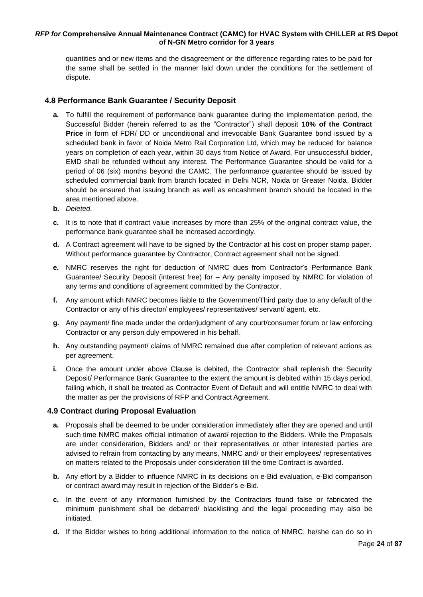quantities and or new items and the disagreement or the difference regarding rates to be paid for the same shall be settled in the manner laid down under the conditions for the settlement of dispute.

# <span id="page-23-0"></span>**4.8 Performance Bank Guarantee / Security Deposit**

- **a.** To fulfill the requirement of performance bank guarantee during the implementation period, the Successful Bidder (herein referred to as the "Contractor") shall deposit **10% of the Contract Price** in form of FDR/ DD or unconditional and irrevocable Bank Guarantee bond issued by a scheduled bank in favor of Noida Metro Rail Corporation Ltd, which may be reduced for balance years on completion of each year, within 30 days from Notice of Award. For unsuccessful bidder, EMD shall be refunded without any interest. The Performance Guarantee should be valid for a period of 06 (six) months beyond the CAMC. The performance guarantee should be issued by scheduled commercial bank from branch located in Delhi NCR, Noida or Greater Noida. Bidder should be ensured that issuing branch as well as encashment branch should be located in the area mentioned above.
- **b.** *Deleted*.
- **c.** It is to note that if contract value increases by more than 25% of the original contract value, the performance bank guarantee shall be increased accordingly.
- **d.** A Contract agreement will have to be signed by the Contractor at his cost on proper stamp paper. Without performance guarantee by Contractor, Contract agreement shall not be signed.
- **e.** NMRC reserves the right for deduction of NMRC dues from Contractor's Performance Bank Guarantee/ Security Deposit (interest free) for – Any penalty imposed by NMRC for violation of any terms and conditions of agreement committed by the Contractor.
- **f.** Any amount which NMRC becomes liable to the Government/Third party due to any default of the Contractor or any of his director/ employees/ representatives/ servant/ agent, etc.
- **g.** Any payment/ fine made under the order/judgment of any court/consumer forum or law enforcing Contractor or any person duly empowered in his behalf.
- **h.** Any outstanding payment/ claims of NMRC remained due after completion of relevant actions as per agreement.
- **i.** Once the amount under above Clause is debited, the Contractor shall replenish the Security Deposit/ Performance Bank Guarantee to the extent the amount is debited within 15 days period, failing which, it shall be treated as Contractor Event of Default and will entitle NMRC to deal with the matter as per the provisions of RFP and Contract Agreement.

# <span id="page-23-1"></span>**4.9 Contract during Proposal Evaluation**

- **a.** Proposals shall be deemed to be under consideration immediately after they are opened and until such time NMRC makes official intimation of award/ rejection to the Bidders. While the Proposals are under consideration, Bidders and/ or their representatives or other interested parties are advised to refrain from contacting by any means, NMRC and/ or their employees/ representatives on matters related to the Proposals under consideration till the time Contract is awarded.
- **b.** Any effort by a Bidder to influence NMRC in its decisions on e-Bid evaluation, e-Bid comparison or contract award may result in rejection of the Bidder's e-Bid.
- **c.** In the event of any information furnished by the Contractors found false or fabricated the minimum punishment shall be debarred/ blacklisting and the legal proceeding may also be initiated.
- **d.** If the Bidder wishes to bring additional information to the notice of NMRC, he/she can do so in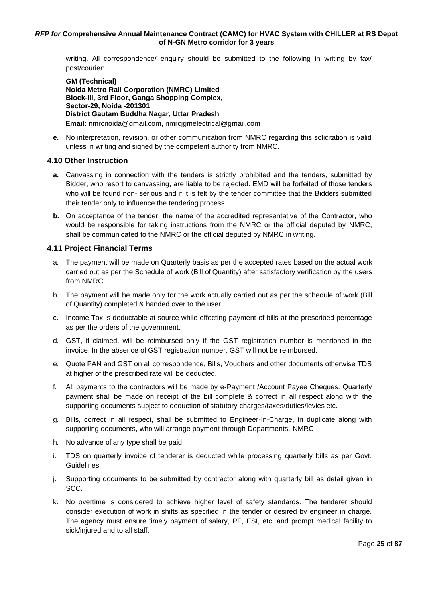writing. All correspondence/ enquiry should be submitted to the following in writing by fax/ post/courier:

**GM (Technical) Noida Metro Rail Corporation (NMRC) Limited Block-III, 3rd Floor, Ganga Shopping Complex, Sector-29, Noida -201301 District Gautam Buddha Nagar, Uttar Pradesh Email:** [nmrcnoida@gmail.com,](mailto:nmrcnoida@gmail.com,) nmrcjgmelectrical@gmail.com

**e.** No interpretation, revision, or other communication from NMRC regarding this solicitation is valid unless in writing and signed by the competent authority from NMRC.

# <span id="page-24-0"></span>**4.10 Other Instruction**

- **a.** Canvassing in connection with the tenders is strictly prohibited and the tenders, submitted by Bidder, who resort to canvassing, are liable to be rejected. EMD will be forfeited of those tenders who will be found non- serious and if it is felt by the tender committee that the Bidders submitted their tender only to influence the tendering process.
- **b.** On acceptance of the tender, the name of the accredited representative of the Contractor, who would be responsible for taking instructions from the NMRC or the official deputed by NMRC, shall be communicated to the NMRC or the official deputed by NMRC in writing.

# <span id="page-24-1"></span>**4.11 Project Financial Terms**

- a. The payment will be made on Quarterly basis as per the accepted rates based on the actual work carried out as per the Schedule of work (Bill of Quantity) after satisfactory verification by the users from NMRC.
- b. The payment will be made only for the work actually carried out as per the schedule of work (Bill of Quantity) completed & handed over to the user.
- c. Income Tax is deductable at source while effecting payment of bills at the prescribed percentage as per the orders of the government.
- d. GST, if claimed, will be reimbursed only if the GST registration number is mentioned in the invoice. In the absence of GST registration number, GST will not be reimbursed.
- e. Quote PAN and GST on all correspondence, Bills, Vouchers and other documents otherwise TDS at higher of the prescribed rate will be deducted.
- f. All payments to the contractors will be made by e-Payment /Account Payee Cheques. Quarterly payment shall be made on receipt of the bill complete & correct in all respect along with the supporting documents subject to deduction of statutory charges/taxes/duties/levies etc.
- g. Bills, correct in all respect, shall be submitted to Engineer-In-Charge, in duplicate along with supporting documents, who will arrange payment through Departments, NMRC
- h. No advance of any type shall be paid.
- i. TDS on quarterly invoice of tenderer is deducted while processing quarterly bills as per Govt. Guidelines.
- j. Supporting documents to be submitted by contractor along with quarterly bill as detail given in SCC.
- k. No overtime is considered to achieve higher level of safety standards. The tenderer should consider execution of work in shifts as specified in the tender or desired by engineer in charge. The agency must ensure timely payment of salary, PF, ESI, etc. and prompt medical facility to sick/injured and to all staff.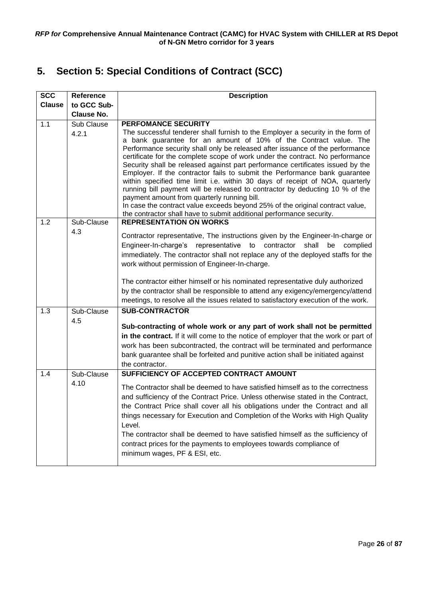# <span id="page-25-0"></span>**5. Section 5: Special Conditions of Contract (SCC)**

| <b>SCC</b>    | Reference         | <b>Description</b>                                                                                                                                              |  |  |
|---------------|-------------------|-----------------------------------------------------------------------------------------------------------------------------------------------------------------|--|--|
| <b>Clause</b> | to GCC Sub-       |                                                                                                                                                                 |  |  |
|               | <b>Clause No.</b> |                                                                                                                                                                 |  |  |
| 1.1           | Sub Clause        | <b>PERFOMANCE SECURITY</b>                                                                                                                                      |  |  |
|               | 4.2.1             | The successful tenderer shall furnish to the Employer a security in the form of                                                                                 |  |  |
|               |                   | a bank guarantee for an amount of 10% of the Contract value. The                                                                                                |  |  |
|               |                   | Performance security shall only be released after issuance of the performance                                                                                   |  |  |
|               |                   | certificate for the complete scope of work under the contract. No performance<br>Security shall be released against part performance certificates issued by the |  |  |
|               |                   | Employer. If the contractor fails to submit the Performance bank guarantee                                                                                      |  |  |
|               |                   | within specified time limit i.e. within 30 days of receipt of NOA, quarterly                                                                                    |  |  |
|               |                   | running bill payment will be released to contractor by deducting 10 % of the                                                                                    |  |  |
|               |                   | payment amount from quarterly running bill.<br>In case the contract value exceeds beyond 25% of the original contract value,                                    |  |  |
|               |                   | the contractor shall have to submit additional performance security.                                                                                            |  |  |
| 1.2           | Sub-Clause        | <b>REPRESENTATION ON WORKS</b>                                                                                                                                  |  |  |
|               | 4.3               |                                                                                                                                                                 |  |  |
|               |                   | Contractor representative, The instructions given by the Engineer-In-charge or<br>Engineer-In-charge's representative to contractor shall be<br>complied        |  |  |
|               |                   | immediately. The contractor shall not replace any of the deployed staffs for the                                                                                |  |  |
|               |                   | work without permission of Engineer-In-charge.                                                                                                                  |  |  |
|               |                   |                                                                                                                                                                 |  |  |
|               |                   | The contractor either himself or his nominated representative duly authorized                                                                                   |  |  |
|               |                   | by the contractor shall be responsible to attend any exigency/emergency/attend                                                                                  |  |  |
|               |                   | meetings, to resolve all the issues related to satisfactory execution of the work.                                                                              |  |  |
| 1.3           | Sub-Clause        | <b>SUB-CONTRACTOR</b>                                                                                                                                           |  |  |
|               | 4.5               | Sub-contracting of whole work or any part of work shall not be permitted                                                                                        |  |  |
|               |                   | in the contract. If it will come to the notice of employer that the work or part of                                                                             |  |  |
|               |                   | work has been subcontracted, the contract will be terminated and performance                                                                                    |  |  |
|               |                   | bank guarantee shall be forfeited and punitive action shall be initiated against                                                                                |  |  |
|               |                   | the contractor.                                                                                                                                                 |  |  |
| 1.4           | Sub-Clause        | SUFFICIENCY OF ACCEPTED CONTRACT AMOUNT                                                                                                                         |  |  |
|               | 4.10              | The Contractor shall be deemed to have satisfied himself as to the correctness                                                                                  |  |  |
|               |                   | and sufficiency of the Contract Price. Unless otherwise stated in the Contract,                                                                                 |  |  |
|               |                   | the Contract Price shall cover all his obligations under the Contract and all                                                                                   |  |  |
|               |                   | things necessary for Execution and Completion of the Works with High Quality                                                                                    |  |  |
|               |                   | Level.                                                                                                                                                          |  |  |
|               |                   | The contractor shall be deemed to have satisfied himself as the sufficiency of                                                                                  |  |  |
|               |                   | contract prices for the payments to employees towards compliance of                                                                                             |  |  |
|               |                   | minimum wages, PF & ESI, etc.                                                                                                                                   |  |  |
|               |                   |                                                                                                                                                                 |  |  |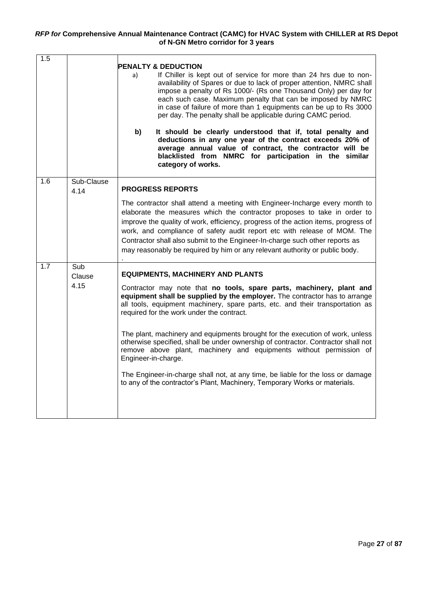| 1.5 |                    | <b>PENALTY &amp; DEDUCTION</b><br>If Chiller is kept out of service for more than 24 hrs due to non-<br>a)<br>availability of Spares or due to lack of proper attention, NMRC shall<br>impose a penalty of Rs 1000/- (Rs one Thousand Only) per day for<br>each such case. Maximum penalty that can be imposed by NMRC<br>in case of failure of more than 1 equipments can be up to Rs 3000<br>per day. The penalty shall be applicable during CAMC period.<br>b)<br>It should be clearly understood that if, total penalty and<br>deductions in any one year of the contract exceeds 20% of<br>average annual value of contract, the contractor will be<br>blacklisted from NMRC for participation in the similar<br>category of works. |
|-----|--------------------|------------------------------------------------------------------------------------------------------------------------------------------------------------------------------------------------------------------------------------------------------------------------------------------------------------------------------------------------------------------------------------------------------------------------------------------------------------------------------------------------------------------------------------------------------------------------------------------------------------------------------------------------------------------------------------------------------------------------------------------|
| 1.6 | Sub-Clause<br>4.14 | <b>PROGRESS REPORTS</b><br>The contractor shall attend a meeting with Engineer-Incharge every month to<br>elaborate the measures which the contractor proposes to take in order to<br>improve the quality of work, efficiency, progress of the action items, progress of<br>work, and compliance of safety audit report etc with release of MOM. The<br>Contractor shall also submit to the Engineer-In-charge such other reports as<br>may reasonably be required by him or any relevant authority or public body.                                                                                                                                                                                                                      |
| 1.7 | Sub<br>Clause      | <b>EQUIPMENTS, MACHINERY AND PLANTS</b>                                                                                                                                                                                                                                                                                                                                                                                                                                                                                                                                                                                                                                                                                                  |
|     | 4.15               | Contractor may note that no tools, spare parts, machinery, plant and<br>equipment shall be supplied by the employer. The contractor has to arrange<br>all tools, equipment machinery, spare parts, etc. and their transportation as<br>required for the work under the contract.<br>The plant, machinery and equipments brought for the execution of work, unless<br>otherwise specified, shall be under ownership of contractor. Contractor shall not<br>remove above plant, machinery and equipments without permission of<br>Engineer-in-charge.<br>The Engineer-in-charge shall not, at any time, be liable for the loss or damage<br>to any of the contractor's Plant, Machinery, Temporary Works or materials.                     |
|     |                    |                                                                                                                                                                                                                                                                                                                                                                                                                                                                                                                                                                                                                                                                                                                                          |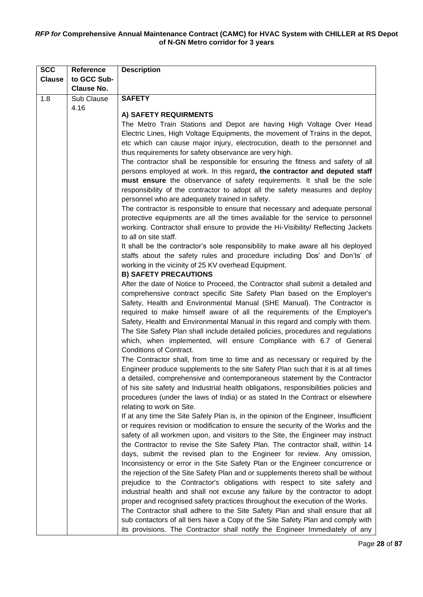| <b>SCC</b>    | Reference         | <b>Description</b>                                                                                       |  |
|---------------|-------------------|----------------------------------------------------------------------------------------------------------|--|
| <b>Clause</b> | to GCC Sub-       |                                                                                                          |  |
|               | <b>Clause No.</b> |                                                                                                          |  |
| 1.8           | Sub Clause        | <b>SAFETY</b>                                                                                            |  |
|               | 4.16              |                                                                                                          |  |
|               |                   | A) SAFETY REQUIRMENTS                                                                                    |  |
|               |                   | The Metro Train Stations and Depot are having High Voltage Over Head                                     |  |
|               |                   | Electric Lines, High Voltage Equipments, the movement of Trains in the depot,                            |  |
|               |                   | etc which can cause major injury, electrocution, death to the personnel and                              |  |
|               |                   | thus requirements for safety observance are very high.                                                   |  |
|               |                   | The contractor shall be responsible for ensuring the fitness and safety of all                           |  |
|               |                   | persons employed at work. In this regard, the contractor and deputed staff                               |  |
|               |                   | must ensure the observance of safety requirements. It shall be the sole                                  |  |
|               |                   | responsibility of the contractor to adopt all the safety measures and deploy                             |  |
|               |                   | personnel who are adequately trained in safety.                                                          |  |
|               |                   | The contractor is responsible to ensure that necessary and adequate personal                             |  |
|               |                   | protective equipments are all the times available for the service to personnel                           |  |
|               |                   | working. Contractor shall ensure to provide the Hi-Visibility/ Reflecting Jackets                        |  |
|               |                   | to all on site staff.<br>It shall be the contractor's sole responsibility to make aware all his deployed |  |
|               |                   |                                                                                                          |  |
|               |                   | staffs about the safety rules and procedure including Dos' and Don'ts' of                                |  |
|               |                   | working in the vicinity of 25 KV overhead Equipment.<br><b>B) SAFETY PRECAUTIONS</b>                     |  |
|               |                   | After the date of Notice to Proceed, the Contractor shall submit a detailed and                          |  |
|               |                   | comprehensive contract specific Site Safety Plan based on the Employer's                                 |  |
|               |                   | Safety, Health and Environmental Manual (SHE Manual). The Contractor is                                  |  |
|               |                   | required to make himself aware of all the requirements of the Employer's                                 |  |
|               |                   | Safety, Health and Environmental Manual in this regard and comply with them.                             |  |
|               |                   | The Site Safety Plan shall include detailed policies, procedures and regulations                         |  |
|               |                   | which, when implemented, will ensure Compliance with 6.7 of General                                      |  |
|               |                   | Conditions of Contract.                                                                                  |  |
|               |                   | The Contractor shall, from time to time and as necessary or required by the                              |  |
|               |                   | Engineer produce supplements to the site Safety Plan such that it is at all times                        |  |
|               |                   | a detailed, comprehensive and contemporaneous statement by the Contractor                                |  |
|               |                   | of his site safety and Industrial health obligations, responsibilities policies and                      |  |
|               |                   | procedures (under the laws of India) or as stated In the Contract or elsewhere                           |  |
|               |                   | relating to work on Site.                                                                                |  |
|               |                   | If at any time the Site Safely Plan is, in the opinion of the Engineer, Insufficient                     |  |
|               |                   | or requires revision or modification to ensure the security of the Works and the                         |  |
|               |                   | safety of all workmen upon, and visitors to the Site, the Engineer may instruct                          |  |
|               |                   | the Contractor to revise the Site Safety Plan. The contractor shall, within 14                           |  |
|               |                   | days, submit the revised plan to the Engineer for review. Any omission,                                  |  |
|               |                   | Inconsistency or error in the Site Safety Plan or the Engineer concurrence or                            |  |
|               |                   | the rejection of the Site Safety Plan and or supplements thereto shall be without                        |  |
|               |                   | prejudice to the Contractor's obligations with respect to site safety and                                |  |
|               |                   | industrial health and shall not excuse any failure by the contractor to adopt                            |  |
|               |                   | proper and recognised safety practices throughout the execution of the Works.                            |  |
|               |                   | The Contractor shall adhere to the Site Safety Plan and shall ensure that all                            |  |
|               |                   | sub contactors of all tiers have a Copy of the Site Safety Plan and comply with                          |  |
|               |                   | its provisions. The Contractor shall notify the Engineer Immediately of any                              |  |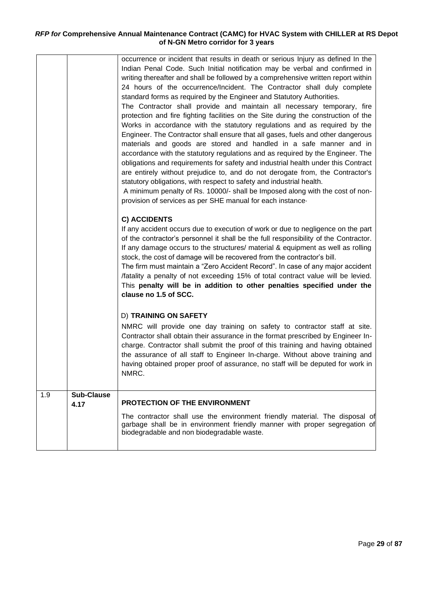|     |                           | occurrence or incident that results in death or serious Injury as defined In the<br>Indian Penal Code. Such Initial notification may be verbal and confirmed in<br>writing thereafter and shall be followed by a comprehensive written report within<br>24 hours of the occurrence/Incident. The Contractor shall duly complete<br>standard forms as required by the Engineer and Statutory Authorities.<br>The Contractor shall provide and maintain all necessary temporary, fire<br>protection and fire fighting facilities on the Site during the construction of the<br>Works in accordance with the statutory regulations and as required by the<br>Engineer. The Contractor shall ensure that all gases, fuels and other dangerous<br>materials and goods are stored and handled in a safe manner and in<br>accordance with the statutory regulations and as required by the Engineer. The<br>obligations and requirements for safety and industrial health under this Contract<br>are entirely without prejudice to, and do not derogate from, the Contractor's<br>statutory obligations, with respect to safety and industrial health.<br>A minimum penalty of Rs. 10000/- shall be Imposed along with the cost of non-<br>provision of services as per SHE manual for each instance. |
|-----|---------------------------|------------------------------------------------------------------------------------------------------------------------------------------------------------------------------------------------------------------------------------------------------------------------------------------------------------------------------------------------------------------------------------------------------------------------------------------------------------------------------------------------------------------------------------------------------------------------------------------------------------------------------------------------------------------------------------------------------------------------------------------------------------------------------------------------------------------------------------------------------------------------------------------------------------------------------------------------------------------------------------------------------------------------------------------------------------------------------------------------------------------------------------------------------------------------------------------------------------------------------------------------------------------------------------------------|
|     |                           | <b>C) ACCIDENTS</b><br>If any accident occurs due to execution of work or due to negligence on the part<br>of the contractor's personnel it shall be the full responsibility of the Contractor.<br>If any damage occurs to the structures/ material & equipment as well as rolling<br>stock, the cost of damage will be recovered from the contractor's bill.<br>The firm must maintain a "Zero Accident Record". In case of any major accident<br>/fatality a penalty of not exceeding 15% of total contract value will be levied.<br>This penalty will be in addition to other penalties specified under the<br>clause no 1.5 of SCC.                                                                                                                                                                                                                                                                                                                                                                                                                                                                                                                                                                                                                                                        |
|     |                           | <b>D) TRAINING ON SAFETY</b><br>NMRC will provide one day training on safety to contractor staff at site.<br>Contractor shall obtain their assurance in the format prescribed by Engineer In-<br>charge. Contractor shall submit the proof of this training and having obtained<br>the assurance of all staff to Engineer In-charge. Without above training and<br>having obtained proper proof of assurance, no staff will be deputed for work in<br>NMRC.                                                                                                                                                                                                                                                                                                                                                                                                                                                                                                                                                                                                                                                                                                                                                                                                                                    |
| 1.9 | <b>Sub-Clause</b><br>4.17 | <b>PROTECTION OF THE ENVIRONMENT</b><br>The contractor shall use the environment friendly material. The disposal of<br>garbage shall be in environment friendly manner with proper segregation of<br>biodegradable and non biodegradable waste.                                                                                                                                                                                                                                                                                                                                                                                                                                                                                                                                                                                                                                                                                                                                                                                                                                                                                                                                                                                                                                                |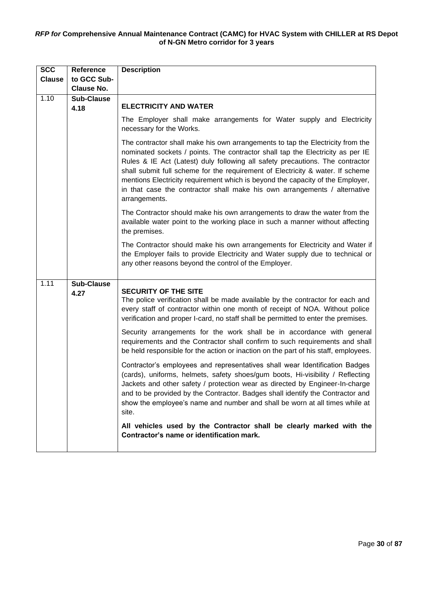| <b>SCC</b>    | <b>Reference</b>          | <b>Description</b>                                                                                                                                                                                                                                                                                                                                                                                                                                                                                                  |
|---------------|---------------------------|---------------------------------------------------------------------------------------------------------------------------------------------------------------------------------------------------------------------------------------------------------------------------------------------------------------------------------------------------------------------------------------------------------------------------------------------------------------------------------------------------------------------|
| <b>Clause</b> | to GCC Sub-               |                                                                                                                                                                                                                                                                                                                                                                                                                                                                                                                     |
|               | <b>Clause No.</b>         |                                                                                                                                                                                                                                                                                                                                                                                                                                                                                                                     |
| 1.10          | <b>Sub-Clause</b><br>4.18 | <b>ELECTRICITY AND WATER</b>                                                                                                                                                                                                                                                                                                                                                                                                                                                                                        |
|               |                           | The Employer shall make arrangements for Water supply and Electricity<br>necessary for the Works.                                                                                                                                                                                                                                                                                                                                                                                                                   |
|               |                           | The contractor shall make his own arrangements to tap the Electricity from the<br>nominated sockets / points. The contractor shall tap the Electricity as per IE<br>Rules & IE Act (Latest) duly following all safety precautions. The contractor<br>shall submit full scheme for the requirement of Electricity & water. If scheme<br>mentions Electricity requirement which is beyond the capacity of the Employer,<br>in that case the contractor shall make his own arrangements / alternative<br>arrangements. |
|               |                           | The Contractor should make his own arrangements to draw the water from the<br>available water point to the working place in such a manner without affecting<br>the premises.                                                                                                                                                                                                                                                                                                                                        |
|               |                           | The Contractor should make his own arrangements for Electricity and Water if<br>the Employer fails to provide Electricity and Water supply due to technical or<br>any other reasons beyond the control of the Employer.                                                                                                                                                                                                                                                                                             |
| 1.11          | <b>Sub-Clause</b><br>4.27 | <b>SECURITY OF THE SITE</b><br>The police verification shall be made available by the contractor for each and<br>every staff of contractor within one month of receipt of NOA. Without police<br>verification and proper I-card, no staff shall be permitted to enter the premises.                                                                                                                                                                                                                                 |
|               |                           | Security arrangements for the work shall be in accordance with general<br>requirements and the Contractor shall confirm to such requirements and shall<br>be held responsible for the action or inaction on the part of his staff, employees.                                                                                                                                                                                                                                                                       |
|               |                           | Contractor's employees and representatives shall wear Identification Badges<br>(cards), uniforms, helmets, safety shoes/gum boots, Hi-visibility / Reflecting<br>Jackets and other safety / protection wear as directed by Engineer-In-charge<br>and to be provided by the Contractor. Badges shall identify the Contractor and<br>show the employee's name and number and shall be worn at all times while at<br>site.                                                                                             |
|               |                           | All vehicles used by the Contractor shall be clearly marked with the<br>Contractor's name or identification mark.                                                                                                                                                                                                                                                                                                                                                                                                   |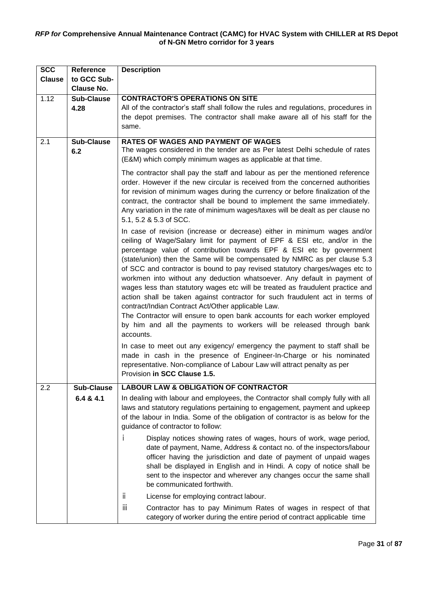| <b>SCC</b>    | <b>Reference</b>          | <b>Description</b>                                                                                                                                                                                                                                                                                                                                                                                                                                                                                                                                                                                                                                                                                                                                                                                                                                               |  |  |
|---------------|---------------------------|------------------------------------------------------------------------------------------------------------------------------------------------------------------------------------------------------------------------------------------------------------------------------------------------------------------------------------------------------------------------------------------------------------------------------------------------------------------------------------------------------------------------------------------------------------------------------------------------------------------------------------------------------------------------------------------------------------------------------------------------------------------------------------------------------------------------------------------------------------------|--|--|
| <b>Clause</b> | to GCC Sub-               |                                                                                                                                                                                                                                                                                                                                                                                                                                                                                                                                                                                                                                                                                                                                                                                                                                                                  |  |  |
|               | <b>Clause No.</b>         |                                                                                                                                                                                                                                                                                                                                                                                                                                                                                                                                                                                                                                                                                                                                                                                                                                                                  |  |  |
| 1.12          | <b>Sub-Clause</b><br>4.28 | <b>CONTRACTOR'S OPERATIONS ON SITE</b><br>All of the contractor's staff shall follow the rules and regulations, procedures in<br>the depot premises. The contractor shall make aware all of his staff for the<br>same.                                                                                                                                                                                                                                                                                                                                                                                                                                                                                                                                                                                                                                           |  |  |
| 2.1           | <b>Sub-Clause</b><br>6.2  | <b>RATES OF WAGES AND PAYMENT OF WAGES</b><br>The wages considered in the tender are as Per latest Delhi schedule of rates<br>(E&M) which comply minimum wages as applicable at that time.                                                                                                                                                                                                                                                                                                                                                                                                                                                                                                                                                                                                                                                                       |  |  |
|               |                           | The contractor shall pay the staff and labour as per the mentioned reference<br>order. However if the new circular is received from the concerned authorities<br>for revision of minimum wages during the currency or before finalization of the<br>contract, the contractor shall be bound to implement the same immediately.<br>Any variation in the rate of minimum wages/taxes will be dealt as per clause no<br>5.1, 5.2 & 5.3 of SCC.                                                                                                                                                                                                                                                                                                                                                                                                                      |  |  |
|               |                           | In case of revision (increase or decrease) either in minimum wages and/or<br>ceiling of Wage/Salary limit for payment of EPF & ESI etc, and/or in the<br>percentage value of contribution towards EPF & ESI etc by government<br>(state/union) then the Same will be compensated by NMRC as per clause 5.3<br>of SCC and contractor is bound to pay revised statutory charges/wages etc to<br>workmen into without any deduction whatsoever. Any default in payment of<br>wages less than statutory wages etc will be treated as fraudulent practice and<br>action shall be taken against contractor for such fraudulent act in terms of<br>contract/Indian Contract Act/Other applicable Law.<br>The Contractor will ensure to open bank accounts for each worker employed<br>by him and all the payments to workers will be released through bank<br>accounts. |  |  |
|               |                           | In case to meet out any exigency/ emergency the payment to staff shall be<br>made in cash in the presence of Engineer-In-Charge or his nominated<br>representative. Non-compliance of Labour Law will attract penalty as per<br>Provision in SCC Clause 1.5.                                                                                                                                                                                                                                                                                                                                                                                                                                                                                                                                                                                                     |  |  |
| 2.2           | <b>Sub-Clause</b>         | <b>LABOUR LAW &amp; OBLIGATION OF CONTRACTOR</b>                                                                                                                                                                                                                                                                                                                                                                                                                                                                                                                                                                                                                                                                                                                                                                                                                 |  |  |
|               | 6.4 & 4.1                 | In dealing with labour and employees, the Contractor shall comply fully with all<br>laws and statutory regulations pertaining to engagement, payment and upkeep<br>of the labour in India. Some of the obligation of contractor is as below for the<br>guidance of contractor to follow:                                                                                                                                                                                                                                                                                                                                                                                                                                                                                                                                                                         |  |  |
|               |                           | Display notices showing rates of wages, hours of work, wage period,<br>T<br>date of payment, Name, Address & contact no. of the inspectors/labour<br>officer having the jurisdiction and date of payment of unpaid wages<br>shall be displayed in English and in Hindi. A copy of notice shall be<br>sent to the inspector and wherever any changes occur the same shall<br>be communicated forthwith.                                                                                                                                                                                                                                                                                                                                                                                                                                                           |  |  |
|               |                           | ii.<br>License for employing contract labour.                                                                                                                                                                                                                                                                                                                                                                                                                                                                                                                                                                                                                                                                                                                                                                                                                    |  |  |
|               |                           | iii<br>Contractor has to pay Minimum Rates of wages in respect of that<br>category of worker during the entire period of contract applicable time                                                                                                                                                                                                                                                                                                                                                                                                                                                                                                                                                                                                                                                                                                                |  |  |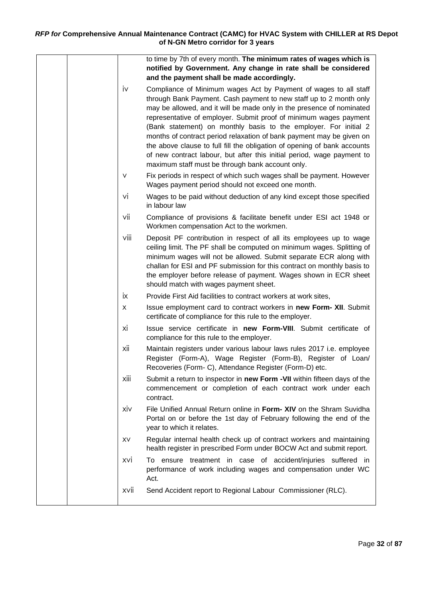|  |      | to time by 7th of every month. The minimum rates of wages which is                                                                                                                                                                                                                                                                                                                                                                                                                                                                                                                                                                         |
|--|------|--------------------------------------------------------------------------------------------------------------------------------------------------------------------------------------------------------------------------------------------------------------------------------------------------------------------------------------------------------------------------------------------------------------------------------------------------------------------------------------------------------------------------------------------------------------------------------------------------------------------------------------------|
|  |      | notified by Government. Any change in rate shall be considered<br>and the payment shall be made accordingly.                                                                                                                                                                                                                                                                                                                                                                                                                                                                                                                               |
|  | iv   | Compliance of Minimum wages Act by Payment of wages to all staff<br>through Bank Payment. Cash payment to new staff up to 2 month only<br>may be allowed, and it will be made only in the presence of nominated<br>representative of employer. Submit proof of minimum wages payment<br>(Bank statement) on monthly basis to the employer. For initial 2<br>months of contract period relaxation of bank payment may be given on<br>the above clause to full fill the obligation of opening of bank accounts<br>of new contract labour, but after this initial period, wage payment to<br>maximum staff must be through bank account only. |
|  | V    | Fix periods in respect of which such wages shall be payment. However<br>Wages payment period should not exceed one month.                                                                                                                                                                                                                                                                                                                                                                                                                                                                                                                  |
|  | vi   | Wages to be paid without deduction of any kind except those specified<br>in labour law                                                                                                                                                                                                                                                                                                                                                                                                                                                                                                                                                     |
|  | vii  | Compliance of provisions & facilitate benefit under ESI act 1948 or<br>Workmen compensation Act to the workmen.                                                                                                                                                                                                                                                                                                                                                                                                                                                                                                                            |
|  | viii | Deposit PF contribution in respect of all its employees up to wage<br>ceiling limit. The PF shall be computed on minimum wages. Splitting of<br>minimum wages will not be allowed. Submit separate ECR along with<br>challan for ESI and PF submission for this contract on monthly basis to<br>the employer before release of payment. Wages shown in ECR sheet<br>should match with wages payment sheet.                                                                                                                                                                                                                                 |
|  | ix   | Provide First Aid facilities to contract workers at work sites,                                                                                                                                                                                                                                                                                                                                                                                                                                                                                                                                                                            |
|  | X    | Issue employment card to contract workers in new Form- XII. Submit<br>certificate of compliance for this rule to the employer.                                                                                                                                                                                                                                                                                                                                                                                                                                                                                                             |
|  | xi   | Issue service certificate in new Form-VIII. Submit certificate of<br>compliance for this rule to the employer.                                                                                                                                                                                                                                                                                                                                                                                                                                                                                                                             |
|  | хii  | Maintain registers under various labour laws rules 2017 i.e. employee<br>Register (Form-A), Wage Register (Form-B), Register of Loan/<br>Recoveries (Form- C), Attendance Register (Form-D) etc.                                                                                                                                                                                                                                                                                                                                                                                                                                           |
|  | xiii | Submit a return to inspector in new Form -VII within fifteen days of the<br>commencement or completion of each contract work under each<br>contract.                                                                                                                                                                                                                                                                                                                                                                                                                                                                                       |
|  | XİV  | File Unified Annual Return online in Form- XIV on the Shram Suvidha<br>Portal on or before the 1st day of February following the end of the<br>year to which it relates.                                                                                                                                                                                                                                                                                                                                                                                                                                                                   |
|  | XV   | Regular internal health check up of contract workers and maintaining<br>health register in prescribed Form under BOCW Act and submit report.                                                                                                                                                                                                                                                                                                                                                                                                                                                                                               |
|  | xvi  | To ensure treatment in case of accident/injuries suffered in<br>performance of work including wages and compensation under WC<br>Act.                                                                                                                                                                                                                                                                                                                                                                                                                                                                                                      |
|  | XVII | Send Accident report to Regional Labour Commissioner (RLC).                                                                                                                                                                                                                                                                                                                                                                                                                                                                                                                                                                                |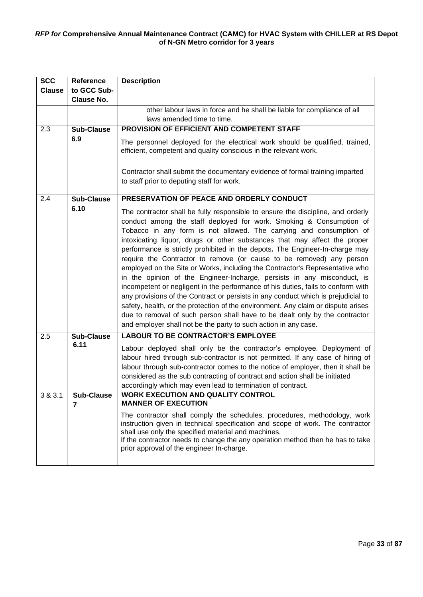| <b>SCC</b>    | Reference         | <b>Description</b>                                                                                                                                                                                                                                                                                                                                                                                                                                                                                                                                                                                                                                                                                                                                                                                                                                                                                                                                                                                                                            |
|---------------|-------------------|-----------------------------------------------------------------------------------------------------------------------------------------------------------------------------------------------------------------------------------------------------------------------------------------------------------------------------------------------------------------------------------------------------------------------------------------------------------------------------------------------------------------------------------------------------------------------------------------------------------------------------------------------------------------------------------------------------------------------------------------------------------------------------------------------------------------------------------------------------------------------------------------------------------------------------------------------------------------------------------------------------------------------------------------------|
| <b>Clause</b> | to GCC Sub-       |                                                                                                                                                                                                                                                                                                                                                                                                                                                                                                                                                                                                                                                                                                                                                                                                                                                                                                                                                                                                                                               |
|               | <b>Clause No.</b> |                                                                                                                                                                                                                                                                                                                                                                                                                                                                                                                                                                                                                                                                                                                                                                                                                                                                                                                                                                                                                                               |
|               |                   | other labour laws in force and he shall be liable for compliance of all                                                                                                                                                                                                                                                                                                                                                                                                                                                                                                                                                                                                                                                                                                                                                                                                                                                                                                                                                                       |
|               |                   | laws amended time to time.                                                                                                                                                                                                                                                                                                                                                                                                                                                                                                                                                                                                                                                                                                                                                                                                                                                                                                                                                                                                                    |
| 2.3           | <b>Sub-Clause</b> | PROVISION OF EFFICIENT AND COMPETENT STAFF                                                                                                                                                                                                                                                                                                                                                                                                                                                                                                                                                                                                                                                                                                                                                                                                                                                                                                                                                                                                    |
|               | 6.9               | The personnel deployed for the electrical work should be qualified, trained,<br>efficient, competent and quality conscious in the relevant work.                                                                                                                                                                                                                                                                                                                                                                                                                                                                                                                                                                                                                                                                                                                                                                                                                                                                                              |
|               |                   | Contractor shall submit the documentary evidence of formal training imparted<br>to staff prior to deputing staff for work.                                                                                                                                                                                                                                                                                                                                                                                                                                                                                                                                                                                                                                                                                                                                                                                                                                                                                                                    |
| 2.4           | <b>Sub-Clause</b> | PRESERVATION OF PEACE AND ORDERLY CONDUCT                                                                                                                                                                                                                                                                                                                                                                                                                                                                                                                                                                                                                                                                                                                                                                                                                                                                                                                                                                                                     |
|               | 6.10              | The contractor shall be fully responsible to ensure the discipline, and orderly<br>conduct among the staff deployed for work. Smoking & Consumption of<br>Tobacco in any form is not allowed. The carrying and consumption of<br>intoxicating liquor, drugs or other substances that may affect the proper<br>performance is strictly prohibited in the depots. The Engineer-In-charge may<br>require the Contractor to remove (or cause to be removed) any person<br>employed on the Site or Works, including the Contractor's Representative who<br>in the opinion of the Engineer-Incharge, persists in any misconduct, is<br>incompetent or negligent in the performance of his duties, fails to conform with<br>any provisions of the Contract or persists in any conduct which is prejudicial to<br>safety, health, or the protection of the environment. Any claim or dispute arises<br>due to removal of such person shall have to be dealt only by the contractor<br>and employer shall not be the party to such action in any case. |
| 2.5           | <b>Sub-Clause</b> | <b>LABOUR TO BE CONTRACTOR'S EMPLOYEE</b>                                                                                                                                                                                                                                                                                                                                                                                                                                                                                                                                                                                                                                                                                                                                                                                                                                                                                                                                                                                                     |
|               | 6.11              | Labour deployed shall only be the contractor's employee. Deployment of<br>labour hired through sub-contractor is not permitted. If any case of hiring of<br>labour through sub-contractor comes to the notice of employer, then it shall be<br>considered as the sub contracting of contract and action shall be initiated<br>accordingly which may even lead to termination of contract.                                                                                                                                                                                                                                                                                                                                                                                                                                                                                                                                                                                                                                                     |
| 3 & 3.1       | <b>Sub-Clause</b> | <b>WORK EXECUTION AND QUALITY CONTROL</b><br><b>MANNER OF EXECUTION</b>                                                                                                                                                                                                                                                                                                                                                                                                                                                                                                                                                                                                                                                                                                                                                                                                                                                                                                                                                                       |
|               | 7                 | The contractor shall comply the schedules, procedures, methodology, work<br>instruction given in technical specification and scope of work. The contractor<br>shall use only the specified material and machines.<br>If the contractor needs to change the any operation method then he has to take<br>prior approval of the engineer In-charge.                                                                                                                                                                                                                                                                                                                                                                                                                                                                                                                                                                                                                                                                                              |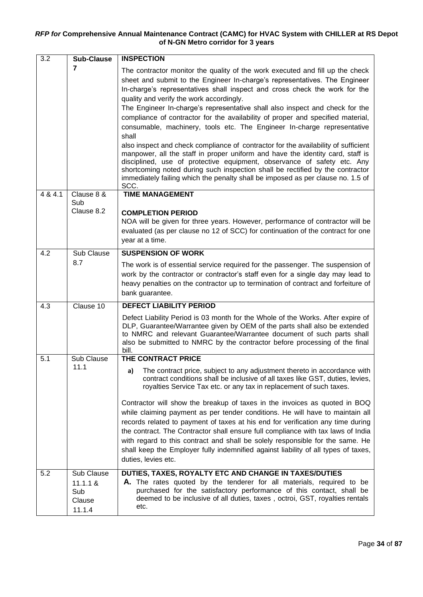| 3.2     | <b>Sub-Clause</b>                   | <b>INSPECTION</b>                                                                                                                                                                                                                                                                                                                                                                                                                                                                                                                                                                                                                                                                                                                                                                                                                                                                                                                                                           |
|---------|-------------------------------------|-----------------------------------------------------------------------------------------------------------------------------------------------------------------------------------------------------------------------------------------------------------------------------------------------------------------------------------------------------------------------------------------------------------------------------------------------------------------------------------------------------------------------------------------------------------------------------------------------------------------------------------------------------------------------------------------------------------------------------------------------------------------------------------------------------------------------------------------------------------------------------------------------------------------------------------------------------------------------------|
|         | 7                                   | The contractor monitor the quality of the work executed and fill up the check<br>sheet and submit to the Engineer In-charge's representatives. The Engineer<br>In-charge's representatives shall inspect and cross check the work for the<br>quality and verify the work accordingly.<br>The Engineer In-charge's representative shall also inspect and check for the<br>compliance of contractor for the availability of proper and specified material,<br>consumable, machinery, tools etc. The Engineer In-charge representative<br>shall<br>also inspect and check compliance of contractor for the availability of sufficient<br>manpower, all the staff in proper uniform and have the identity card, staff is<br>disciplined, use of protective equipment, observance of safety etc. Any<br>shortcoming noted during such inspection shall be rectified by the contractor<br>immediately failing which the penalty shall be imposed as per clause no. 1.5 of<br>SCC. |
| 4 & 4.1 | Clause 8 &<br>Sub                   | <b>TIME MANAGEMENT</b>                                                                                                                                                                                                                                                                                                                                                                                                                                                                                                                                                                                                                                                                                                                                                                                                                                                                                                                                                      |
|         | Clause 8.2                          | <b>COMPLETION PERIOD</b><br>NOA will be given for three years. However, performance of contractor will be<br>evaluated (as per clause no 12 of SCC) for continuation of the contract for one<br>year at a time.                                                                                                                                                                                                                                                                                                                                                                                                                                                                                                                                                                                                                                                                                                                                                             |
| 4.2     | Sub Clause                          | <b>SUSPENSION OF WORK</b>                                                                                                                                                                                                                                                                                                                                                                                                                                                                                                                                                                                                                                                                                                                                                                                                                                                                                                                                                   |
|         | 8.7                                 | The work is of essential service required for the passenger. The suspension of<br>work by the contractor or contractor's staff even for a single day may lead to<br>heavy penalties on the contractor up to termination of contract and forfeiture of<br>bank guarantee.                                                                                                                                                                                                                                                                                                                                                                                                                                                                                                                                                                                                                                                                                                    |
| 4.3     | Clause 10                           | <b>DEFECT LIABILITY PERIOD</b>                                                                                                                                                                                                                                                                                                                                                                                                                                                                                                                                                                                                                                                                                                                                                                                                                                                                                                                                              |
|         |                                     | Defect Liability Period is 03 month for the Whole of the Works. After expire of<br>DLP, Guarantee/Warrantee given by OEM of the parts shall also be extended<br>to NMRC and relevant Guarantee/Warrantee document of such parts shall<br>also be submitted to NMRC by the contractor before processing of the final<br>bill.                                                                                                                                                                                                                                                                                                                                                                                                                                                                                                                                                                                                                                                |
| 5.1     | Sub Clause                          | THE CONTRACT PRICE                                                                                                                                                                                                                                                                                                                                                                                                                                                                                                                                                                                                                                                                                                                                                                                                                                                                                                                                                          |
|         | 11.1                                | The contract price, subject to any adjustment thereto in accordance with<br>a)<br>contract conditions shall be inclusive of all taxes like GST, duties, levies,<br>royalties Service Tax etc. or any tax in replacement of such taxes.<br>Contractor will show the breakup of taxes in the invoices as quoted in BOQ<br>while claiming payment as per tender conditions. He will have to maintain all<br>records related to payment of taxes at his end for verification any time during<br>the contract. The Contractor shall ensure full compliance with tax laws of India<br>with regard to this contract and shall be solely responsible for the same. He<br>shall keep the Employer fully indemnified against liability of all types of taxes,<br>duties, levies etc.                                                                                                                                                                                                  |
| 5.2     | Sub Clause                          | DUTIES, TAXES, ROYALTY ETC AND CHANGE IN TAXES/DUTIES                                                                                                                                                                                                                                                                                                                                                                                                                                                                                                                                                                                                                                                                                                                                                                                                                                                                                                                       |
|         | 11.1.1 &<br>Sub<br>Clause<br>11.1.4 | A. The rates quoted by the tenderer for all materials, required to be<br>purchased for the satisfactory performance of this contact, shall be<br>deemed to be inclusive of all duties, taxes, octroi, GST, royalties rentals<br>etc.                                                                                                                                                                                                                                                                                                                                                                                                                                                                                                                                                                                                                                                                                                                                        |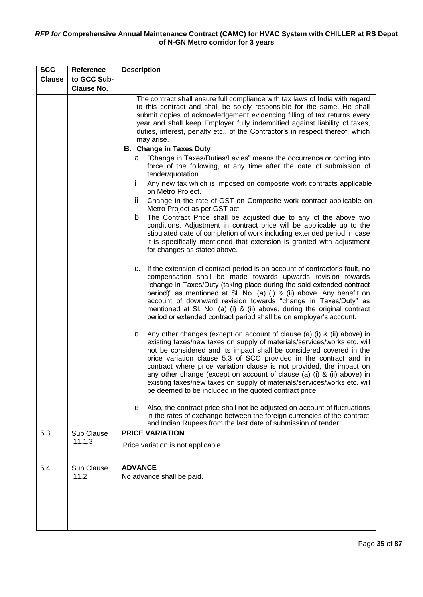| <b>SCC</b>    | Reference          | <b>Description</b>                                                                                                                                                                                                                                                                                                                                                                                                                                                                                                                                                                                                                                                                                                                                                                                                                                                                                                                                                                                                                                                                                                                                                                                                                                                                                             |
|---------------|--------------------|----------------------------------------------------------------------------------------------------------------------------------------------------------------------------------------------------------------------------------------------------------------------------------------------------------------------------------------------------------------------------------------------------------------------------------------------------------------------------------------------------------------------------------------------------------------------------------------------------------------------------------------------------------------------------------------------------------------------------------------------------------------------------------------------------------------------------------------------------------------------------------------------------------------------------------------------------------------------------------------------------------------------------------------------------------------------------------------------------------------------------------------------------------------------------------------------------------------------------------------------------------------------------------------------------------------|
| <b>Clause</b> | to GCC Sub-        |                                                                                                                                                                                                                                                                                                                                                                                                                                                                                                                                                                                                                                                                                                                                                                                                                                                                                                                                                                                                                                                                                                                                                                                                                                                                                                                |
|               | <b>Clause No.</b>  |                                                                                                                                                                                                                                                                                                                                                                                                                                                                                                                                                                                                                                                                                                                                                                                                                                                                                                                                                                                                                                                                                                                                                                                                                                                                                                                |
|               |                    | The contract shall ensure full compliance with tax laws of India with regard<br>to this contract and shall be solely responsible for the same. He shall<br>submit copies of acknowledgement evidencing filling of tax returns every<br>year and shall keep Employer fully indemnified against liability of taxes,<br>duties, interest, penalty etc., of the Contractor's in respect thereof, which<br>may arise.<br><b>B.</b> Change in Taxes Duty<br>a. "Change in Taxes/Duties/Levies" means the occurrence or coming into<br>force of the following, at any time after the date of submission of<br>tender/quotation.<br>Ĭ.<br>Any new tax which is imposed on composite work contracts applicable<br>on Metro Project.<br>Ϊİ.<br>Change in the rate of GST on Composite work contract applicable on<br>Metro Project as per GST act.<br>b. The Contract Price shall be adjusted due to any of the above two<br>conditions. Adjustment in contract price will be applicable up to the<br>stipulated date of completion of work including extended period in case<br>it is specifically mentioned that extension is granted with adjustment                                                                                                                                                                  |
|               |                    | for changes as stated above.<br>c. If the extension of contract period is on account of contractor's fault, no<br>compensation shall be made towards upwards revision towards<br>"change in Taxes/Duty (taking place during the said extended contract<br>period)" as mentioned at SI. No. (a) (i) & (ii) above. Any benefit on<br>account of downward revision towards "change in Taxes/Duty" as<br>mentioned at SI. No. (a) (i) & (ii) above, during the original contract<br>period or extended contract period shall be on employer's account.<br>d. Any other changes (except on account of clause (a) (i) & (ii) above) in<br>existing taxes/new taxes on supply of materials/services/works etc. will<br>not be considered and its impact shall be considered covered in the<br>price variation clause 5.3 of SCC provided in the contract and in<br>contract where price variation clause is not provided, the impact on<br>any other change (except on account of clause (a) (i) & (ii) above) in<br>existing taxes/new taxes on supply of materials/services/works etc. will<br>be deemed to be included in the quoted contract price.<br>Also, the contract price shall not be adjusted on account of fluctuations<br>е.<br>in the rates of exchange between the foreign currencies of the contract |
|               |                    | and Indian Rupees from the last date of submission of tender.                                                                                                                                                                                                                                                                                                                                                                                                                                                                                                                                                                                                                                                                                                                                                                                                                                                                                                                                                                                                                                                                                                                                                                                                                                                  |
| 5.3           | Sub Clause         | <b>PRICE VARIATION</b>                                                                                                                                                                                                                                                                                                                                                                                                                                                                                                                                                                                                                                                                                                                                                                                                                                                                                                                                                                                                                                                                                                                                                                                                                                                                                         |
|               | 11.1.3             | Price variation is not applicable.                                                                                                                                                                                                                                                                                                                                                                                                                                                                                                                                                                                                                                                                                                                                                                                                                                                                                                                                                                                                                                                                                                                                                                                                                                                                             |
| 5.4           | Sub Clause<br>11.2 | <b>ADVANCE</b><br>No advance shall be paid.                                                                                                                                                                                                                                                                                                                                                                                                                                                                                                                                                                                                                                                                                                                                                                                                                                                                                                                                                                                                                                                                                                                                                                                                                                                                    |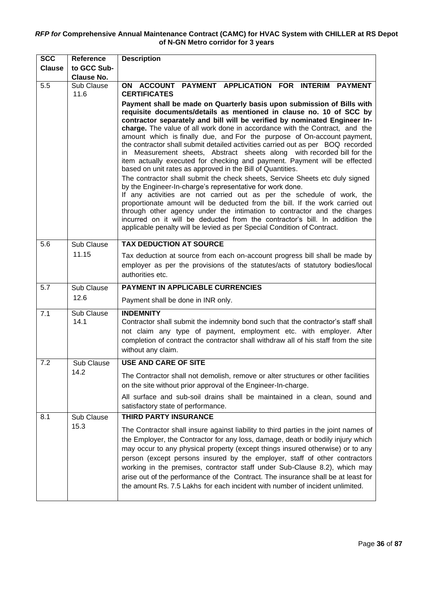| <b>SCC</b>    | <b>Reference</b>   | <b>Description</b>                                                                                                                                                                                                                                                                                                                                                                                                                                                                                                                                                                                                                                                                                                                                                                                                                                                                                                                                                                                                                                                                       |
|---------------|--------------------|------------------------------------------------------------------------------------------------------------------------------------------------------------------------------------------------------------------------------------------------------------------------------------------------------------------------------------------------------------------------------------------------------------------------------------------------------------------------------------------------------------------------------------------------------------------------------------------------------------------------------------------------------------------------------------------------------------------------------------------------------------------------------------------------------------------------------------------------------------------------------------------------------------------------------------------------------------------------------------------------------------------------------------------------------------------------------------------|
| <b>Clause</b> | to GCC Sub-        |                                                                                                                                                                                                                                                                                                                                                                                                                                                                                                                                                                                                                                                                                                                                                                                                                                                                                                                                                                                                                                                                                          |
|               | <b>Clause No.</b>  |                                                                                                                                                                                                                                                                                                                                                                                                                                                                                                                                                                                                                                                                                                                                                                                                                                                                                                                                                                                                                                                                                          |
| 5.5           | Sub Clause<br>11.6 | ON ACCOUNT PAYMENT APPLICATION FOR INTERIM PAYMENT<br><b>CERTIFICATES</b><br>Payment shall be made on Quarterly basis upon submission of Bills with<br>requisite documents/details as mentioned in clause no. 10 of SCC by                                                                                                                                                                                                                                                                                                                                                                                                                                                                                                                                                                                                                                                                                                                                                                                                                                                               |
|               |                    | contractor separately and bill will be verified by nominated Engineer In-<br>charge. The value of all work done in accordance with the Contract, and the<br>amount which is finally due, and For the purpose of On-account payment,<br>the contractor shall submit detailed activities carried out as per BOQ recorded<br>in Measurement sheets, Abstract sheets along with recorded bill for the<br>item actually executed for checking and payment. Payment will be effected<br>based on unit rates as approved in the Bill of Quantities.<br>The contractor shall submit the check sheets, Service Sheets etc duly signed<br>by the Engineer-In-charge's representative for work done.<br>If any activities are not carried out as per the schedule of work, the<br>proportionate amount will be deducted from the bill. If the work carried out<br>through other agency under the intimation to contractor and the charges<br>incurred on it will be deducted from the contractor's bill. In addition the<br>applicable penalty will be levied as per Special Condition of Contract. |
| 5.6           | Sub Clause         | <b>TAX DEDUCTION AT SOURCE</b>                                                                                                                                                                                                                                                                                                                                                                                                                                                                                                                                                                                                                                                                                                                                                                                                                                                                                                                                                                                                                                                           |
|               | 11.15              | Tax deduction at source from each on-account progress bill shall be made by<br>employer as per the provisions of the statutes/acts of statutory bodies/local<br>authorities etc.                                                                                                                                                                                                                                                                                                                                                                                                                                                                                                                                                                                                                                                                                                                                                                                                                                                                                                         |
| 5.7           | Sub Clause         | <b>PAYMENT IN APPLICABLE CURRENCIES</b>                                                                                                                                                                                                                                                                                                                                                                                                                                                                                                                                                                                                                                                                                                                                                                                                                                                                                                                                                                                                                                                  |
|               | 12.6               | Payment shall be done in INR only.                                                                                                                                                                                                                                                                                                                                                                                                                                                                                                                                                                                                                                                                                                                                                                                                                                                                                                                                                                                                                                                       |
| 7.1           | Sub Clause<br>14.1 | <b>INDEMNITY</b><br>Contractor shall submit the indemnity bond such that the contractor's staff shall<br>not claim any type of payment, employment etc. with employer. After<br>completion of contract the contractor shall withdraw all of his staff from the site<br>without any claim.                                                                                                                                                                                                                                                                                                                                                                                                                                                                                                                                                                                                                                                                                                                                                                                                |
| 7.2           | Sub Clause         | <b>USE AND CARE OF SITE</b>                                                                                                                                                                                                                                                                                                                                                                                                                                                                                                                                                                                                                                                                                                                                                                                                                                                                                                                                                                                                                                                              |
|               | 14.2               | The Contractor shall not demolish, remove or alter structures or other facilities<br>on the site without prior approval of the Engineer-In-charge.                                                                                                                                                                                                                                                                                                                                                                                                                                                                                                                                                                                                                                                                                                                                                                                                                                                                                                                                       |
|               |                    | All surface and sub-soil drains shall be maintained in a clean, sound and<br>satisfactory state of performance.                                                                                                                                                                                                                                                                                                                                                                                                                                                                                                                                                                                                                                                                                                                                                                                                                                                                                                                                                                          |
| 8.1           | Sub Clause         | <b>THIRD PARTY INSURANCE</b>                                                                                                                                                                                                                                                                                                                                                                                                                                                                                                                                                                                                                                                                                                                                                                                                                                                                                                                                                                                                                                                             |
|               | 15.3               | The Contractor shall insure against liability to third parties in the joint names of<br>the Employer, the Contractor for any loss, damage, death or bodily injury which<br>may occur to any physical property (except things insured otherwise) or to any<br>person (except persons insured by the employer, staff of other contractors<br>working in the premises, contractor staff under Sub-Clause 8.2), which may<br>arise out of the performance of the Contract. The insurance shall be at least for<br>the amount Rs. 7.5 Lakhs for each incident with number of incident unlimited.                                                                                                                                                                                                                                                                                                                                                                                                                                                                                              |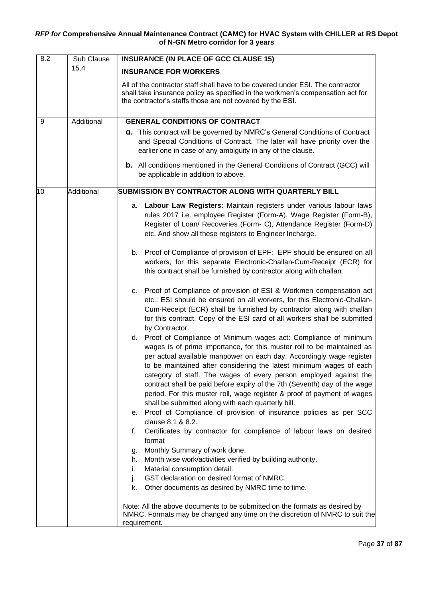| 8.2 | Sub Clause | <b>INSURANCE (IN PLACE OF GCC CLAUSE 15)</b>                                                                                                                                                                                                                                                                                                                                                                                                                                                                                                                                                                                                                                                                                                                                                                                                                                                                                                                                                                                         |  |  |  |
|-----|------------|--------------------------------------------------------------------------------------------------------------------------------------------------------------------------------------------------------------------------------------------------------------------------------------------------------------------------------------------------------------------------------------------------------------------------------------------------------------------------------------------------------------------------------------------------------------------------------------------------------------------------------------------------------------------------------------------------------------------------------------------------------------------------------------------------------------------------------------------------------------------------------------------------------------------------------------------------------------------------------------------------------------------------------------|--|--|--|
|     | 15.4       | <b>INSURANCE FOR WORKERS</b>                                                                                                                                                                                                                                                                                                                                                                                                                                                                                                                                                                                                                                                                                                                                                                                                                                                                                                                                                                                                         |  |  |  |
|     |            | All of the contractor staff shall have to be covered under ESI. The contractor<br>shall take insurance policy as specified in the workmen's compensation act for<br>the contractor's staffs those are not covered by the ESI.                                                                                                                                                                                                                                                                                                                                                                                                                                                                                                                                                                                                                                                                                                                                                                                                        |  |  |  |
| 9   | Additional | <b>GENERAL CONDITIONS OF CONTRACT</b>                                                                                                                                                                                                                                                                                                                                                                                                                                                                                                                                                                                                                                                                                                                                                                                                                                                                                                                                                                                                |  |  |  |
|     |            | a. This contract will be governed by NMRC's General Conditions of Contract<br>and Special Conditions of Contract. The later will have priority over the<br>earlier one in case of any ambiguity in any of the clause.                                                                                                                                                                                                                                                                                                                                                                                                                                                                                                                                                                                                                                                                                                                                                                                                                |  |  |  |
|     |            | <b>b.</b> All conditions mentioned in the General Conditions of Contract (GCC) will<br>be applicable in addition to above.                                                                                                                                                                                                                                                                                                                                                                                                                                                                                                                                                                                                                                                                                                                                                                                                                                                                                                           |  |  |  |
| 10  | Additional | SUBMISSION BY CONTRACTOR ALONG WITH QUARTERLY BILL                                                                                                                                                                                                                                                                                                                                                                                                                                                                                                                                                                                                                                                                                                                                                                                                                                                                                                                                                                                   |  |  |  |
|     |            | Labour Law Registers: Maintain registers under various labour laws<br>а.<br>rules 2017 i.e. employee Register (Form-A), Wage Register (Form-B),<br>Register of Loan/ Recoveries (Form- C), Attendance Register (Form-D)<br>etc. And show all these registers to Engineer Incharge.                                                                                                                                                                                                                                                                                                                                                                                                                                                                                                                                                                                                                                                                                                                                                   |  |  |  |
|     |            | b. Proof of Compliance of provision of EPF: EPF should be ensured on all<br>workers, for this separate Electronic-Challan-Cum-Receipt (ECR) for<br>this contract shall be furnished by contractor along with challan.                                                                                                                                                                                                                                                                                                                                                                                                                                                                                                                                                                                                                                                                                                                                                                                                                |  |  |  |
|     |            | c. Proof of Compliance of provision of ESI & Workmen compensation act<br>etc.: ESI should be ensured on all workers, for this Electronic-Challan-<br>Cum-Receipt (ECR) shall be furnished by contractor along with challan<br>for this contract. Copy of the ESI card of all workers shall be submitted<br>by Contractor.                                                                                                                                                                                                                                                                                                                                                                                                                                                                                                                                                                                                                                                                                                            |  |  |  |
|     |            | d. Proof of Compliance of Minimum wages act: Compliance of minimum<br>wages is of prime importance, for this muster roll to be maintained as<br>per actual available manpower on each day. Accordingly wage register<br>to be maintained after considering the latest minimum wages of each<br>category of staff. The wages of every person employed against the<br>contract shall be paid before expiry of the 7th (Seventh) day of the wage<br>period. For this muster roll, wage register & proof of payment of wages<br>shall be submitted along with each quarterly bill.<br>Proof of Compliance of provision of insurance policies as per SCC<br>е.<br>clause 8.1 & 8.2.<br>Certificates by contractor for compliance of labour laws on desired<br>f.<br>format<br>Monthly Summary of work done.<br>g.<br>Month wise work/activities verified by building authority.<br>h.<br>Material consumption detail.<br>İ.<br>GST declaration on desired format of NMRC.<br>j.<br>Other documents as desired by NMRC time to time.<br>k. |  |  |  |
|     |            | Note: All the above documents to be submitted on the formats as desired by<br>NMRC. Formats may be changed any time on the discretion of NMRC to suit the<br>requirement.                                                                                                                                                                                                                                                                                                                                                                                                                                                                                                                                                                                                                                                                                                                                                                                                                                                            |  |  |  |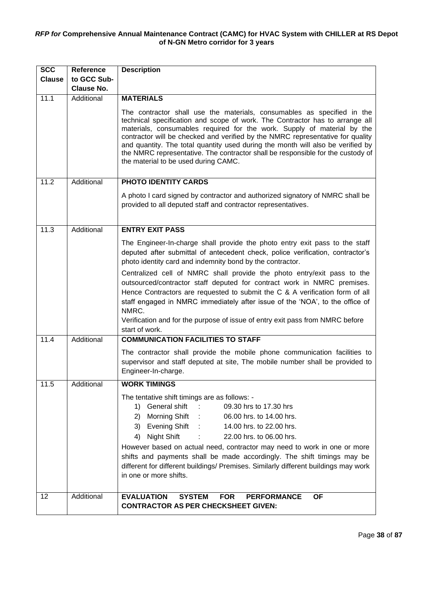| <b>SCC</b>    | Reference         | <b>Description</b>                                                                                                                                                                                                                                                                                                                                                                                                                                                                                                                                  |  |  |  |  |  |
|---------------|-------------------|-----------------------------------------------------------------------------------------------------------------------------------------------------------------------------------------------------------------------------------------------------------------------------------------------------------------------------------------------------------------------------------------------------------------------------------------------------------------------------------------------------------------------------------------------------|--|--|--|--|--|
| <b>Clause</b> | to GCC Sub-       |                                                                                                                                                                                                                                                                                                                                                                                                                                                                                                                                                     |  |  |  |  |  |
|               | <b>Clause No.</b> |                                                                                                                                                                                                                                                                                                                                                                                                                                                                                                                                                     |  |  |  |  |  |
| 11.1          | Additional        | <b>MATERIALS</b><br>The contractor shall use the materials, consumables as specified in the                                                                                                                                                                                                                                                                                                                                                                                                                                                         |  |  |  |  |  |
|               |                   | technical specification and scope of work. The Contractor has to arrange all<br>materials, consumables required for the work. Supply of material by the<br>contractor will be checked and verified by the NMRC representative for quality<br>and quantity. The total quantity used during the month will also be verified by<br>the NMRC representative. The contractor shall be responsible for the custody of<br>the material to be used during CAMC.                                                                                             |  |  |  |  |  |
| 11.2          | Additional        | PHOTO IDENTITY CARDS                                                                                                                                                                                                                                                                                                                                                                                                                                                                                                                                |  |  |  |  |  |
|               |                   | A photo I card signed by contractor and authorized signatory of NMRC shall be<br>provided to all deputed staff and contractor representatives.                                                                                                                                                                                                                                                                                                                                                                                                      |  |  |  |  |  |
| 11.3          | Additional        | <b>ENTRY EXIT PASS</b>                                                                                                                                                                                                                                                                                                                                                                                                                                                                                                                              |  |  |  |  |  |
|               |                   | The Engineer-In-charge shall provide the photo entry exit pass to the staff<br>deputed after submittal of antecedent check, police verification, contractor's<br>photo identity card and indemnity bond by the contractor.                                                                                                                                                                                                                                                                                                                          |  |  |  |  |  |
|               |                   | Centralized cell of NMRC shall provide the photo entry/exit pass to the<br>outsourced/contractor staff deputed for contract work in NMRC premises.<br>Hence Contractors are requested to submit the C & A verification form of all<br>staff engaged in NMRC immediately after issue of the 'NOA', to the office of<br>NMRC.<br>Verification and for the purpose of issue of entry exit pass from NMRC before<br>start of work.                                                                                                                      |  |  |  |  |  |
| 11.4          | Additional        | <b>COMMUNICATION FACILITIES TO STAFF</b>                                                                                                                                                                                                                                                                                                                                                                                                                                                                                                            |  |  |  |  |  |
|               |                   | The contractor shall provide the mobile phone communication facilities to<br>supervisor and staff deputed at site, The mobile number shall be provided to<br>Engineer-In-charge.                                                                                                                                                                                                                                                                                                                                                                    |  |  |  |  |  |
| 11.5          | Additional        | <b>WORK TIMINGS</b>                                                                                                                                                                                                                                                                                                                                                                                                                                                                                                                                 |  |  |  |  |  |
|               |                   | The tentative shift timings are as follows: -<br>1) General shift<br>09.30 hrs to 17.30 hrs<br>Morning Shift :<br>06.00 hrs. to 14.00 hrs.<br>2)<br>3) Evening Shift :<br>14.00 hrs. to 22.00 hrs.<br>Night Shift<br>22.00 hrs. to 06.00 hrs.<br>4)<br><b>Service State</b><br>However based on actual need, contractor may need to work in one or more<br>shifts and payments shall be made accordingly. The shift timings may be<br>different for different buildings/ Premises. Similarly different buildings may work<br>in one or more shifts. |  |  |  |  |  |
| 12            | Additional        | <b>EVALUATION</b><br><b>FOR</b><br><b>SYSTEM</b><br><b>PERFORMANCE</b><br><b>OF</b><br><b>CONTRACTOR AS PER CHECKSHEET GIVEN:</b>                                                                                                                                                                                                                                                                                                                                                                                                                   |  |  |  |  |  |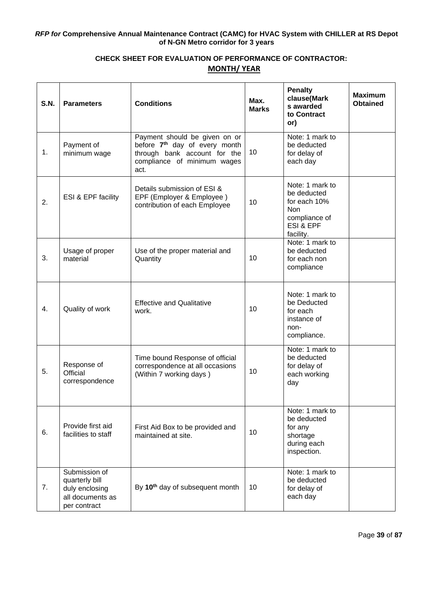# **CHECK SHEET FOR EVALUATION OF PERFORMANCE OF CONTRACTOR: MONTH/ YEAR**

| S.N. | <b>Parameters</b>                                                                     | <b>Conditions</b>                                                                                                                                 | Max.<br><b>Marks</b> | <b>Penalty</b><br>clause(Mark<br>s awarded<br>to Contract<br>or)                                        | <b>Maximum</b><br><b>Obtained</b> |
|------|---------------------------------------------------------------------------------------|---------------------------------------------------------------------------------------------------------------------------------------------------|----------------------|---------------------------------------------------------------------------------------------------------|-----------------------------------|
| 1.   | Payment of<br>minimum wage                                                            | Payment should be given on or<br>before 7 <sup>th</sup> day of every month<br>through bank account for the<br>compliance of minimum wages<br>act. | 10                   | Note: 1 mark to<br>be deducted<br>for delay of<br>each day                                              |                                   |
| 2.   | ESI & EPF facility                                                                    | Details submission of ESI &<br>EPF (Employer & Employee)<br>contribution of each Employee                                                         | 10                   | Note: 1 mark to<br>be deducted<br>for each 10%<br><b>Non</b><br>compliance of<br>ESI & EPF<br>facility. |                                   |
| 3.   | Usage of proper<br>material                                                           | Use of the proper material and<br>Quantity                                                                                                        | 10                   | Note: 1 mark to<br>be deducted<br>for each non<br>compliance                                            |                                   |
| 4.   | Quality of work                                                                       | <b>Effective and Qualitative</b><br>work.                                                                                                         | 10                   | Note: 1 mark to<br>be Deducted<br>for each<br>instance of<br>non-<br>compliance.                        |                                   |
| 5.   | Response of<br>Official<br>correspondence                                             | Time bound Response of official<br>correspondence at all occasions<br>(Within 7 working days)                                                     | 10 <sup>1</sup>      | Note: 1 mark to<br>be deducted<br>for delay of<br>each working<br>day                                   |                                   |
| 6.   | Provide first aid<br>facilities to staff                                              | First Aid Box to be provided and<br>maintained at site.                                                                                           | 10                   | Note: 1 mark to<br>be deducted<br>for any<br>shortage<br>during each<br>inspection.                     |                                   |
| 7.   | Submission of<br>quarterly bill<br>duly enclosing<br>all documents as<br>per contract | By 10 <sup>th</sup> day of subsequent month                                                                                                       | 10                   | Note: 1 mark to<br>be deducted<br>for delay of<br>each day                                              |                                   |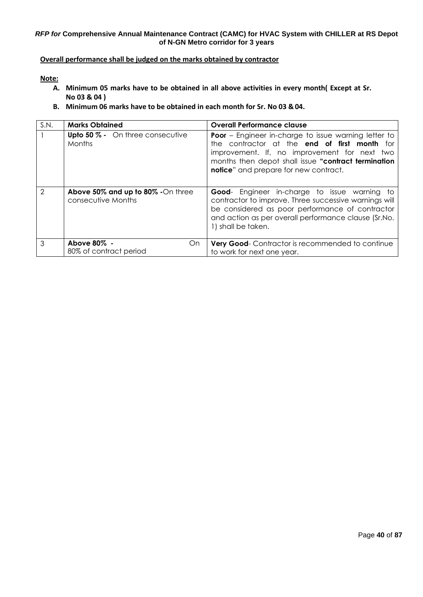# **Overall performance shall be judged on the marks obtained by contractor**

**Note:**

- **A. Minimum 05 marks have to be obtained in all above activities in every month( Except at Sr. No 03 & 04 )**
- **B. Minimum 06 marks have to be obtained in each month for Sr. No 03 &04.**

| S.N. | <b>Marks Obtained</b>                                   | <b>Overall Performance clause</b>                                                                                                                                                                                                                                          |  |  |
|------|---------------------------------------------------------|----------------------------------------------------------------------------------------------------------------------------------------------------------------------------------------------------------------------------------------------------------------------------|--|--|
|      | Upto 50 % - On three consecutive<br><b>Months</b>       | <b>Poor</b> – Engineer in-charge to issue warning letter to<br>the contractor at the <b>end of first month</b> for<br>improvement. If, no improvement for next two<br>months then depot shall issue "contract termination<br><b>notice</b> " and prepare for new contract. |  |  |
| 2    | Above 50% and up to 80% -On three<br>consecutive Months | <b>Good-</b> Engineer in-charge to issue warning to<br>contractor to improve. Three successive warnings will<br>be considered as poor performance of contractor<br>and action as per overall performance clause (Sr.No.<br>1) shall be taken.                              |  |  |
| 3    | Above 80% -<br>On.<br>80% of contract period            | <b>Very Good-</b> Contractor is recommended to continue<br>to work for next one year.                                                                                                                                                                                      |  |  |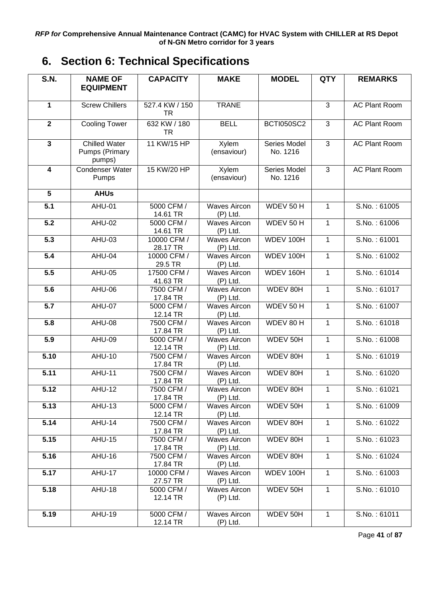# <span id="page-40-0"></span>**6. Section 6: Technical Specifications**

| <b>S.N.</b>             | <b>NAME OF</b>                                   | <b>CAPACITY</b>           | <b>MAKE</b>                       | <b>MODEL</b>              | <b>QTY</b>   | <b>REMARKS</b>       |
|-------------------------|--------------------------------------------------|---------------------------|-----------------------------------|---------------------------|--------------|----------------------|
|                         | <b>EQUIPMENT</b>                                 |                           |                                   |                           |              |                      |
| $\mathbf{1}$            | <b>Screw Chillers</b>                            | 527.4 KW / 150<br>TR      | <b>TRANE</b>                      |                           | 3            | <b>AC Plant Room</b> |
| $\overline{2}$          | <b>Cooling Tower</b>                             | 632 KW / 180<br><b>TR</b> | <b>BELL</b>                       | <b>BCTI050SC2</b>         | 3            | <b>AC Plant Room</b> |
| $\mathbf{3}$            | <b>Chilled Water</b><br>Pumps (Primary<br>pumps) | 11 KW/15 HP               | Xylem<br>(ensaviour)              | Series Model<br>No. 1216  | 3            | <b>AC Plant Room</b> |
| $\overline{\mathbf{4}}$ | Condenser Water<br>Pumps                         | 15 KW/20 HP               | Xylem<br>(ensaviour)              | Series Model<br>No. 1216  | 3            | <b>AC Plant Room</b> |
| $5\phantom{.0}$         | <b>AHUs</b>                                      |                           |                                   |                           |              |                      |
| 5.1                     | AHU-01                                           | 5000 CFM /<br>14.61 TR    | <b>Waves Aircon</b><br>$(P)$ Ltd. | WDEV 50 H                 | 1            | S.No.: 61005         |
| 5.2                     | <b>AHU-02</b>                                    | 5000 CFM /<br>14.61 TR    | <b>Waves Aircon</b><br>$(P)$ Ltd. | WDEV 50 H                 | 1            | S.No.: 61006         |
| $\overline{5.3}$        | <b>AHU-03</b>                                    | 10000 CFM /<br>28.17 TR   | <b>Waves Aircon</b><br>$(P)$ Ltd. | WDEV 100H                 | $\mathbf{1}$ | S.No.: 61001         |
| 5.4                     | AHU-04                                           | 10000 CFM /<br>29.5 TR    | <b>Waves Aircon</b><br>$(P)$ Ltd. | WDEV 100H<br>1            |              | S.No.: 61002         |
| 5.5                     | AHU-05                                           | 17500 CFM /<br>41.63 TR   | <b>Waves Aircon</b><br>$(P)$ Ltd. | WDEV 160H<br>1            |              | S.No.: 61014         |
| 5.6                     | AHU-06                                           | 7500 CFM /<br>17.84 TR    | <b>Waves Aircon</b><br>$(P)$ Ltd. | WDEV 80H<br>$\mathbf{1}$  |              | S.No.: 61017         |
| $\overline{5.7}$        | <b>AHU-07</b>                                    | 5000 CFM /<br>12.14 TR    | <b>Waves Aircon</b><br>$(P)$ Ltd. | WDEV 50 H<br>$\mathbf{1}$ |              | S.No.: 61007         |
| $\overline{5.8}$        | <b>AHU-08</b>                                    | 7500 CFM /<br>17.84 TR    | <b>Waves Aircon</b><br>$(P)$ Ltd. | WDEV 80 H<br>$\mathbf{1}$ |              | S.No.: 61018         |
| 5.9                     | AHU-09                                           | 5000 CFM /<br>12.14 TR    | <b>Waves Aircon</b><br>$(P)$ Ltd. | WDEV 50H<br>$\mathbf{1}$  |              | S.No.: 61008         |
| 5.10                    | <b>AHU-10</b>                                    | 7500 CFM /<br>17.84 TR    | <b>Waves Aircon</b><br>$(P)$ Ltd. | WDEV 80H                  | $\mathbf 1$  | S.No.: 61019         |
| 5.11                    | AHU-11                                           | 7500 CFM /<br>17.84 TR    | <b>Waves Aircon</b><br>$(P)$ Ltd. | WDEV 80H                  | 1            | S.No.: 61020         |
| 5.12                    | <b>AHU-12</b>                                    | 7500 CFM /<br>17.84 TR    | <b>Waves Aircon</b><br>$(P)$ Ltd. | WDEV 80H                  | 1            | S.No.: 61021         |
| 5.13                    | <b>AHU-13</b>                                    | 5000 CFM /<br>12.14 TR    | <b>Waves Aircon</b><br>$(P)$ Ltd. | WDEV 50H<br>1             |              | S.No.: 61009         |
| 5.14                    | <b>AHU-14</b>                                    | 7500 CFM /<br>17.84 TR    | <b>Waves Aircon</b><br>$(P)$ Ltd. | WDEV 80H                  | 1            | S.No.: 61022         |
| 5.15                    | <b>AHU-15</b>                                    | 7500 CFM /<br>17.84 TR    | <b>Waves Aircon</b><br>$(P)$ Ltd. | WDEV 80H<br>$\mathbf{1}$  |              | S.No.: 61023         |
| 5.16                    | <b>AHU-16</b>                                    | 7500 CFM /<br>17.84 TR    | <b>Waves Aircon</b><br>$(P)$ Ltd. | WDEV 80H                  | $\mathbf{1}$ | S.No.: 61024         |
| 5.17                    | <b>AHU-17</b>                                    | 10000 CFM /<br>27.57 TR   | <b>Waves Aircon</b><br>$(P)$ Ltd. | WDEV 100H                 | $\mathbf{1}$ | S.No.: 61003         |
| 5.18                    | <b>AHU-18</b>                                    | 5000 CFM /<br>12.14 TR    | <b>Waves Aircon</b><br>$(P)$ Ltd. | $\mathbf{1}$<br>WDEV 50H  |              | S.No.: 61010         |
| 5.19                    | <b>AHU-19</b>                                    | 5000 CFM /<br>12.14 TR    | <b>Waves Aircon</b><br>$(P)$ Ltd. | WDEV 50H                  | $\mathbf{1}$ | S.No.: 61011         |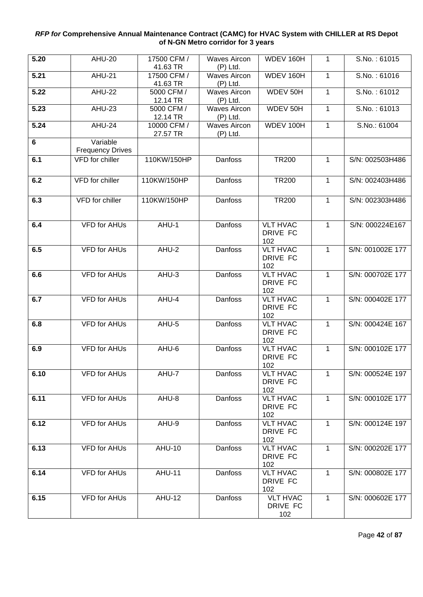| 5.20 | <b>AHU-20</b>                       | 17500 CFM /<br>41.63 TR | <b>Waves Aircon</b><br>$(P)$ Ltd. | WDEV 160H                          | 1            | S.No.: 61015     |
|------|-------------------------------------|-------------------------|-----------------------------------|------------------------------------|--------------|------------------|
| 5.21 | <b>AHU-21</b>                       | 17500 CFM /<br>41.63 TR | <b>Waves Aircon</b><br>$(P)$ Ltd. | WDEV 160H                          | 1            | S.No.: 61016     |
| 5.22 | <b>AHU-22</b>                       | 5000 CFM /<br>12.14 TR  | <b>Waves Aircon</b><br>$(P)$ Ltd. | WDEV 50H                           | 1            | S.No.: 61012     |
| 5.23 | AHU-23                              | 5000 CFM /<br>12.14 TR  | <b>Waves Aircon</b><br>$(P)$ Ltd. | WDEV 50H                           | 1            | S.No.: 61013     |
| 5.24 | AHU-24                              | 10000 CFM /<br>27.57 TR | <b>Waves Aircon</b><br>$(P)$ Ltd. | WDEV 100H                          | $\mathbf{1}$ | S.No.: 61004     |
| 6    | Variable<br><b>Frequency Drives</b> |                         |                                   |                                    |              |                  |
| 6.1  | VFD for chiller                     | 110KW/150HP             | Danfoss                           | <b>TR200</b>                       | 1            | S/N: 002503H486  |
| 6.2  | VFD for chiller                     | 110KW/150HP             | Danfoss                           | <b>TR200</b>                       | 1            | S/N: 002403H486  |
| 6.3  | VFD for chiller                     | 110KW/150HP             | Danfoss                           | <b>TR200</b>                       | 1            | S/N: 002303H486  |
| 6.4  | <b>VFD for AHUs</b>                 | AHU-1                   | <b>Danfoss</b>                    | <b>VLT HVAC</b><br>DRIVE FC<br>102 | $\mathbf{1}$ | S/N: 000224E167  |
| 6.5  | <b>VFD for AHUs</b>                 | AHU-2                   | Danfoss                           | <b>VLT HVAC</b><br>DRIVE FC<br>102 |              | S/N: 001002E 177 |
| 6.6  | <b>VFD for AHUs</b>                 | AHU-3                   | Danfoss                           | <b>VLT HVAC</b><br>DRIVE FC<br>102 | 1            | S/N: 000702E 177 |
| 6.7  | <b>VFD for AHUs</b>                 | AHU-4                   | Danfoss                           | <b>VLT HVAC</b><br>DRIVE FC<br>102 | $\mathbf{1}$ | S/N: 000402E 177 |
| 6.8  | <b>VFD for AHUs</b>                 | AHU-5                   | Danfoss                           | <b>VLT HVAC</b><br>DRIVE FC<br>102 | $\mathbf{1}$ | S/N: 000424E 167 |
| 6.9  | <b>VFD for AHUs</b>                 | AHU-6                   | Danfoss                           | <b>VLT HVAC</b><br>DRIVE FC<br>102 | 1            | S/N: 000102E 177 |
| 6.10 | <b>VFD for AHUs</b>                 | AHU-7                   | Danfoss                           | <b>VLT HVAC</b><br>DRIVE FC<br>102 | 1            | S/N: 000524E 197 |
| 6.11 | VFD for AHUs                        | AHU-8                   | Danfoss                           | <b>VLT HVAC</b><br>DRIVE FC<br>102 | 1            | S/N: 000102E 177 |
| 6.12 | <b>VFD for AHUs</b>                 | AHU-9                   | Danfoss                           | <b>VLT HVAC</b><br>DRIVE FC<br>102 | 1            | S/N: 000124E 197 |
| 6.13 | <b>VFD for AHUs</b>                 | <b>AHU-10</b>           | Danfoss                           | <b>VLT HVAC</b><br>DRIVE FC<br>102 |              | S/N: 000202E 177 |
| 6.14 | <b>VFD for AHUs</b>                 | <b>AHU-11</b>           | Danfoss                           | <b>VLT HVAC</b><br>DRIVE FC<br>102 | $\mathbf{1}$ | S/N: 000802E 177 |
| 6.15 | <b>VFD for AHUs</b>                 | <b>AHU-12</b>           | Danfoss                           | <b>VLT HVAC</b><br>DRIVE FC<br>102 | $\mathbf{1}$ | S/N: 000602E 177 |

Page **42** of **87**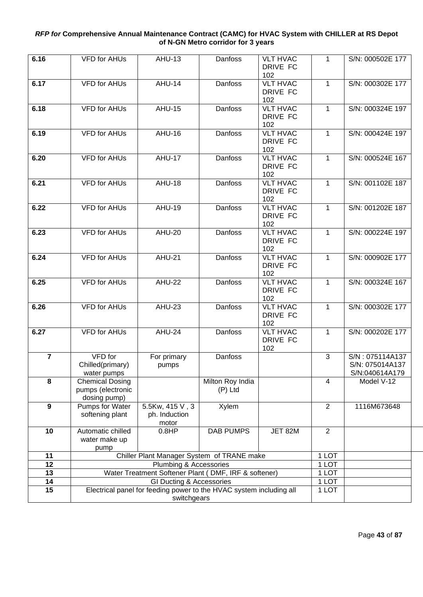| 6.16             | <b>VFD for AHUs</b>               | <b>AHU-13</b>                                                       | Danfoss          | <b>VLT HVAC</b><br>DRIVE FC | $\mathbf 1$    | S/N: 000502E 177 |
|------------------|-----------------------------------|---------------------------------------------------------------------|------------------|-----------------------------|----------------|------------------|
|                  |                                   |                                                                     |                  |                             |                |                  |
| 6.17             | <b>VFD for AHUs</b>               | <b>AHU-14</b>                                                       | Danfoss          | 102<br><b>VLT HVAC</b>      | $\mathbf{1}$   | S/N: 000302E 177 |
|                  |                                   |                                                                     |                  | DRIVE FC                    |                |                  |
|                  |                                   |                                                                     |                  | 102                         |                |                  |
| 6.18             | <b>VFD for AHUs</b>               | <b>AHU-15</b>                                                       | Danfoss          | <b>VLT HVAC</b>             | 1              | S/N: 000324E 197 |
|                  |                                   |                                                                     |                  | DRIVE FC                    |                |                  |
|                  |                                   |                                                                     |                  | 102                         |                |                  |
| 6.19             | <b>VFD for AHUs</b>               | <b>AHU-16</b>                                                       | Danfoss          | <b>VLT HVAC</b>             | $\mathbf{1}$   | S/N: 000424E 197 |
|                  |                                   |                                                                     |                  | DRIVE FC                    |                |                  |
|                  |                                   |                                                                     |                  | 102                         |                |                  |
| 6.20             | <b>VFD for AHUs</b>               | <b>AHU-17</b>                                                       | <b>Danfoss</b>   | <b>VLT HVAC</b>             | $\mathbf{1}$   | S/N: 000524E 167 |
|                  |                                   |                                                                     |                  | DRIVE FC                    |                |                  |
|                  |                                   |                                                                     |                  | 102                         |                |                  |
| 6.21             | <b>VFD for AHUs</b>               | <b>AHU-18</b>                                                       | Danfoss          | <b>VLT HVAC</b>             | $\mathbf{1}$   | S/N: 001102E 187 |
|                  |                                   |                                                                     |                  | DRIVE FC<br>102             |                |                  |
| 6.22             | <b>VFD for AHUs</b>               | <b>AHU-19</b>                                                       | Danfoss          | <b>VLT HVAC</b>             | $\mathbf{1}$   | S/N: 001202E 187 |
|                  |                                   |                                                                     |                  | DRIVE FC                    |                |                  |
|                  |                                   |                                                                     |                  | 102                         |                |                  |
| 6.23             | <b>VFD for AHUs</b>               | <b>AHU-20</b>                                                       | Danfoss          | <b>VLT HVAC</b>             | $\mathbf{1}$   | S/N: 000224E 197 |
|                  |                                   |                                                                     |                  | DRIVE FC                    |                |                  |
|                  |                                   |                                                                     |                  | 102                         |                |                  |
| 6.24             | <b>VFD for AHUs</b>               | <b>AHU-21</b>                                                       | Danfoss          | <b>VLT HVAC</b>             | 1              | S/N: 000902E 177 |
|                  |                                   |                                                                     |                  | DRIVE FC                    |                |                  |
|                  |                                   |                                                                     |                  | 102                         |                |                  |
| 6.25             | <b>VFD for AHUs</b>               | <b>AHU-22</b>                                                       | <b>Danfoss</b>   | <b>VLT HVAC</b>             | 1              | S/N: 000324E 167 |
|                  |                                   |                                                                     |                  | DRIVE FC                    |                |                  |
| 6.26             | <b>VFD for AHUs</b>               | $\overline{AHU}$ -23                                                | Danfoss          | 102<br><b>VLT HVAC</b>      | $\mathbf{1}$   | S/N: 000302E 177 |
|                  |                                   |                                                                     |                  | DRIVE FC                    |                |                  |
|                  |                                   |                                                                     |                  | 102                         |                |                  |
| 6.27             | <b>VFD for AHUs</b>               | AHU-24                                                              | Danfoss          | <b>VLT HVAC</b>             | 1              | S/N: 000202E 177 |
|                  |                                   |                                                                     |                  | DRIVE FC                    |                |                  |
|                  |                                   |                                                                     |                  | 102                         |                |                  |
| $\overline{7}$   | VFD for                           | For primary                                                         | Danfoss          |                             | 3              | S/N: 075114A137  |
|                  | Chilled(primary)                  | pumps                                                               |                  |                             |                | S/N: 075014A137  |
|                  | water pumps                       |                                                                     |                  |                             |                | S/N:040614A179   |
| 8                | <b>Chemical Dosing</b>            |                                                                     | Milton Roy India |                             | 4              | Model V-12       |
|                  | pumps (electronic<br>dosing pump) |                                                                     | $(P)$ Ltd        |                             |                |                  |
| $\boldsymbol{9}$ | Pumps for Water                   | 5.5Kw, 415 V, 3                                                     | Xylem            |                             | $\overline{2}$ | 1116M673648      |
|                  | softening plant                   | ph. Induction                                                       |                  |                             |                |                  |
|                  |                                   | motor                                                               |                  |                             |                |                  |
| 10               | Automatic chilled                 | 0.8HP                                                               | <b>DAB PUMPS</b> | JET 82M                     | $\overline{2}$ |                  |
|                  | water make up                     |                                                                     |                  |                             |                |                  |
|                  | pump                              |                                                                     |                  |                             |                |                  |
| 11               |                                   | Chiller Plant Manager System of TRANE make                          |                  |                             | 1 LOT          |                  |
| 12               |                                   | Plumbing & Accessories                                              |                  |                             | 1 LOT          |                  |
| 13               |                                   | Water Treatment Softener Plant (DMF, IRF & softener)                |                  |                             | 1 LOT          |                  |
| 14               |                                   | GI Ducting & Accessories                                            |                  |                             | 1 LOT          |                  |
| 15               |                                   | Electrical panel for feeding power to the HVAC system including all |                  |                             | 1 LOT          |                  |
|                  | switchgears                       |                                                                     |                  |                             |                |                  |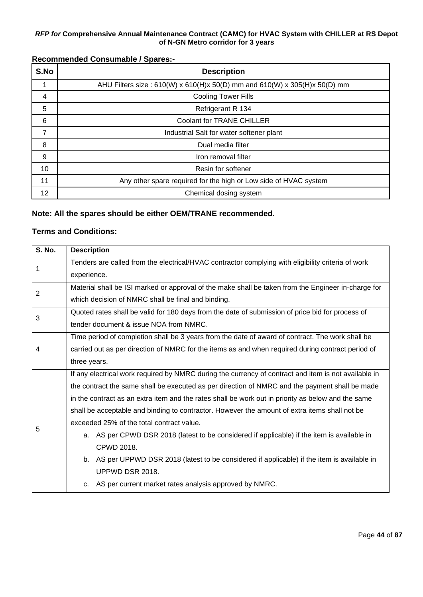# **Recommended Consumable / Spares:-**

| S.No | <b>Description</b>                                                        |
|------|---------------------------------------------------------------------------|
|      | AHU Filters size: 610(W) x 610(H)x 50(D) mm and 610(W) x 305(H)x 50(D) mm |
| 4    | <b>Cooling Tower Fills</b>                                                |
| 5    | Refrigerant R 134                                                         |
| 6    | Coolant for TRANE CHILLER                                                 |
| 7    | Industrial Salt for water softener plant                                  |
| 8    | Dual media filter                                                         |
| 9    | Iron removal filter                                                       |
| 10   | Resin for softener                                                        |
| 11   | Any other spare required for the high or Low side of HVAC system          |
| 12   | Chemical dosing system                                                    |

# **Note: All the spares should be either OEM/TRANE recommended**.

# **Terms and Conditions:**

| <b>S. No.</b>  | <b>Description</b>                                                                                   |  |  |  |  |  |
|----------------|------------------------------------------------------------------------------------------------------|--|--|--|--|--|
| 1              | Tenders are called from the electrical/HVAC contractor complying with eligibility criteria of work   |  |  |  |  |  |
|                | experience.                                                                                          |  |  |  |  |  |
| $\overline{2}$ | Material shall be ISI marked or approval of the make shall be taken from the Engineer in-charge for  |  |  |  |  |  |
|                | which decision of NMRC shall be final and binding.                                                   |  |  |  |  |  |
| 3              | Quoted rates shall be valid for 180 days from the date of submission of price bid for process of     |  |  |  |  |  |
|                | tender document & issue NOA from NMRC.                                                               |  |  |  |  |  |
|                | Time period of completion shall be 3 years from the date of award of contract. The work shall be     |  |  |  |  |  |
| 4              | carried out as per direction of NMRC for the items as and when required during contract period of    |  |  |  |  |  |
|                | three years.                                                                                         |  |  |  |  |  |
|                | If any electrical work required by NMRC during the currency of contract and item is not available in |  |  |  |  |  |
|                | the contract the same shall be executed as per direction of NMRC and the payment shall be made       |  |  |  |  |  |
|                | in the contract as an extra item and the rates shall be work out in priority as below and the same   |  |  |  |  |  |
|                | shall be acceptable and binding to contractor. However the amount of extra items shall not be        |  |  |  |  |  |
| 5              | exceeded 25% of the total contract value.                                                            |  |  |  |  |  |
|                | a. AS per CPWD DSR 2018 (latest to be considered if applicable) if the item is available in          |  |  |  |  |  |
|                | CPWD 2018.                                                                                           |  |  |  |  |  |
|                | b. AS per UPPWD DSR 2018 (latest to be considered if applicable) if the item is available in         |  |  |  |  |  |
|                | UPPWD DSR 2018.                                                                                      |  |  |  |  |  |
|                | c. AS per current market rates analysis approved by NMRC.                                            |  |  |  |  |  |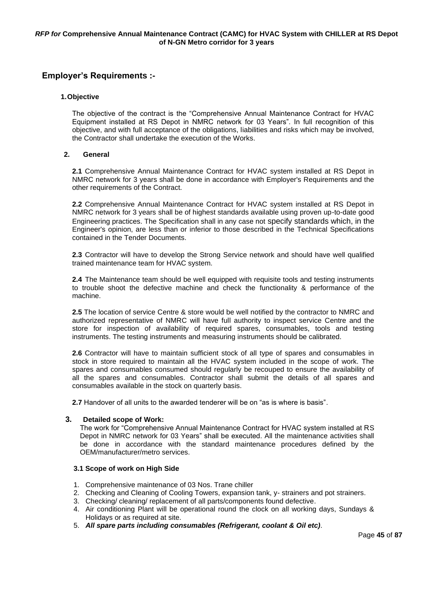# **Employer's Requirements :-**

#### **1.Objective**

The objective of the contract is the "Comprehensive Annual Maintenance Contract for HVAC Equipment installed at RS Depot in NMRC network for 03 Years". In full recognition of this objective, and with full acceptance of the obligations, liabilities and risks which may be involved, the Contractor shall undertake the execution of the Works.

#### **2. General**

**2.1** Comprehensive Annual Maintenance Contract for HVAC system installed at RS Depot in NMRC network for 3 years shall be done in accordance with Employer's Requirements and the other requirements of the Contract.

**2.2** Comprehensive Annual Maintenance Contract for HVAC system installed at RS Depot in NMRC network for 3 years shall be of highest standards available using proven up-to-date good Engineering practices. The Specification shall in any case not specify standards which, in the Engineer's opinion, are less than or inferior to those described in the Technical Specifications contained in the Tender Documents.

**2.3** Contractor will have to develop the Strong Service network and should have well qualified trained maintenance team for HVAC system.

**2.4** The Maintenance team should be well equipped with requisite tools and testing instruments to trouble shoot the defective machine and check the functionality & performance of the machine.

**2.5** The location of service Centre & store would be well notified by the contractor to NMRC and authorized representative of NMRC will have full authority to inspect service Centre and the store for inspection of availability of required spares, consumables, tools and testing instruments. The testing instruments and measuring instruments should be calibrated.

**2.6** Contractor will have to maintain sufficient stock of all type of spares and consumables in stock in store required to maintain all the HVAC system included in the scope of work. The spares and consumables consumed should regularly be recouped to ensure the availability of all the spares and consumables. Contractor shall submit the details of all spares and consumables available in the stock on quarterly basis.

**2.7** Handover of all units to the awarded tenderer will be on "as is where is basis".

#### **3. Detailed scope of Work:**

The work for "Comprehensive Annual Maintenance Contract for HVAC system installed at RS Depot in NMRC network for 03 Years" shall be executed. All the maintenance activities shall be done in accordance with the standard maintenance procedures defined by the OEM/manufacturer/metro services.

#### **3.1 Scope of work on High Side**

- 1. Comprehensive maintenance of 03 Nos. Trane chiller
- 2. Checking and Cleaning of Cooling Towers, expansion tank, y- strainers and pot strainers.
- 3. Checking/ cleaning/ replacement of all parts/components found defective.
- 4. Air conditioning Plant will be operational round the clock on all working days, Sundays & Holidays or as required at site.
- 5. *All spare parts including consumables (Refrigerant, coolant & Oil etc)*.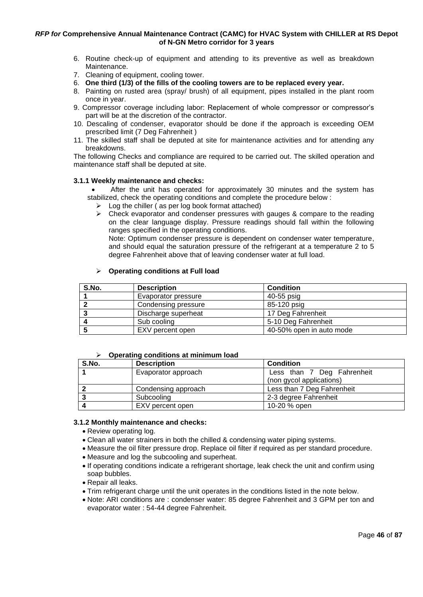- 6. Routine check-up of equipment and attending to its preventive as well as breakdown Maintenance.
- 7. Cleaning of equipment, cooling tower.
- 6. **One third (1/3) of the fills of the cooling towers are to be replaced every year.**
- 8. Painting on rusted area (spray/ brush) of all equipment, pipes installed in the plant room once in year.
- 9. Compressor coverage including labor: Replacement of whole compressor or compressor's part will be at the discretion of the contractor.
- 10. Descaling of condenser, evaporator should be done if the approach is exceeding OEM prescribed limit (7 Deg Fahrenheit )
- 11. The skilled staff shall be deputed at site for maintenance activities and for attending any breakdowns.

The following Checks and compliance are required to be carried out. The skilled operation and maintenance staff shall be deputed at site.

#### **3.1.1 Weekly maintenance and checks:**

After the unit has operated for approximately 30 minutes and the system has stabilized, check the operating conditions and complete the procedure below :

- $\triangleright$  Log the chiller (as per log book format attached)
- $\triangleright$  Check evaporator and condenser pressures with gauges & compare to the reading on the clear language display. Pressure readings should fall within the following ranges specified in the operating conditions.

Note: Optimum condenser pressure is dependent on condenser water temperature, and should equal the saturation pressure of the refrigerant at a temperature 2 to 5 degree Fahrenheit above that of leaving condenser water at full load.

| S.No. | <b>Description</b>  | <b>Condition</b>         |
|-------|---------------------|--------------------------|
|       | Evaporator pressure | 40-55 psig               |
|       | Condensing pressure | 85-120 psig              |
|       | Discharge superheat | 17 Deg Fahrenheit        |
|       | Sub cooling         | 5-10 Deg Fahrenheit      |
|       | EXV percent open    | 40-50% open in auto mode |

#### ➢ **Operating conditions at Full load**

#### ➢ **Operating conditions at minimum load**

| S.No. | <b>Description</b>  | <b>Condition</b>           |  |  |
|-------|---------------------|----------------------------|--|--|
|       | Evaporator approach | Less than 7 Deg Fahrenheit |  |  |
|       |                     | (non gycol applications)   |  |  |
|       | Condensing approach | Less than 7 Deg Fahrenheit |  |  |
|       | Subcooling          | 2-3 degree Fahrenheit      |  |  |
|       | EXV percent open    | 10-20 % open               |  |  |

#### **3.1.2 Monthly maintenance and checks:**

- Review operating log.
- Clean all water strainers in both the chilled & condensing water piping systems.
- Measure the oil filter pressure drop. Replace oil filter if required as per standard procedure.
- Measure and log the subcooling and superheat.
- If operating conditions indicate a refrigerant shortage, leak check the unit and confirm using soap bubbles.
- Repair all leaks.
- Trim refrigerant charge until the unit operates in the conditions listed in the note below.
- Note: ARI conditions are : condenser water: 85 degree Fahrenheit and 3 GPM per ton and evaporator water : 54-44 degree Fahrenheit.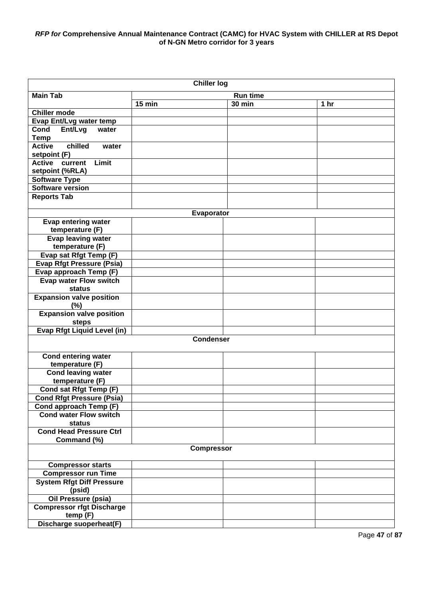| <b>Chiller log</b>                           |        |                  |                 |                 |  |  |
|----------------------------------------------|--------|------------------|-----------------|-----------------|--|--|
| <b>Main Tab</b>                              |        |                  | <b>Run time</b> |                 |  |  |
|                                              | 15 min |                  | <b>30 min</b>   | 1 <sub>hr</sub> |  |  |
| <b>Chiller mode</b>                          |        |                  |                 |                 |  |  |
| Evap Ent/Lvg water temp                      |        |                  |                 |                 |  |  |
| Cond<br>Ent/Lvg<br>water                     |        |                  |                 |                 |  |  |
| <b>Temp</b>                                  |        |                  |                 |                 |  |  |
| chilled<br><b>Active</b><br>water            |        |                  |                 |                 |  |  |
| setpoint (F)                                 |        |                  |                 |                 |  |  |
| Limit<br><b>Active</b><br>current            |        |                  |                 |                 |  |  |
| setpoint (%RLA)                              |        |                  |                 |                 |  |  |
| <b>Software Type</b><br>Software version     |        |                  |                 |                 |  |  |
| <b>Reports Tab</b>                           |        |                  |                 |                 |  |  |
|                                              |        |                  |                 |                 |  |  |
|                                              |        | Evaporator       |                 |                 |  |  |
| <b>Evap entering water</b>                   |        |                  |                 |                 |  |  |
| temperature (F)                              |        |                  |                 |                 |  |  |
| <b>Evap leaving water</b>                    |        |                  |                 |                 |  |  |
| temperature (F)                              |        |                  |                 |                 |  |  |
| Evap sat Rfgt Temp (F)                       |        |                  |                 |                 |  |  |
| <b>Evap Rfgt Pressure (Psia)</b>             |        |                  |                 |                 |  |  |
| Evap approach Temp (F)                       |        |                  |                 |                 |  |  |
| <b>Evap water Flow switch</b>                |        |                  |                 |                 |  |  |
| status                                       |        |                  |                 |                 |  |  |
| <b>Expansion valve position</b><br>(%)       |        |                  |                 |                 |  |  |
| <b>Expansion valve position</b>              |        |                  |                 |                 |  |  |
| steps                                        |        |                  |                 |                 |  |  |
| <b>Evap Rfgt Liquid Level (in)</b>           |        |                  |                 |                 |  |  |
|                                              |        | <b>Condenser</b> |                 |                 |  |  |
|                                              |        |                  |                 |                 |  |  |
| <b>Cond entering water</b>                   |        |                  |                 |                 |  |  |
| temperature (F)<br><b>Cond leaving water</b> |        |                  |                 |                 |  |  |
| temperature (F)                              |        |                  |                 |                 |  |  |
| <b>Cond sat Rfgt Temp (F)</b>                |        |                  |                 |                 |  |  |
| <b>Cond Rfgt Pressure (Psia)</b>             |        |                  |                 |                 |  |  |
| Cond approach Temp (F)                       |        |                  |                 |                 |  |  |
| <b>Cond water Flow switch</b>                |        |                  |                 |                 |  |  |
| status                                       |        |                  |                 |                 |  |  |
| <b>Cond Head Pressure Ctrl</b>               |        |                  |                 |                 |  |  |
| Command (%)                                  |        |                  |                 |                 |  |  |
| <b>Compressor</b>                            |        |                  |                 |                 |  |  |
| <b>Compressor starts</b>                     |        |                  |                 |                 |  |  |
| <b>Compressor run Time</b>                   |        |                  |                 |                 |  |  |
| <b>System Rfgt Diff Pressure</b>             |        |                  |                 |                 |  |  |
| (psid)                                       |        |                  |                 |                 |  |  |
| <b>Oil Pressure (psia)</b>                   |        |                  |                 |                 |  |  |
| <b>Compressor rfgt Discharge</b>             |        |                  |                 |                 |  |  |
| temp(F)                                      |        |                  |                 |                 |  |  |
| Discharge suoperheat(F)                      |        |                  |                 |                 |  |  |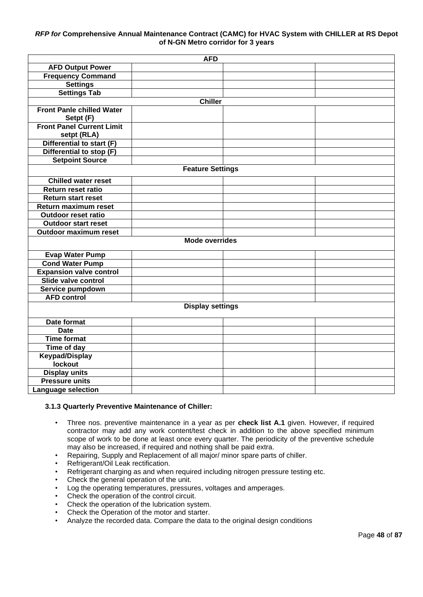|                                  | <b>AFD</b>              |  |
|----------------------------------|-------------------------|--|
| <b>AFD Output Power</b>          |                         |  |
| <b>Frequency Command</b>         |                         |  |
| <b>Settings</b>                  |                         |  |
| <b>Settings Tab</b>              |                         |  |
|                                  | <b>Chiller</b>          |  |
| <b>Front Panle chilled Water</b> |                         |  |
| Setpt (F)                        |                         |  |
| <b>Front Panel Current Limit</b> |                         |  |
| setpt (RLA)                      |                         |  |
| Differential to start (F)        |                         |  |
| Differential to stop (F)         |                         |  |
| <b>Setpoint Source</b>           |                         |  |
|                                  | <b>Feature Settings</b> |  |
| <b>Chilled water reset</b>       |                         |  |
| Return reset ratio               |                         |  |
| <b>Return start reset</b>        |                         |  |
| Return maximum reset             |                         |  |
| <b>Outdoor reset ratio</b>       |                         |  |
| <b>Outdoor start reset</b>       |                         |  |
| Outdoor maximum reset            |                         |  |
|                                  | <b>Mode overrides</b>   |  |
| <b>Evap Water Pump</b>           |                         |  |
| <b>Cond Water Pump</b>           |                         |  |
| <b>Expansion valve control</b>   |                         |  |
| Slide valve control              |                         |  |
| Service pumpdown                 |                         |  |
| <b>AFD control</b>               |                         |  |
|                                  | <b>Display settings</b> |  |
|                                  |                         |  |
| Date format                      |                         |  |
| <b>Date</b>                      |                         |  |
| <b>Time format</b>               |                         |  |
| Time of day                      |                         |  |
| <b>Keypad/Display</b>            |                         |  |
| lockout                          |                         |  |
| <b>Display units</b>             |                         |  |
| <b>Pressure units</b>            |                         |  |
| <b>Language selection</b>        |                         |  |

#### **3.1.3 Quarterly Preventive Maintenance of Chiller:**

- Three nos. preventive maintenance in a year as per **check list A.1** given. However, if required contractor may add any work content/test check in addition to the above specified minimum scope of work to be done at least once every quarter. The periodicity of the preventive schedule may also be increased, if required and nothing shall be paid extra.
- Repairing, Supply and Replacement of all major/ minor spare parts of chiller.
- Refrigerant/Oil Leak rectification.
- Refrigerant charging as and when required including nitrogen pressure testing etc.
- Check the general operation of the unit.
- Log the operating temperatures, pressures, voltages and amperages.
- Check the operation of the control circuit.
- Check the operation of the lubrication system.
- Check the Operation of the motor and starter.
- Analyze the recorded data. Compare the data to the original design conditions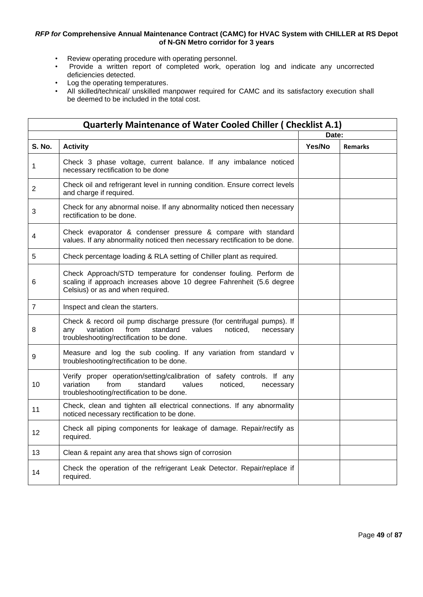- Review operating procedure with operating personnel.<br>• Provide a written report of completed work, operational
- Provide a written report of completed work, operation log and indicate any uncorrected deficiencies detected.
- Log the operating temperatures.
- All skilled/technical/ unskilled manpower required for CAMC and its satisfactory execution shall be deemed to be included in the total cost.

|                | <b>Quarterly Maintenance of Water Cooled Chiller ( Checklist A.1)</b>                                                                                                                          |        |                |
|----------------|------------------------------------------------------------------------------------------------------------------------------------------------------------------------------------------------|--------|----------------|
|                |                                                                                                                                                                                                |        | Date:          |
| <b>S. No.</b>  | <b>Activity</b>                                                                                                                                                                                | Yes/No | <b>Remarks</b> |
| 1              | Check 3 phase voltage, current balance. If any imbalance noticed<br>necessary rectification to be done                                                                                         |        |                |
| $\overline{2}$ | Check oil and refrigerant level in running condition. Ensure correct levels<br>and charge if required.                                                                                         |        |                |
| 3              | Check for any abnormal noise. If any abnormality noticed then necessary<br>rectification to be done.                                                                                           |        |                |
| 4              | Check evaporator & condenser pressure & compare with standard<br>values. If any abnormality noticed then necessary rectification to be done.                                                   |        |                |
| 5              | Check percentage loading & RLA setting of Chiller plant as required.                                                                                                                           |        |                |
| 6              | Check Approach/STD temperature for condenser fouling. Perform de<br>scaling if approach increases above 10 degree Fahrenheit (5.6 degree<br>Celsius) or as and when required.                  |        |                |
| $\overline{7}$ | Inspect and clean the starters.                                                                                                                                                                |        |                |
| 8              | Check & record oil pump discharge pressure (for centrifugal pumps). If<br>variation<br>from<br>standard<br>values<br>noticed,<br>necessary<br>any<br>troubleshooting/rectification to be done. |        |                |
| 9              | Measure and log the sub cooling. If any variation from standard v<br>troubleshooting/rectification to be done.                                                                                 |        |                |
| 10             | Verify proper operation/setting/calibration of safety controls. If any<br>variation<br>from<br>standard<br>values<br>noticed,<br>necessary<br>troubleshooting/rectification to be done.        |        |                |
| 11             | Check, clean and tighten all electrical connections. If any abnormality<br>noticed necessary rectification to be done.                                                                         |        |                |
| 12             | Check all piping components for leakage of damage. Repair/rectify as<br>required.                                                                                                              |        |                |
| 13             | Clean & repaint any area that shows sign of corrosion                                                                                                                                          |        |                |
| 14             | Check the operation of the refrigerant Leak Detector. Repair/replace if<br>required.                                                                                                           |        |                |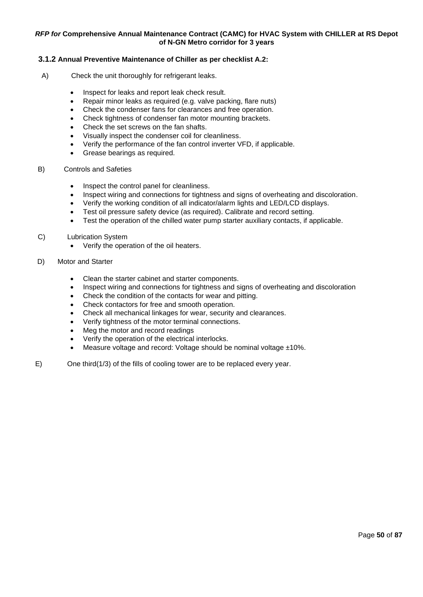#### **3.1.2 Annual Preventive Maintenance of Chiller as per checklist A.2:**

- A) Check the unit thoroughly for refrigerant leaks.
	- Inspect for leaks and report leak check result.
	- Repair minor leaks as required (e.g. valve packing, flare nuts)
	- Check the condenser fans for clearances and free operation.
	- Check tightness of condenser fan motor mounting brackets.
	- Check the set screws on the fan shafts.
	- Visually inspect the condenser coil for cleanliness.
	- Verify the performance of the fan control inverter VFD, if applicable.
	- Grease bearings as required.
- B) Controls and Safeties
	- Inspect the control panel for cleanliness.
	- Inspect wiring and connections for tightness and signs of overheating and discoloration.
	- Verify the working condition of all indicator/alarm lights and LED/LCD displays.
	- Test oil pressure safety device (as required). Calibrate and record setting.
	- Test the operation of the chilled water pump starter auxiliary contacts, if applicable.
- C) Lubrication System
	- Verify the operation of the oil heaters.
- D) Motor and Starter
	- Clean the starter cabinet and starter components.
	- Inspect wiring and connections for tightness and signs of overheating and discoloration
	- Check the condition of the contacts for wear and pitting.
	- Check contactors for free and smooth operation.
	- Check all mechanical linkages for wear, security and clearances.
	- Verify tightness of the motor terminal connections.
	- Meg the motor and record readings
	- Verify the operation of the electrical interlocks.
	- Measure voltage and record: Voltage should be nominal voltage  $\pm 10\%$ .
- E) One third(1/3) of the fills of cooling tower are to be replaced every year.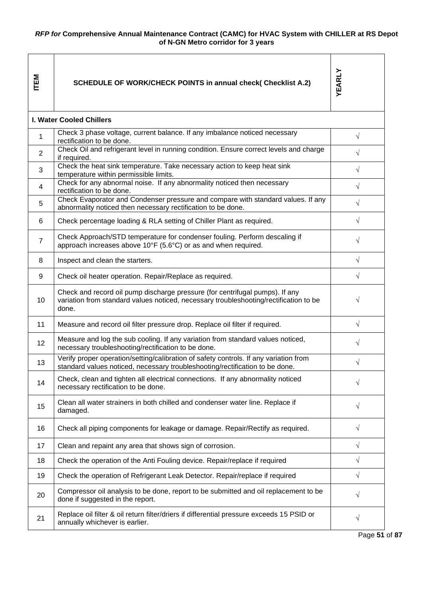| <b>NET</b>     | <b>SCHEDULE OF WORK/CHECK POINTS in annual check( Checklist A.2)</b>                                                                                                           | YEARLY     |
|----------------|--------------------------------------------------------------------------------------------------------------------------------------------------------------------------------|------------|
|                | <b>I. Water Cooled Chillers</b>                                                                                                                                                |            |
| 1              | Check 3 phase voltage, current balance. If any imbalance noticed necessary<br>rectification to be done.                                                                        | $\sqrt{}$  |
| $\overline{2}$ | Check Oil and refrigerant level in running condition. Ensure correct levels and charge<br>if required.                                                                         | $\sqrt{}$  |
| 3              | Check the heat sink temperature. Take necessary action to keep heat sink<br>temperature within permissible limits.                                                             | $\sqrt{}$  |
| $\overline{4}$ | Check for any abnormal noise. If any abnormality noticed then necessary<br>rectification to be done.                                                                           | $\sqrt{}$  |
| 5              | Check Evaporator and Condenser pressure and compare with standard values. If any<br>abnormality noticed then necessary rectification to be done.                               | V          |
| 6              | Check percentage loading & RLA setting of Chiller Plant as required.                                                                                                           | $\sqrt{ }$ |
| 7              | Check Approach/STD temperature for condenser fouling. Perform descaling if<br>approach increases above 10°F (5.6°C) or as and when required.                                   | V          |
| 8              | Inspect and clean the starters.                                                                                                                                                | $\sqrt{}$  |
| 9              | Check oil heater operation. Repair/Replace as required.                                                                                                                        | $\sqrt{}$  |
| 10             | Check and record oil pump discharge pressure (for centrifugal pumps). If any<br>variation from standard values noticed, necessary troubleshooting/rectification to be<br>done. | V          |
| 11             | Measure and record oil filter pressure drop. Replace oil filter if required.                                                                                                   | $\sqrt{}$  |
| 12             | Measure and log the sub cooling. If any variation from standard values noticed,<br>necessary troubleshooting/rectification to be done.                                         | V          |
| 13             | Verify proper operation/setting/calibration of safety controls. If any variation from<br>standard values noticed, necessary troubleshooting/rectification to be done.          | V          |
| 14             | Check, clean and tighten all electrical connections. If any abnormality noticed<br>necessary rectification to be done.                                                         | V          |
| 15             | Clean all water strainers in both chilled and condenser water line. Replace if<br>damaged.                                                                                     | $\sqrt{}$  |
| 16             | Check all piping components for leakage or damage. Repair/Rectify as required.                                                                                                 | $\sqrt{}$  |
| 17             | Clean and repaint any area that shows sign of corrosion.                                                                                                                       | $\sqrt{}$  |
| 18             | Check the operation of the Anti Fouling device. Repair/replace if required                                                                                                     | $\sqrt{}$  |
| 19             | Check the operation of Refrigerant Leak Detector. Repair/replace if required                                                                                                   | $\sqrt{}$  |
| 20             | Compressor oil analysis to be done, report to be submitted and oil replacement to be<br>done if suggested in the report.                                                       | V          |
| 21             | Replace oil filter & oil return filter/driers if differential pressure exceeds 15 PSID or<br>annually whichever is earlier.                                                    | $\sqrt{}$  |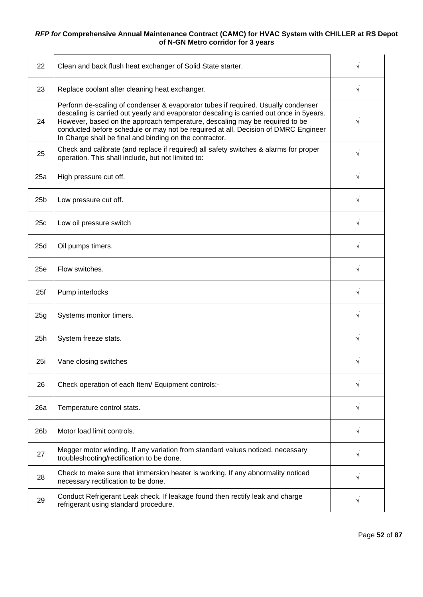| 22              | Clean and back flush heat exchanger of Solid State starter.                                                                                                                                                                                                                                                                                                                                                  | √         |
|-----------------|--------------------------------------------------------------------------------------------------------------------------------------------------------------------------------------------------------------------------------------------------------------------------------------------------------------------------------------------------------------------------------------------------------------|-----------|
| 23              | Replace coolant after cleaning heat exchanger.                                                                                                                                                                                                                                                                                                                                                               | V         |
| 24              | Perform de-scaling of condenser & evaporator tubes if required. Usually condenser<br>descaling is carried out yearly and evaporator descaling is carried out once in 5years.<br>However, based on the approach temperature, descaling may be required to be<br>conducted before schedule or may not be required at all. Decision of DMRC Engineer<br>In Charge shall be final and binding on the contractor. | V         |
| 25              | Check and calibrate (and replace if required) all safety switches & alarms for proper<br>operation. This shall include, but not limited to:                                                                                                                                                                                                                                                                  |           |
| 25a             | High pressure cut off.                                                                                                                                                                                                                                                                                                                                                                                       | V         |
| 25 <sub>b</sub> | Low pressure cut off.                                                                                                                                                                                                                                                                                                                                                                                        | V         |
| 25c             | Low oil pressure switch                                                                                                                                                                                                                                                                                                                                                                                      | V         |
| 25d             | Oil pumps timers.                                                                                                                                                                                                                                                                                                                                                                                            | V         |
| 25e             | Flow switches.                                                                                                                                                                                                                                                                                                                                                                                               | V         |
| 25f             | Pump interlocks                                                                                                                                                                                                                                                                                                                                                                                              | $\sqrt{}$ |
| 25g             | Systems monitor timers.                                                                                                                                                                                                                                                                                                                                                                                      | V         |
| 25h             | System freeze stats.                                                                                                                                                                                                                                                                                                                                                                                         | √         |
| 25i             | Vane closing switches                                                                                                                                                                                                                                                                                                                                                                                        |           |
| 26              | Check operation of each Item/ Equipment controls:-                                                                                                                                                                                                                                                                                                                                                           | V         |
| 26a             | Temperature control stats.                                                                                                                                                                                                                                                                                                                                                                                   | V         |
| 26 <sub>b</sub> | Motor load limit controls.                                                                                                                                                                                                                                                                                                                                                                                   | V         |
| 27              | Megger motor winding. If any variation from standard values noticed, necessary<br>troubleshooting/rectification to be done.                                                                                                                                                                                                                                                                                  | V         |
| 28              | Check to make sure that immersion heater is working. If any abnormality noticed<br>necessary rectification to be done.                                                                                                                                                                                                                                                                                       | $\sqrt{}$ |
| 29              | Conduct Refrigerant Leak check. If leakage found then rectify leak and charge<br>refrigerant using standard procedure.                                                                                                                                                                                                                                                                                       | V         |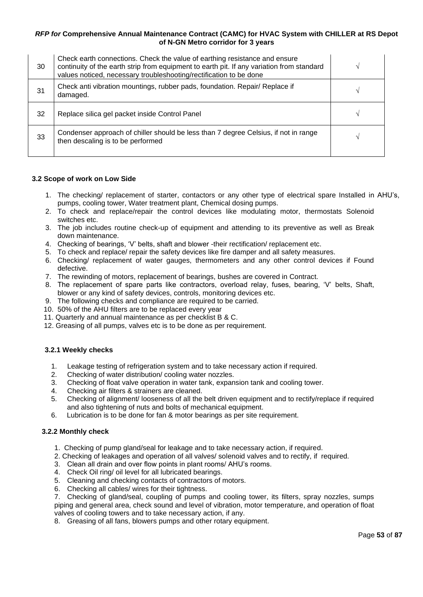| 30 | Check earth connections. Check the value of earthing resistance and ensure<br>continuity of the earth strip from equipment to earth pit. If any variation from standard<br>values noticed, necessary troubleshooting/rectification to be done |  |
|----|-----------------------------------------------------------------------------------------------------------------------------------------------------------------------------------------------------------------------------------------------|--|
| 31 | Check anti vibration mountings, rubber pads, foundation. Repair/ Replace if<br>damaged.                                                                                                                                                       |  |
| 32 | Replace silica gel packet inside Control Panel                                                                                                                                                                                                |  |
| 33 | Condenser approach of chiller should be less than 7 degree Celsius, if not in range<br>then descaling is to be performed                                                                                                                      |  |

#### **3.2 Scope of work on Low Side**

- 1. The checking/ replacement of starter, contactors or any other type of electrical spare Installed in AHU's, pumps, cooling tower, Water treatment plant, Chemical dosing pumps.
- 2. To check and replace/repair the control devices like modulating motor, thermostats Solenoid switches etc.
- 3. The job includes routine check-up of equipment and attending to its preventive as well as Break down maintenance.
- 4. Checking of bearings, 'V' belts, shaft and blower -their rectification/ replacement etc.
- 5. To check and replace/ repair the safety devices like fire damper and all safety measures.
- 6. Checking/ replacement of water gauges, thermometers and any other control devices if Found defective.
- 7. The rewinding of motors, replacement of bearings, bushes are covered in Contract.
- 8. The replacement of spare parts like contractors, overload relay, fuses, bearing, 'V' belts, Shaft, blower or any kind of safety devices, controls, monitoring devices etc.
- 9. The following checks and compliance are required to be carried.
- 10. 50% of the AHU filters are to be replaced every year
- 11. Quarterly and annual maintenance as per checklist B & C.
- 12. Greasing of all pumps, valves etc is to be done as per requirement.

### **3.2.1 Weekly checks**

- 1. Leakage testing of refrigeration system and to take necessary action if required.
- 2. Checking of water distribution/ cooling water nozzles.
- 3. Checking of float valve operation in water tank, expansion tank and cooling tower.
- 4. Checking air filters & strainers are cleaned.
- 5. Checking of alignment/ looseness of all the belt driven equipment and to rectify/replace if required and also tightening of nuts and bolts of mechanical equipment.
- 6. Lubrication is to be done for fan & motor bearings as per site requirement.

#### **3.2.2 Monthly check**

- 1. Checking of pump gland/seal for leakage and to take necessary action, if required.
- 2. Checking of leakages and operation of all valves/ solenoid valves and to rectify, if required.
- 3. Clean all drain and over flow points in plant rooms/ AHU's rooms.
- 4. Check Oil ring/ oil level for all lubricated bearings.
- 5. Cleaning and checking contacts of contractors of motors.
- 6. Checking all cables/ wires for their tightness.

7. Checking of gland/seal, coupling of pumps and cooling tower, its filters, spray nozzles, sumps piping and general area, check sound and level of vibration, motor temperature, and operation of float valves of cooling towers and to take necessary action, if any.

8. Greasing of all fans, blowers pumps and other rotary equipment.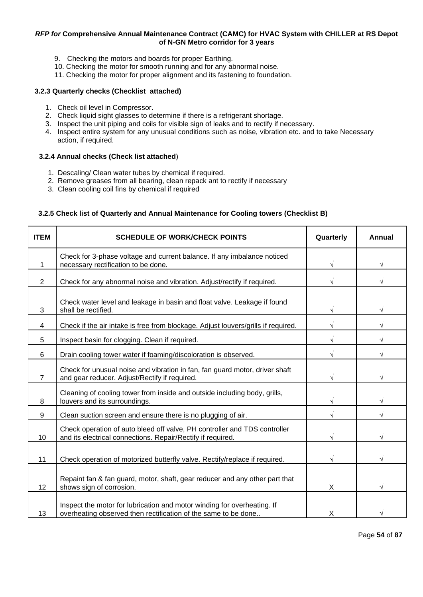- 9. Checking the motors and boards for proper Earthing.
- 10. Checking the motor for smooth running and for any abnormal noise.
- 11. Checking the motor for proper alignment and its fastening to foundation.

#### **3.2.3 Quarterly checks (Checklist attached)**

- 1. Check oil level in Compressor.
- 2. Check liquid sight glasses to determine if there is a refrigerant shortage.
- 3. Inspect the unit piping and coils for visible sign of leaks and to rectify if necessary.
- 4. Inspect entire system for any unusual conditions such as noise, vibration etc. and to take Necessary action, if required.

#### **3.2.4 Annual checks (Check list attached**)

- 1. Descaling/ Clean water tubes by chemical if required.
- 2. Remove greases from all bearing, clean repack ant to rectify if necessary
- 3. Clean cooling coil fins by chemical if required

### **3.2.5 Check list of Quarterly and Annual Maintenance for Cooling towers (Checklist B)**

| <b>ITEM</b>    | <b>SCHEDULE OF WORK/CHECK POINTS</b>                                                                                                      | Quarterly | Annual |
|----------------|-------------------------------------------------------------------------------------------------------------------------------------------|-----------|--------|
|                | Check for 3-phase voltage and current balance. If any imbalance noticed<br>necessary rectification to be done.                            |           |        |
| $\overline{2}$ | Check for any abnormal noise and vibration. Adjust/rectify if required.                                                                   |           |        |
| 3              | Check water level and leakage in basin and float valve. Leakage if found<br>shall be rectified.                                           |           |        |
| 4              | Check if the air intake is free from blockage. Adjust louvers/grills if required.                                                         |           |        |
| 5              | Inspect basin for clogging. Clean if required.                                                                                            |           |        |
| 6              | Drain cooling tower water if foaming/discoloration is observed.                                                                           |           |        |
| $\overline{7}$ | Check for unusual noise and vibration in fan, fan guard motor, driver shaft<br>and gear reducer. Adjust/Rectify if required.              |           |        |
| 8              | Cleaning of cooling tower from inside and outside including body, grills,<br>louvers and its surroundings.                                |           |        |
| 9              | Clean suction screen and ensure there is no plugging of air.                                                                              |           |        |
| 10             | Check operation of auto bleed off valve, PH controller and TDS controller<br>and its electrical connections. Repair/Rectify if required.  |           |        |
| 11             | Check operation of motorized butterfly valve. Rectify/replace if required.                                                                |           |        |
| 12             | Repaint fan & fan guard, motor, shaft, gear reducer and any other part that<br>shows sign of corrosion.                                   | X         |        |
| 13             | Inspect the motor for lubrication and motor winding for overheating. If<br>overheating observed then rectification of the same to be done | X         |        |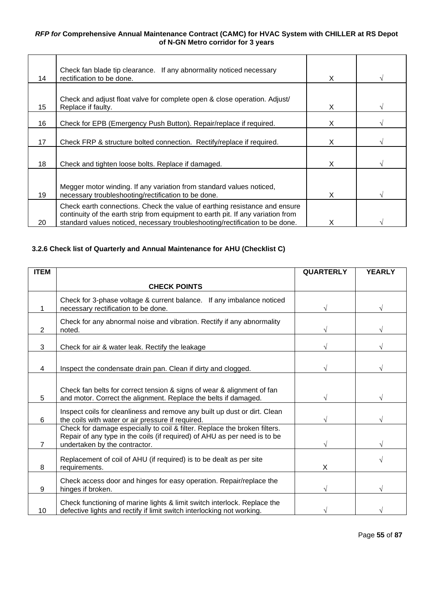| 14 | Check fan blade tip clearance. If any abnormality noticed necessary<br>rectification to be done.                                                                                                                                               | X |  |
|----|------------------------------------------------------------------------------------------------------------------------------------------------------------------------------------------------------------------------------------------------|---|--|
| 15 | Check and adjust float valve for complete open & close operation. Adjust/<br>Replace if faulty.                                                                                                                                                | X |  |
| 16 | Check for EPB (Emergency Push Button). Repair/replace if required.                                                                                                                                                                             | X |  |
| 17 | Check FRP & structure bolted connection. Rectify/replace if required.                                                                                                                                                                          | X |  |
| 18 | Check and tighten loose bolts. Replace if damaged.                                                                                                                                                                                             | X |  |
| 19 | Megger motor winding. If any variation from standard values noticed,<br>necessary troubleshooting/rectification to be done.                                                                                                                    | X |  |
| 20 | Check earth connections. Check the value of earthing resistance and ensure<br>continuity of the earth strip from equipment to earth pit. If any variation from<br>standard values noticed, necessary troubleshooting/rectification to be done. |   |  |

# **3.2.6 Check list of Quarterly and Annual Maintenance for AHU (Checklist C)**

| <b>ITEM</b> |                                                                                                                                                                                         | <b>QUARTERLY</b> | <b>YEARLY</b> |
|-------------|-----------------------------------------------------------------------------------------------------------------------------------------------------------------------------------------|------------------|---------------|
|             | <b>CHECK POINTS</b>                                                                                                                                                                     |                  |               |
|             | Check for 3-phase voltage & current balance. If any imbalance noticed<br>necessary rectification to be done.                                                                            |                  |               |
| 2           | Check for any abnormal noise and vibration. Rectify if any abnormality<br>noted.                                                                                                        |                  |               |
| 3           | Check for air & water leak. Rectify the leakage                                                                                                                                         |                  |               |
| 4           | Inspect the condensate drain pan. Clean if dirty and clogged.                                                                                                                           |                  |               |
| 5           | Check fan belts for correct tension & signs of wear & alignment of fan<br>and motor. Correct the alignment. Replace the belts if damaged.                                               |                  |               |
| 6           | Inspect coils for cleanliness and remove any built up dust or dirt. Clean<br>the coils with water or air pressure if required.                                                          |                  |               |
| 7           | Check for damage especially to coil & filter. Replace the broken filters.<br>Repair of any type in the coils (if required) of AHU as per need is to be<br>undertaken by the contractor. |                  |               |
| 8           | Replacement of coil of AHU (if required) is to be dealt as per site<br>requirements.                                                                                                    | X                |               |
| 9           | Check access door and hinges for easy operation. Repair/replace the<br>hinges if broken.                                                                                                |                  |               |
| 10          | Check functioning of marine lights & limit switch interlock. Replace the<br>defective lights and rectify if limit switch interlocking not working.                                      |                  |               |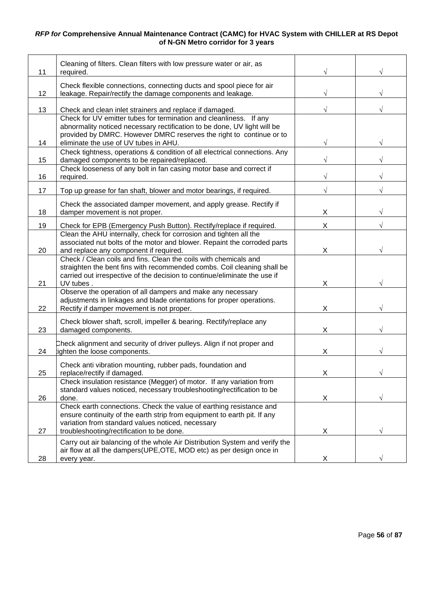| 11 | Cleaning of filters. Clean filters with low pressure water or air, as<br>required.                                                                                                                                                                             |   |  |
|----|----------------------------------------------------------------------------------------------------------------------------------------------------------------------------------------------------------------------------------------------------------------|---|--|
| 12 | Check flexible connections, connecting ducts and spool piece for air<br>leakage. Repair/rectify the damage components and leakage.                                                                                                                             |   |  |
| 13 | Check and clean inlet strainers and replace if damaged.                                                                                                                                                                                                        |   |  |
| 14 | Check for UV emitter tubes for termination and cleanliness. If any<br>abnormality noticed necessary rectification to be done, UV light will be<br>provided by DMRC. However DMRC reserves the right to continue or to<br>eliminate the use of UV tubes in AHU. |   |  |
|    | Check tightness, operations & condition of all electrical connections. Any                                                                                                                                                                                     |   |  |
| 15 | damaged components to be repaired/replaced.<br>Check looseness of any bolt in fan casing motor base and correct if                                                                                                                                             |   |  |
| 16 | required.                                                                                                                                                                                                                                                      |   |  |
| 17 | Top up grease for fan shaft, blower and motor bearings, if required.                                                                                                                                                                                           | V |  |
| 18 | Check the associated damper movement, and apply grease. Rectify if<br>damper movement is not proper.                                                                                                                                                           | Χ |  |
| 19 | Check for EPB (Emergency Push Button). Rectify/replace if required.                                                                                                                                                                                            | Χ |  |
| 20 | Clean the AHU internally, check for corrosion and tighten all the<br>associated nut bolts of the motor and blower. Repaint the corroded parts<br>and replace any component if required.                                                                        | Χ |  |
| 21 | Check / Clean coils and fins. Clean the coils with chemicals and<br>straighten the bent fins with recommended combs. Coil cleaning shall be<br>carried out irrespective of the decision to continue/eliminate the use if<br>UV tubes.                          | Χ |  |
| 22 | Observe the operation of all dampers and make any necessary<br>adjustments in linkages and blade orientations for proper operations.<br>Rectify if damper movement is not proper.                                                                              | Χ |  |
| 23 | Check blower shaft, scroll, impeller & bearing. Rectify/replace any<br>damaged components.                                                                                                                                                                     | X |  |
| 24 | Check alignment and security of driver pulleys. Align if not proper and<br>ighten the loose components.                                                                                                                                                        | Χ |  |
| 25 | Check anti vibration mounting, rubber pads, foundation and<br>replace/rectify if damaged.                                                                                                                                                                      | Y |  |
|    | Check insulation resistance (Megger) of motor. If any variation from<br>standard values noticed, necessary troubleshooting/rectification to be                                                                                                                 |   |  |
| 26 | done.<br>Check earth connections. Check the value of earthing resistance and<br>ensure continuity of the earth strip from equipment to earth pit. If any<br>variation from standard values noticed, necessary                                                  | X |  |
| 27 | troubleshooting/rectification to be done.                                                                                                                                                                                                                      | X |  |
| 28 | Carry out air balancing of the whole Air Distribution System and verify the<br>air flow at all the dampers(UPE, OTE, MOD etc) as per design once in<br>every year.                                                                                             | X |  |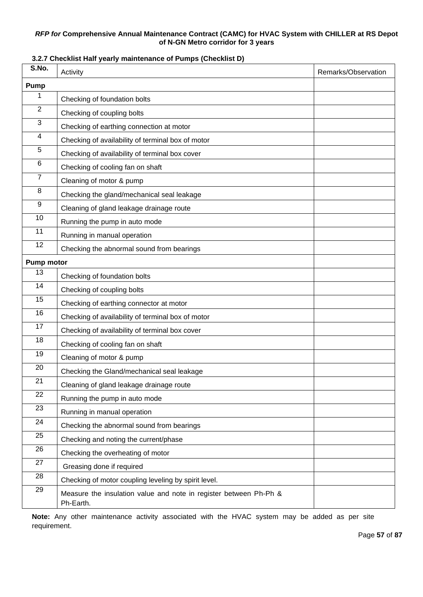# **S.No.** Activity Activity Activity Activity Activity Activity Activity Activity Activity Activity Activity Activity **Pump** 1 Checking of foundation bolts 2 Checking of coupling bolts 3 Checking of earthing connection at motor 4 Checking of availability of terminal box of motor 5 Checking of availability of terminal box cover 6 Checking of cooling fan on shaft 7 Cleaning of motor & pump 8 Checking the gland/mechanical seal leakage 9 Cleaning of gland leakage drainage route 10 Running the pump in auto mode 11 Running in manual operation 12 | Checking the abnormal sound from bearings **Pump motor** 13 | Checking of foundation bolts 14 Checking of coupling bolts 15 | Checking of earthing connector at motor 16 Checking of availability of terminal box of motor 17 Checking of availability of terminal box cover 18 | Checking of cooling fan on shaft 19 Cleaning of motor & pump 20 | Checking the Gland/mechanical seal leakage 21 Cleaning of gland leakage drainage route 22 Running the pump in auto mode 23 Running in manual operation 24 Checking the abnormal sound from bearings <sup>25</sup> Checking and noting the current/phase 26 Checking the overheating of motor 27 Greasing done if required 28 Checking of motor coupling leveling by spirit level.  $29$  Measure the insulation value and note in register between Ph-Ph & Ph-Earth.

### **3.2.7 Checklist Half yearly maintenance of Pumps (Checklist D)**

**Note:** Any other maintenance activity associated with the HVAC system may be added as per site requirement.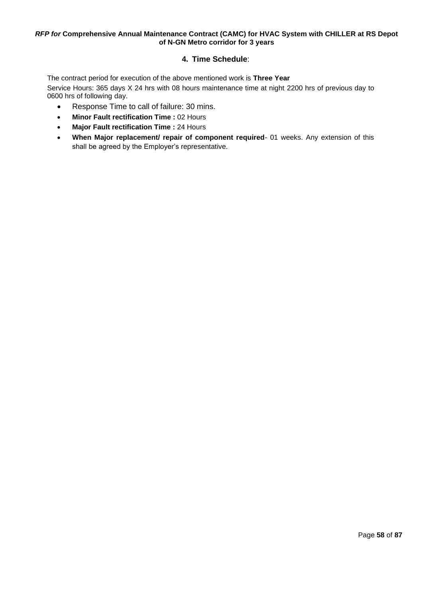# **4. Time Schedule**:

The contract period for execution of the above mentioned work is **Three Year**

Service Hours: 365 days X 24 hrs with 08 hours maintenance time at night 2200 hrs of previous day to 0600 hrs of following day.

- Response Time to call of failure: 30 mins.
- **Minor Fault rectification Time :** 02 Hours
- **Major Fault rectification Time :** 24 Hours
- **When Major replacement/ repair of component required** 01 weeks. Any extension of this shall be agreed by the Employer's representative.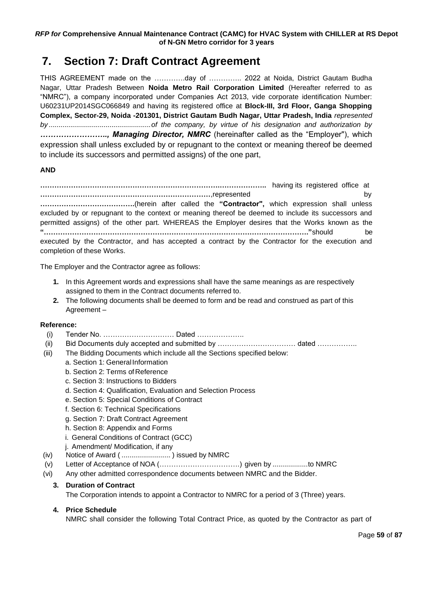# <span id="page-58-0"></span>**7. Section 7: Draft Contract Agreement**

THIS AGREEMENT made on the ………….day of ………….. 2022 at Noida, District Gautam Budha Nagar, Uttar Pradesh Between **Noida Metro Rail Corporation Limited** (Hereafter referred to as "NMRC"), a company incorporated under Companies Act 2013, vide corporate identification Number: U60231UP2014SGC066849 and having its registered office at **Block-III, 3rd Floor, Ganga Shopping Complex, Sector-29, Noida -201301, District Gautam Budh Nagar, Uttar Pradesh, India** *represented by ....................................................of the company, by virtue of his designation and authorization by …………………….., Managing Director, NMRC* (hereinafter called as the "Employer"), which expression shall unless excluded by or repugnant to the context or meaning thereof be deemed to include its successors and permitted assigns) of the one part,

# **AND**

**………………………………………………………………….………………..** having its registered office at **………………………………………………………………**,represented by **………………………………….**(herein after called the **"Contractor",** which expression shall unless excluded by or repugnant to the context or meaning thereof be deemed to include its successors and permitted assigns) of the other part. WHEREAS the Employer desires that the Works known as the **"…………………………………………………………………………………………………."**should be executed by the Contractor, and has accepted a contract by the Contractor for the execution and completion of these Works.

The Employer and the Contractor agree as follows:

- **1.** In this Agreement words and expressions shall have the same meanings as are respectively assigned to them in the Contract documents referred to.
- **2.** The following documents shall be deemed to form and be read and construed as part of this Agreement –

### **Reference:**

- (i) Tender No. ………………………… Dated ………………..
- (ii) Bid Documents duly accepted and submitted by …………………………… dated ……………..
- (iii) The Bidding Documents which include all the Sections specified below:
	- a. [Section 1: GeneralInformation](#page-6-0)
	- b. Section 2: Terms of Reference
	- c. [Section 3: Instructions](#page-9-0) to Bidders
	- d. [Section 4: Qualification, Evaluation and Selection Process](#page-19-0)
	- e. [Section 5: Special Conditions of Contract](#page-25-0)
	- f. [Section 6: Technical Specifications](#page-40-0)
	- g. [Section 7: Draft Contract Agreement](#page-58-0)
	- h. [Section 8: Appendix and Forms](#page-60-0)
	- i. General Conditions of Contract (GCC)
	- j. Amendment/ Modification, if any
- (iv) Notice of Award ( ......................... ) issued by NMRC
- (v) Letter of Acceptance of NOA (…………………………….) given by ..................to NMRC
- (vi) Any other admitted correspondence documents between NMRC and the Bidder.

### **3. Duration of Contract**

The Corporation intends to appoint a Contractor to NMRC for a period of 3 (Three) years.

### **4. Price Schedule**

NMRC shall consider the following Total Contract Price, as quoted by the Contractor as part of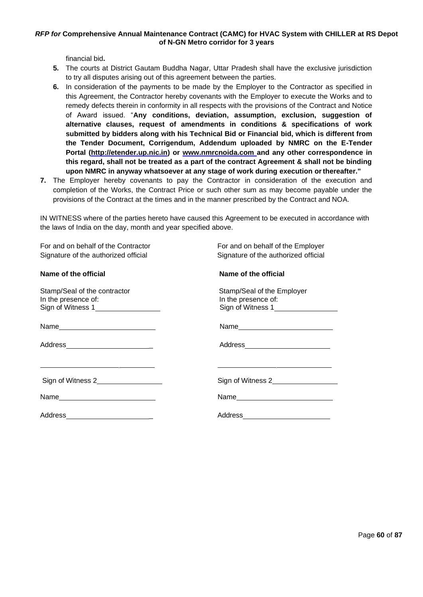financial bid**.**

- **5.** The courts at District Gautam Buddha Nagar, Uttar Pradesh shall have the exclusive jurisdiction to try all disputes arising out of this agreement between the parties.
- **6.** In consideration of the payments to be made by the Employer to the Contractor as specified in this Agreement, the Contractor hereby covenants with the Employer to execute the Works and to remedy defects therein in conformity in all respects with the provisions of the Contract and Notice of Award issued. "**Any conditions, deviation, assumption, exclusion, suggestion of alternative clauses, request of amendments in conditions & specifications of work submitted by bidders along with his Technical Bid or Financial bid, which is different from the Tender Document, Corrigendum, Addendum uploaded by NMRC on the E-Tender Portal [\(http://etender.up.nic.in\)](http://etender.up.nic.in/) or [www.nmrcnoida.com](http://www.nmrcnoida.com/) and any other correspondence in this regard, shall not be treated as a part of the contract Agreement & shall not be binding upon NMRC in anyway whatsoever at any stage of work during execution orthereafter."**
- **7.** The Employer hereby covenants to pay the Contractor in consideration of the execution and completion of the Works, the Contract Price or such other sum as may become payable under the provisions of the Contract at the times and in the manner prescribed by the Contract and NOA.

IN WITNESS where of the parties hereto have caused this Agreement to be executed in accordance with the laws of India on the day, month and year specified above.

| Name                                |
|-------------------------------------|
| Address__________________________   |
|                                     |
| Sign of Witness 2                   |
|                                     |
| Address____________________________ |
|                                     |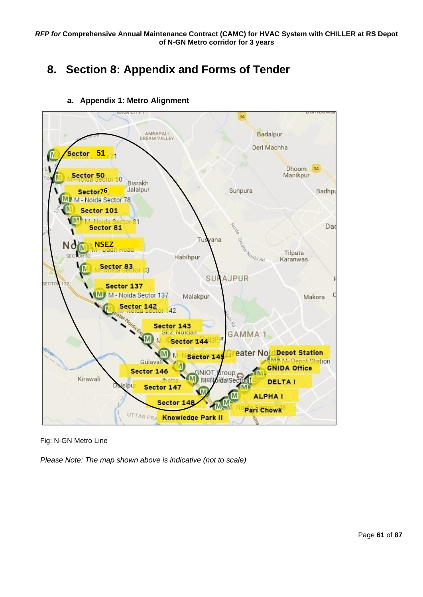# <span id="page-60-0"></span>**8. Section 8: Appendix and Forms of Tender**



**a. Appendix 1: Metro Alignment**

Fig: N-GN Metro Line

*Please Note: The map shown above is indicative (not to scale)*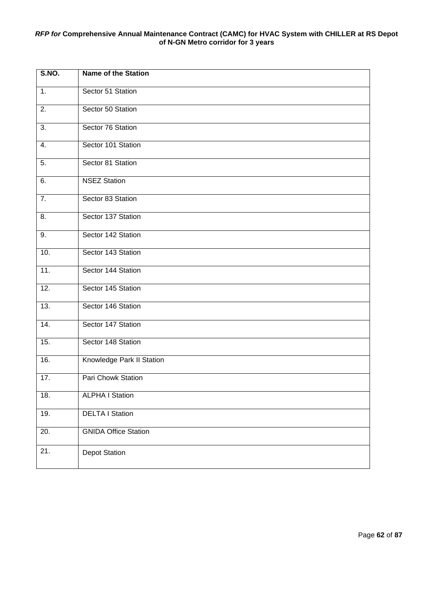| <b>S.NO.</b>     | <b>Name of the Station</b>  |
|------------------|-----------------------------|
| 1.               | Sector 51 Station           |
| 2.               | Sector 50 Station           |
| $\overline{3}$ . | Sector 76 Station           |
| 4.               | Sector 101 Station          |
| 5.               | Sector 81 Station           |
| 6.               | <b>NSEZ Station</b>         |
| 7.               | Sector 83 Station           |
| 8.               | Sector 137 Station          |
| 9.               | Sector 142 Station          |
| 10.              | Sector 143 Station          |
| 11.              | Sector 144 Station          |
| 12.              | Sector 145 Station          |
| 13.              | Sector 146 Station          |
| 14.              | Sector 147 Station          |
| 15.              | Sector 148 Station          |
| 16.              | Knowledge Park II Station   |
| 17.              | Pari Chowk Station          |
| 18.              | <b>ALPHA I Station</b>      |
| 19.              | <b>DELTA I Station</b>      |
| 20.              | <b>GNIDA Office Station</b> |
| 21.              | <b>Depot Station</b>        |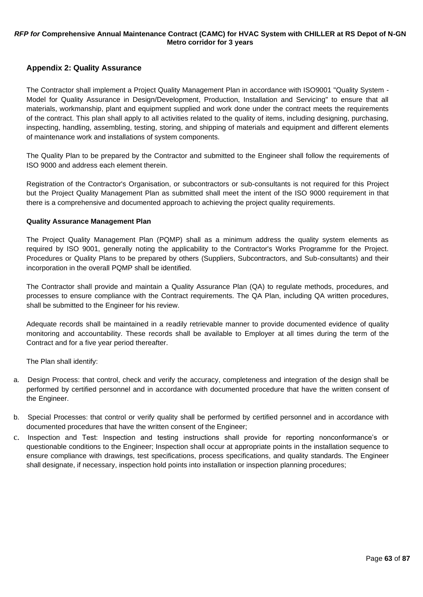# **Appendix 2: Quality Assurance**

The Contractor shall implement a Project Quality Management Plan in accordance with ISO9001 "Quality System - Model for Quality Assurance in Design/Development, Production, Installation and Servicing" to ensure that all materials, workmanship, plant and equipment supplied and work done under the contract meets the requirements of the contract. This plan shall apply to all activities related to the quality of items, including designing, purchasing, inspecting, handling, assembling, testing, storing, and shipping of materials and equipment and different elements of maintenance work and installations of system components.

The Quality Plan to be prepared by the Contractor and submitted to the Engineer shall follow the requirements of ISO 9000 and address each element therein.

Registration of the Contractor's Organisation, or subcontractors or sub-consultants is not required for this Project but the Project Quality Management Plan as submitted shall meet the intent of the ISO 9000 requirement in that there is a comprehensive and documented approach to achieving the project quality requirements.

#### **Quality Assurance Management Plan**

The Project Quality Management Plan (PQMP) shall as a minimum address the quality system elements as required by ISO 9001, generally noting the applicability to the Contractor's Works Programme for the Project. Procedures or Quality Plans to be prepared by others (Suppliers, Subcontractors, and Sub-consultants) and their incorporation in the overall PQMP shall be identified.

The Contractor shall provide and maintain a Quality Assurance Plan (QA) to regulate methods, procedures, and processes to ensure compliance with the Contract requirements. The QA Plan, including QA written procedures, shall be submitted to the Engineer for his review.

Adequate records shall be maintained in a readily retrievable manner to provide documented evidence of quality monitoring and accountability. These records shall be available to Employer at all times during the term of the Contract and for a five year period thereafter.

The Plan shall identify:

- a. Design Process: that control, check and verify the accuracy, completeness and integration of the design shall be performed by certified personnel and in accordance with documented procedure that have the written consent of the Engineer.
- b. Special Processes: that control or verify quality shall be performed by certified personnel and in accordance with documented procedures that have the written consent of the Engineer;
- c. Inspection and Test: Inspection and testing instructions shall provide for reporting nonconformance's or questionable conditions to the Engineer; Inspection shall occur at appropriate points in the installation sequence to ensure compliance with drawings, test specifications, process specifications, and quality standards. The Engineer shall designate, if necessary, inspection hold points into installation or inspection planning procedures;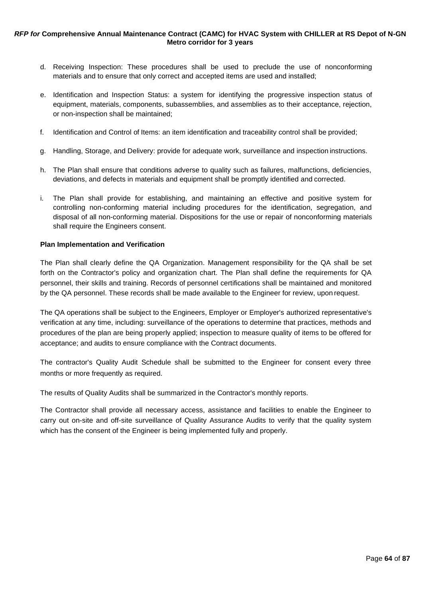- d. Receiving Inspection: These procedures shall be used to preclude the use of nonconforming materials and to ensure that only correct and accepted items are used and installed;
- e. Identification and Inspection Status: a system for identifying the progressive inspection status of equipment, materials, components, subassemblies, and assemblies as to their acceptance, rejection, or non-inspection shall be maintained;
- f. Identification and Control of Items: an item identification and traceability control shall be provided;
- g. Handling, Storage, and Delivery: provide for adequate work, surveillance and inspection instructions.
- h. The Plan shall ensure that conditions adverse to quality such as failures, malfunctions, deficiencies, deviations, and defects in materials and equipment shall be promptly identified and corrected.
- i. The Plan shall provide for establishing, and maintaining an effective and positive system for controlling non-conforming material including procedures for the identification, segregation, and disposal of all non-conforming material. Dispositions for the use or repair of nonconforming materials shall require the Engineers consent.

#### **Plan Implementation and Verification**

The Plan shall clearly define the QA Organization. Management responsibility for the QA shall be set forth on the Contractor's policy and organization chart. The Plan shall define the requirements for QA personnel, their skills and training. Records of personnel certifications shall be maintained and monitored by the QA personnel. These records shall be made available to the Engineer for review, upon request.

The QA operations shall be subject to the Engineers, Employer or Employer's authorized representative's verification at any time, including: surveillance of the operations to determine that practices, methods and procedures of the plan are being properly applied; inspection to measure quality of items to be offered for acceptance; and audits to ensure compliance with the Contract documents.

The contractor's Quality Audit Schedule shall be submitted to the Engineer for consent every three months or more frequently as required.

The results of Quality Audits shall be summarized in the Contractor's monthly reports.

The Contractor shall provide all necessary access, assistance and facilities to enable the Engineer to carry out on-site and off-site surveillance of Quality Assurance Audits to verify that the quality system which has the consent of the Engineer is being implemented fully and properly.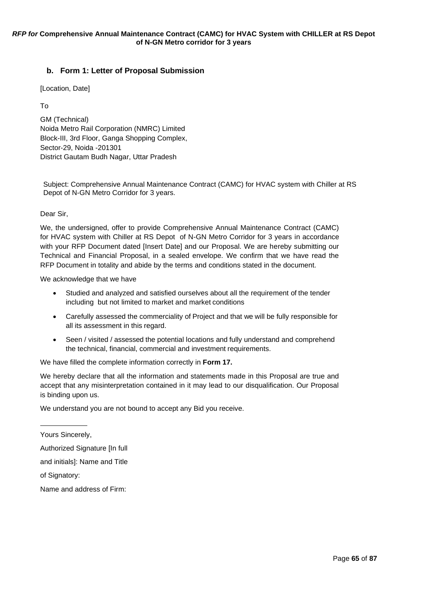# **b. Form 1: Letter of Proposal Submission**

[Location, Date]

To

GM (Technical) Noida Metro Rail Corporation (NMRC) Limited Block-III, 3rd Floor, Ganga Shopping Complex, Sector-29, Noida -201301 District Gautam Budh Nagar, Uttar Pradesh

Subject: Comprehensive Annual Maintenance Contract (CAMC) for HVAC system with Chiller at RS Depot of N-GN Metro Corridor for 3 years.

Dear Sir,

We, the undersigned, offer to provide Comprehensive Annual Maintenance Contract (CAMC) for HVAC system with Chiller at RS Depot of N-GN Metro Corridor for 3 years in accordance with your RFP Document dated [Insert Date] and our Proposal. We are hereby submitting our Technical and Financial Proposal, in a sealed envelope. We confirm that we have read the RFP Document in totality and abide by the terms and conditions stated in the document.

We acknowledge that we have

- Studied and analyzed and satisfied ourselves about all the requirement of the tender including but not limited to market and market conditions
- Carefully assessed the commerciality of Project and that we will be fully responsible for all its assessment in this regard.
- Seen / visited / assessed the potential locations and fully understand and comprehend the technical, financial, commercial and investment requirements.

We have filled the complete information correctly in **Form 17.**

We hereby declare that all the information and statements made in this Proposal are true and accept that any misinterpretation contained in it may lead to our disqualification. Our Proposal is binding upon us.

We understand you are not bound to accept any Bid you receive.

Yours Sincerely,

Authorized Signature [In full

and initials]: Name and Title

of Signatory:

Name and address of Firm: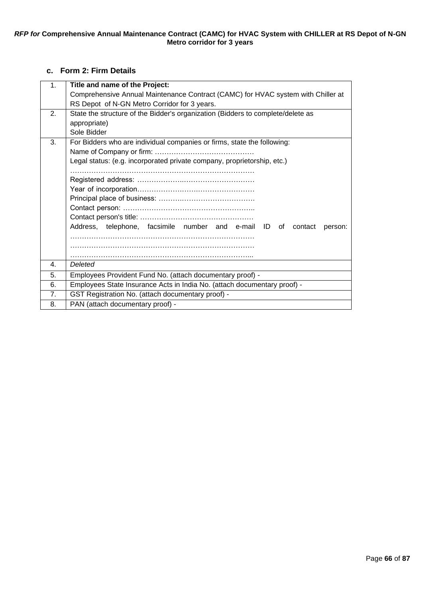# **c. Form 2: Firm Details**

| 1.             | Title and name of the Project:                                                   |
|----------------|----------------------------------------------------------------------------------|
|                | Comprehensive Annual Maintenance Contract (CAMC) for HVAC system with Chiller at |
|                | RS Depot of N-GN Metro Corridor for 3 years.                                     |
| 2 <sub>1</sub> | State the structure of the Bidder's organization (Bidders to complete/delete as  |
|                | appropriate)                                                                     |
|                | Sole Bidder                                                                      |
| 3.             | For Bidders who are individual companies or firms, state the following:          |
|                |                                                                                  |
|                | Legal status: (e.g. incorporated private company, proprietorship, etc.)          |
|                |                                                                                  |
|                |                                                                                  |
|                |                                                                                  |
|                |                                                                                  |
|                |                                                                                  |
|                |                                                                                  |
|                | Address, telephone, facsimile number and e-mail ID<br>0f<br>contact<br>person:   |
|                |                                                                                  |
|                |                                                                                  |
|                |                                                                                  |
| 4.             | Deleted                                                                          |
| 5.             | Employees Provident Fund No. (attach documentary proof) -                        |
| 6.             | Employees State Insurance Acts in India No. (attach documentary proof) -         |
| 7 <sub>1</sub> | GST Registration No. (attach documentary proof) -                                |
| 8.             | PAN (attach documentary proof) -                                                 |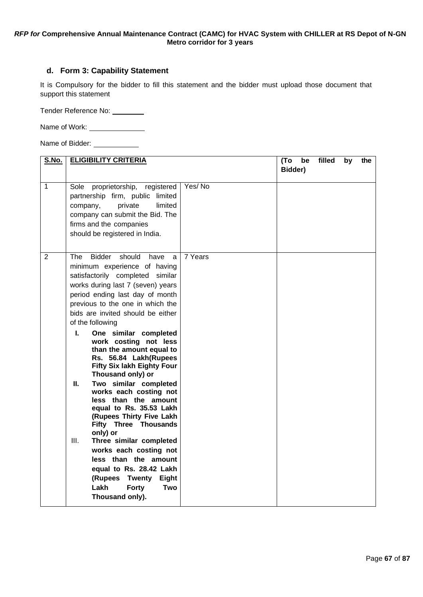# **d. Form 3: Capability Statement**

It is Compulsory for the bidder to fill this statement and the bidder must upload those document that support this statement

Tender Reference No:

Name of Work:

Name of Bidder: \_\_\_\_\_\_\_\_\_\_\_\_\_

| <u>S.No.</u>   | <b>ELIGIBILITY CRITERIA</b>                                                                                                                                                                                                                                                                                                                                                                                                                                                                                                                                                                                                                                                                                                                                                                                                                      |         | (To<br>be<br>Bidder) | filled | by | the |
|----------------|--------------------------------------------------------------------------------------------------------------------------------------------------------------------------------------------------------------------------------------------------------------------------------------------------------------------------------------------------------------------------------------------------------------------------------------------------------------------------------------------------------------------------------------------------------------------------------------------------------------------------------------------------------------------------------------------------------------------------------------------------------------------------------------------------------------------------------------------------|---------|----------------------|--------|----|-----|
| $\mathbf{1}$   | proprietorship, registered<br>Sole<br>partnership firm, public limited<br>private<br>limited<br>company,<br>company can submit the Bid. The<br>firms and the companies<br>should be registered in India.                                                                                                                                                                                                                                                                                                                                                                                                                                                                                                                                                                                                                                         | Yes/No  |                      |        |    |     |
| $\overline{2}$ | <b>Bidder</b><br>should<br>have<br>The<br>a<br>minimum experience of having<br>satisfactorily completed<br>similar<br>works during last 7 (seven) years<br>period ending last day of month<br>previous to the one in which the<br>bids are invited should be either<br>of the following<br>One similar completed<br>L.<br>work costing not less<br>than the amount equal to<br>Rs. 56.84 Lakh(Rupees<br><b>Fifty Six lakh Eighty Four</b><br>Thousand only) or<br>Two similar completed<br>Ш.<br>works each costing not<br>less than the amount<br>equal to Rs. 35.53 Lakh<br>(Rupees Thirty Five Lakh<br><b>Fifty Three Thousands</b><br>only) or<br>Ш.<br>Three similar completed<br>works each costing not<br>less than the amount<br>equal to Rs. 28.42 Lakh<br>Twenty<br>(Rupees<br>Eight<br>Lakh<br><b>Forty</b><br>Two<br>Thousand only). | 7 Years |                      |        |    |     |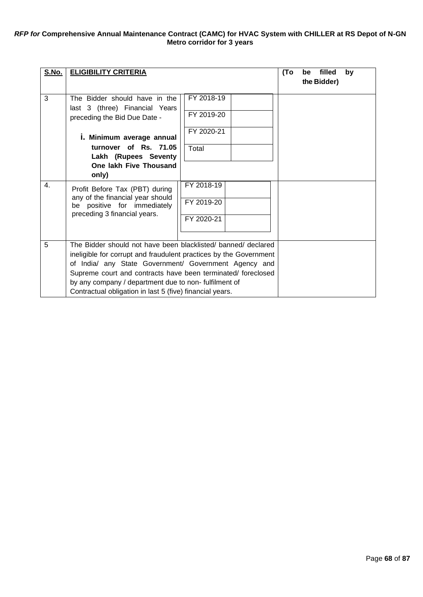| S.No. | <b>ELIGIBILITY CRITERIA</b>                                       | (To                      | filled<br>by<br>be |             |  |
|-------|-------------------------------------------------------------------|--------------------------|--------------------|-------------|--|
|       |                                                                   |                          |                    | the Bidder) |  |
| 3     | The Bidder should have in the<br>last 3 (three) Financial Years   | FY 2018-19<br>FY 2019-20 |                    |             |  |
|       | preceding the Bid Due Date -                                      |                          |                    |             |  |
|       | i. Minimum average annual                                         | FY 2020-21               |                    |             |  |
|       | turnover of Rs. 71.05                                             | Total                    |                    |             |  |
|       | Lakh (Rupees Seventy<br>One lakh Five Thousand                    |                          |                    |             |  |
|       | only)                                                             |                          |                    |             |  |
| 4.    | Profit Before Tax (PBT) during                                    | FY 2018-19               |                    |             |  |
|       | any of the financial year should<br>be positive for immediately   | FY 2019-20               |                    |             |  |
|       | preceding 3 financial years.                                      | FY 2020-21               |                    |             |  |
|       |                                                                   |                          |                    |             |  |
| 5     | The Bidder should not have been blacklisted/ banned/ declared     |                          |                    |             |  |
|       | ineligible for corrupt and fraudulent practices by the Government |                          |                    |             |  |
|       | of India/ any State Government/ Government Agency and             |                          |                    |             |  |
|       | Supreme court and contracts have been terminated/ foreclosed      |                          |                    |             |  |
|       | by any company / department due to non-fulfilment of              |                          |                    |             |  |
|       | Contractual obligation in last 5 (five) financial years.          |                          |                    |             |  |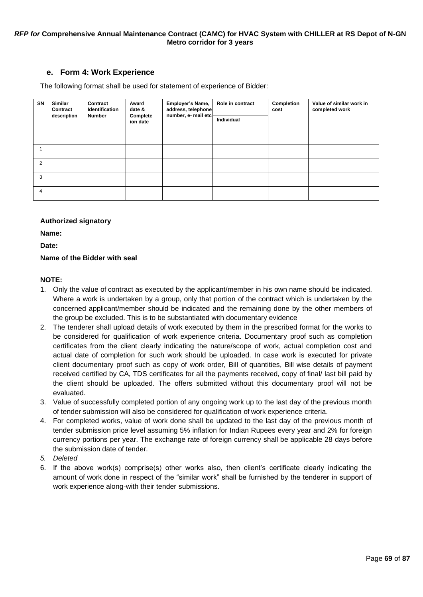## **e. Form 4: Work Experience**

The following format shall be used for statement of experience of Bidder:

| SN             | Similar<br>Contract<br>description | Contract<br>Identification<br><b>Number</b> | Award<br>date &<br>Complete<br>ion date | Employer's Name,<br>address, telephone<br>number, e- mail etc- | Role in contract<br>Individual | Completion<br>cost | Value of similar work in<br>completed work |
|----------------|------------------------------------|---------------------------------------------|-----------------------------------------|----------------------------------------------------------------|--------------------------------|--------------------|--------------------------------------------|
|                |                                    |                                             |                                         |                                                                |                                |                    |                                            |
| $\overline{2}$ |                                    |                                             |                                         |                                                                |                                |                    |                                            |
| 3              |                                    |                                             |                                         |                                                                |                                |                    |                                            |
| $\overline{4}$ |                                    |                                             |                                         |                                                                |                                |                    |                                            |

#### **Authorized signatory**

**Name:**

**Date:**

# **Name of the Bidder with seal**

#### **NOTE:**

- 1. Only the value of contract as executed by the applicant/member in his own name should be indicated. Where a work is undertaken by a group, only that portion of the contract which is undertaken by the concerned applicant/member should be indicated and the remaining done by the other members of the group be excluded. This is to be substantiated with documentary evidence
- 2. The tenderer shall upload details of work executed by them in the prescribed format for the works to be considered for qualification of work experience criteria. Documentary proof such as completion certificates from the client clearly indicating the nature/scope of work, actual completion cost and actual date of completion for such work should be uploaded. In case work is executed for private client documentary proof such as copy of work order, Bill of quantities, Bill wise details of payment received certified by CA, TDS certificates for all the payments received, copy of final/ last bill paid by the client should be uploaded. The offers submitted without this documentary proof will not be evaluated.
- 3. Value of successfully completed portion of any ongoing work up to the last day of the previous month of tender submission will also be considered for qualification of work experience criteria.
- 4. For completed works, value of work done shall be updated to the last day of the previous month of tender submission price level assuming 5% inflation for Indian Rupees every year and 2% for foreign currency portions per year. The exchange rate of foreign currency shall be applicable 28 days before the submission date of tender.
- *5. Deleted*
- 6. If the above work(s) comprise(s) other works also, then client's certificate clearly indicating the amount of work done in respect of the "similar work" shall be furnished by the tenderer in support of work experience along-with their tender submissions.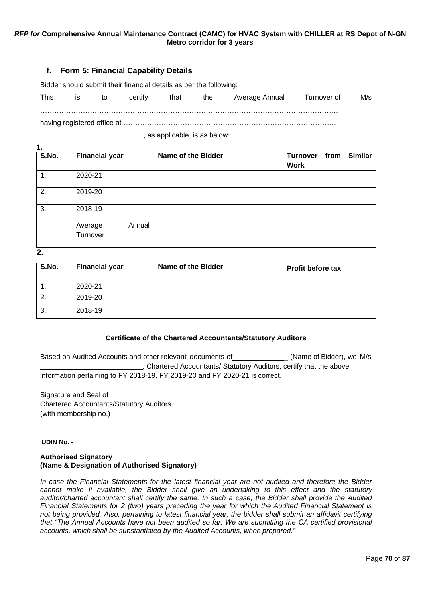## **f. Form 5: Financial Capability Details**

Bidder should submit their financial details as per the following:

| <b>This</b> | İS | to | certify | that | the | Average Annual | Turnover of | M/s |
|-------------|----|----|---------|------|-----|----------------|-------------|-----|
|             |    |    |         |      |     |                |             |     |

…………………………………….., as applicable, is as below:

| S.No.          | <b>Financial year</b>         | Name of the Bidder | <b>Turnover</b><br><b>Work</b> | from | <b>Similar</b> |
|----------------|-------------------------------|--------------------|--------------------------------|------|----------------|
| $\mathbf{1}$ . | 2020-21                       |                    |                                |      |                |
| 2.             | 2019-20                       |                    |                                |      |                |
| 3.             | 2018-19                       |                    |                                |      |                |
|                | Annual<br>Average<br>Turnover |                    |                                |      |                |

**2.**

**1.**

| S.No. | <b>Financial year</b> | Name of the Bidder | <b>Profit before tax</b> |
|-------|-----------------------|--------------------|--------------------------|
|       | 2020-21               |                    |                          |
| -2.   | 2019-20               |                    |                          |
| - 3.  | 2018-19               |                    |                          |

#### **Certificate of the Chartered Accountants/Statutory Auditors**

Based on Audited Accounts and other relevant documents of \_\_\_\_\_\_\_\_\_\_\_\_\_\_\_(Name of Bidder), we M/s , Chartered Accountants/ Statutory Auditors, certify that the above information pertaining to FY 2018-19, FY 2019-20 and FY 2020-21 is correct.

Signature and Seal of Chartered Accountants/Statutory Auditors (with membership no.)

**UDIN No. -**

#### **Authorised Signatory (Name & Designation of Authorised Signatory)**

*In case the Financial Statements for the latest financial year are not audited and therefore the Bidder cannot make it available, the Bidder shall give an undertaking to this effect and the statutory auditor/charted accountant shall certify the same. In such a case, the Bidder shall provide the Audited Financial Statements for 2 (two) years preceding the year for which the Audited Financial Statement is not being provided. Also, pertaining to latest financial year, the bidder shall submit an affidavit certifying that "The Annual Accounts have not been audited so far. We are submitting the CA certified provisional accounts, which shall be substantiated by the Audited Accounts, when prepared."*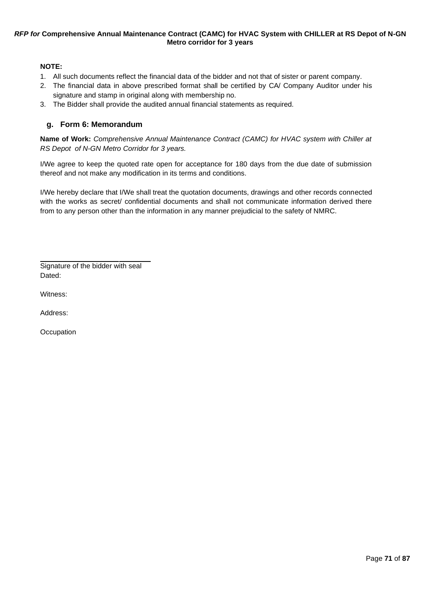## **NOTE:**

- 1. All such documents reflect the financial data of the bidder and not that of sister or parent company.
- 2. The financial data in above prescribed format shall be certified by CA/ Company Auditor under his signature and stamp in original along with membership no.
- 3. The Bidder shall provide the audited annual financial statements as required.

# **g. Form 6: Memorandum**

**Name of Work:** *Comprehensive Annual Maintenance Contract (CAMC) for HVAC system with Chiller at RS Depot of N-GN Metro Corridor for 3 years.*

I/We agree to keep the quoted rate open for acceptance for 180 days from the due date of submission thereof and not make any modification in its terms and conditions.

I/We hereby declare that I/We shall treat the quotation documents, drawings and other records connected with the works as secret/ confidential documents and shall not communicate information derived there from to any person other than the information in any manner prejudicial to the safety of NMRC.

Signature of the bidder with seal Dated:

Witness:

Address:

**Occupation**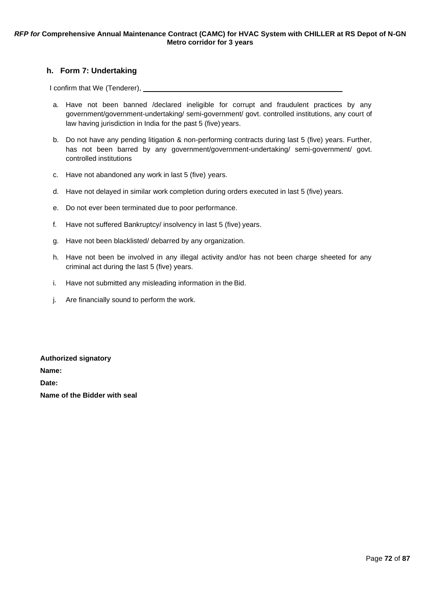# **h. Form 7: Undertaking**

I confirm that We (Tenderer),

- a. Have not been banned /declared ineligible for corrupt and fraudulent practices by any government/government-undertaking/ semi-government/ govt. controlled institutions, any court of law having jurisdiction in India for the past 5 (five) years.
- b. Do not have any pending litigation & non-performing contracts during last 5 (five) years. Further, has not been barred by any government/government-undertaking/ semi-government/ govt. controlled institutions
- c. Have not abandoned any work in last 5 (five) years.
- d. Have not delayed in similar work completion during orders executed in last 5 (five) years.
- e. Do not ever been terminated due to poor performance.
- f. Have not suffered Bankruptcy/ insolvency in last 5 (five) years.
- g. Have not been blacklisted/ debarred by any organization.
- h. Have not been be involved in any illegal activity and/or has not been charge sheeted for any criminal act during the last 5 (five) years.
- i. Have not submitted any misleading information in the Bid.
- j. Are financially sound to perform the work.

**Authorized signatory Name: Date: Name of the Bidder with seal**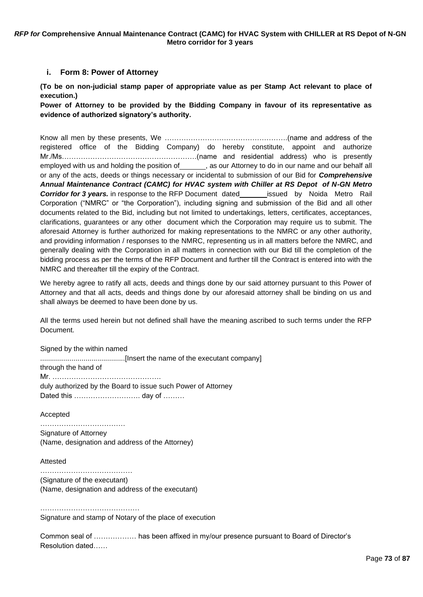### **i. Form 8: Power of Attorney**

<span id="page-72-0"></span>**(To be on non-judicial stamp paper of appropriate value as per Stamp Act relevant to place of execution.)**

**Power of Attorney to be provided by the Bidding Company in favour of its representative as evidence of authorized signatory's authority.**

Know all men by these presents, We …………………………………………….(name and address of the registered office of the Bidding Company) do hereby constitute, appoint and authorize Mr./Ms…………………………………………………(name and residential address) who is presently employed with us and holding the position of  $\qquad \qquad$ , as our Attorney to do in our name and our behalf all or any of the acts, deeds or things necessary or incidental to submission of our Bid for *Comprehensive Annual Maintenance Contract (CAMC) for HVAC system with Chiller at RS Depot of N-GN Metro*  **Corridor for 3 years.** in response to the RFP Document dated issued by Noida Metro Rail Corporation ("NMRC" or "the Corporation"), including signing and submission of the Bid and all other documents related to the Bid, including but not limited to undertakings, letters, certificates, acceptances, clarifications, guarantees or any other document which the Corporation may require us to submit. The aforesaid Attorney is further authorized for making representations to the NMRC or any other authority, and providing information / responses to the NMRC, representing us in all matters before the NMRC, and generally dealing with the Corporation in all matters in connection with our Bid till the completion of the bidding process as per the terms of the RFP Document and further till the Contract is entered into with the NMRC and thereafter till the expiry of the Contract.

We hereby agree to ratify all acts, deeds and things done by our said attorney pursuant to this Power of Attorney and that all acts, deeds and things done by our aforesaid attorney shall be binding on us and shall always be deemed to have been done by us.

All the terms used herein but not defined shall have the meaning ascribed to such terms under the RFP Document.

Signed by the within named ...........................................[Insert the name of the executant company] through the hand of Mr. ………………………………………. duly authorized by the Board to issue such Power of Attorney Dated this ………………………. day of ………

Accepted

……………………………… Signature of Attorney (Name, designation and address of the Attorney)

Attested

……………………………………………… (Signature of the executant) (Name, designation and address of the executant)

…………………………………………… Signature and stamp of Notary of the place of execution

Common seal of ……………… has been affixed in my/our presence pursuant to Board of Director's Resolution dated……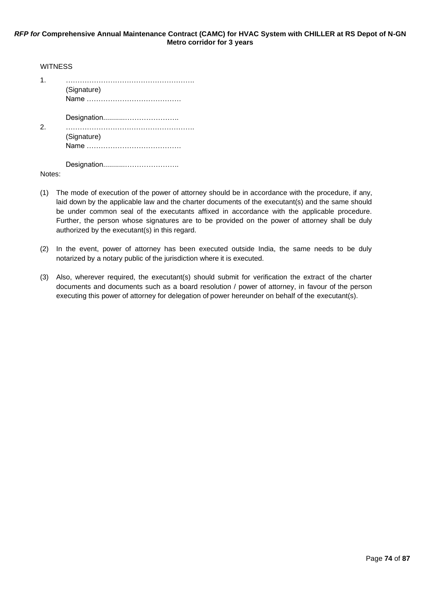| <b>WITNESS</b> |             |
|----------------|-------------|
| 1              | (Signature) |
| 2              | (Signature) |
|                |             |

Notes:

- (1) The mode of execution of the power of attorney should be in accordance with the procedure, if any, laid down by the applicable law and the charter documents of the executant(s) and the same should be under common seal of the executants affixed in accordance with the applicable procedure. Further, the person whose signatures are to be provided on the power of attorney shall be duly authorized by the executant(s) in this regard.
- (2) In the event, power of attorney has been executed outside India, the same needs to be duly notarized by a notary public of the jurisdiction where it is executed.
- (3) Also, wherever required, the executant(s) should submit for verification the extract of the charter documents and documents such as a board resolution / power of attorney, in favour of the person executing this power of attorney for delegation of power hereunder on behalf of the executant(s).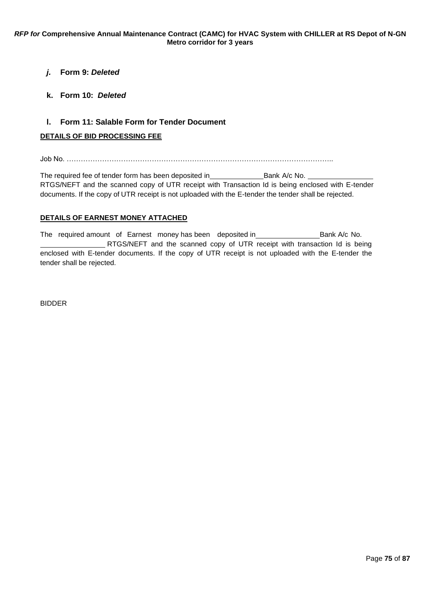# <span id="page-74-0"></span>*j.* **Form 9:** *Deleted*

### <span id="page-74-1"></span>**k. Form 10:** *Deleted*

### **l. Form 11: Salable Form for Tender Document**

### <span id="page-74-2"></span>**DETAILS OF BID PROCESSING FEE**

Job No. …………………………………………………………………………………………………..

The required fee of tender form has been deposited in Bank A/c No. RTGS/NEFT and the scanned copy of UTR receipt with Transaction Id is being enclosed with E-tender documents. If the copy of UTR receipt is not uploaded with the E-tender the tender shall be rejected.

### **DETAILS OF EARNEST MONEY ATTACHED**

The required amount of Earnest money has been deposited in Bank A/c No. RTGS/NEFT and the scanned copy of UTR receipt with transaction Id is being enclosed with E-tender documents. If the copy of UTR receipt is not uploaded with the E-tender the tender shall be rejected.

BIDDER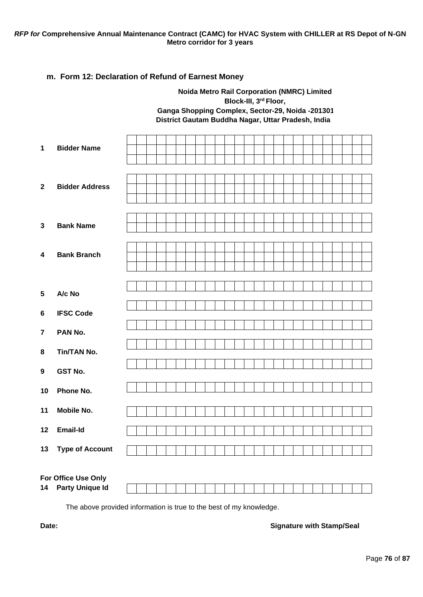**Noida Metro Rail Corporation (NMRC) Limited**

### <span id="page-75-0"></span>**m. Form 12: Declaration of Refund of Earnest Money**

**Block-III, 3rd Floor, Ganga Shopping Complex, Sector-29, Noida -201301, District Gautam Buddha Nagar, Uttar Pradesh, India 1 Bidder Name 2 Bidder Address 3 Bank Name 4 Bank Branch 5 A/c No 6 IFSC Code 7 PAN No. 8 Tin/TAN No. 9 GST No. 10 Phone No. 11 Mobile No. 12 Email-Id 13 Type of Account For Office Use Only 14 Party Unique Id**

The above provided information is true to the best of my knowledge.

### **Date: Signature with Stamp/Seal**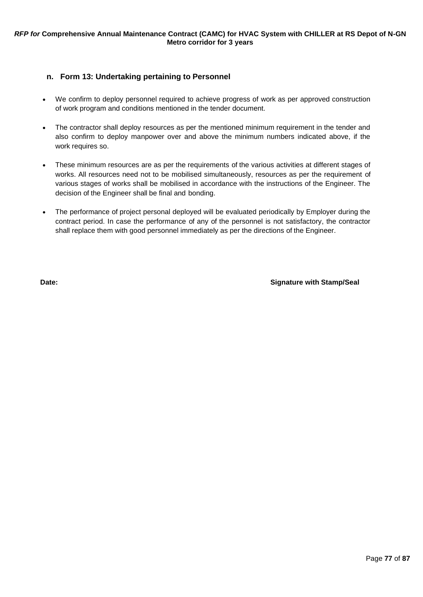### <span id="page-76-0"></span>**n. Form 13: Undertaking pertaining to Personnel**

- We confirm to deploy personnel required to achieve progress of work as per approved construction of work program and conditions mentioned in the tender document.
- The contractor shall deploy resources as per the mentioned minimum requirement in the tender and also confirm to deploy manpower over and above the minimum numbers indicated above, if the work requires so.
- These minimum resources are as per the requirements of the various activities at different stages of works. All resources need not to be mobilised simultaneously, resources as per the requirement of various stages of works shall be mobilised in accordance with the instructions of the Engineer. The decision of the Engineer shall be final and bonding.
- The performance of project personal deployed will be evaluated periodically by Employer during the contract period. In case the performance of any of the personnel is not satisfactory, the contractor shall replace them with good personnel immediately as per the directions of the Engineer.

**Date: Signature with Stamp/Seal**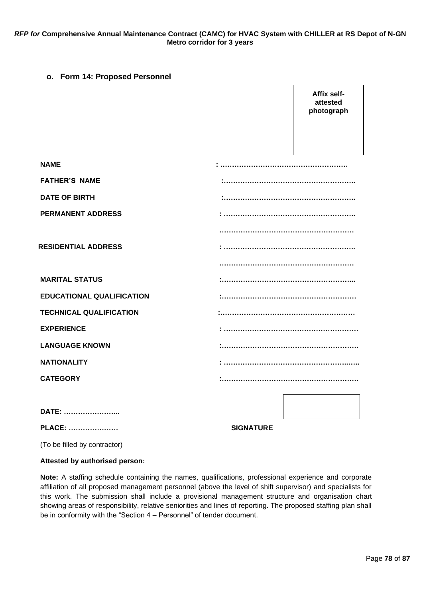### <span id="page-77-0"></span>**o. Form 14: Proposed Personnel**

**Affix selfattested photograph NAME : ……………………………………………… FATHER'S NAME :……………………………………………….. DATE OF BIRTH :……………………………………………….. PERMANENT ADDRESS : ……………………………………………….. ………………………………………………… RESIDENTIAL ADDRESS : ……………………………………………….. ………………………………………………… MARITAL STATUS :………………………………………………... EDUCATIONAL QUALIFICATION :………………………………………………… TECHNICAL QUALIFICATION :………………………………………………… EXPERIENCE : ………………………………………………… LANGUAGE KNOWN :…………………………………………………. NATIONALITY : ……………………………………………..….. CATEGORY :…………………………………………………. DATE: …………………... PLACE: ………………… SIGNATURE**

(To be filled by contractor)

#### **Attested by authorised person:**

**Note:** A staffing schedule containing the names, qualifications, professional experience and corporate affiliation of all proposed management personnel (above the level of shift supervisor) and specialists for this work. The submission shall include a provisional management structure and organisation chart showing areas of responsibility, relative seniorities and lines of reporting. The proposed staffing plan shall be in conformity with the "Section 4 – Personnel" of tender document.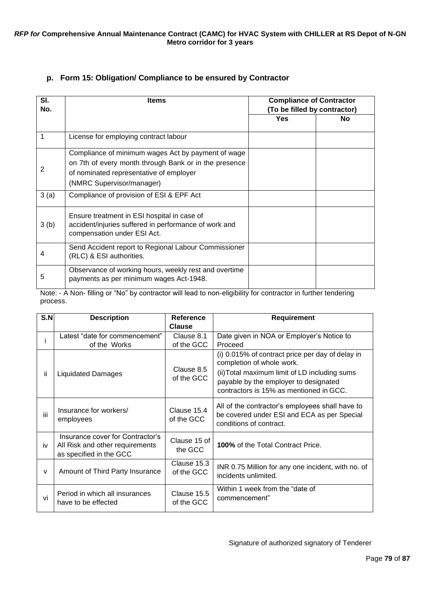## **p. Form 15: Obligation/ Compliance to be ensured by Contractor**

<span id="page-78-0"></span>

| SI.<br>No. | <b>Items</b>                                                                                                                                                                        | <b>Compliance of Contractor</b><br>(To be filled by contractor) |     |  |
|------------|-------------------------------------------------------------------------------------------------------------------------------------------------------------------------------------|-----------------------------------------------------------------|-----|--|
|            |                                                                                                                                                                                     | Yes                                                             | No. |  |
|            | License for employing contract labour                                                                                                                                               |                                                                 |     |  |
| 2          | Compliance of minimum wages Act by payment of wage<br>on 7th of every month through Bank or in the presence<br>of nominated representative of employer<br>(NMRC Supervisor/manager) |                                                                 |     |  |
| 3(a)       | Compliance of provision of ESI & EPF Act                                                                                                                                            |                                                                 |     |  |
| 3(b)       | Ensure treatment in ESI hospital in case of<br>accident/injuries suffered in performance of work and<br>compensation under ESI Act.                                                 |                                                                 |     |  |
| 4          | Send Accident report to Regional Labour Commissioner<br>(RLC) & ESI authorities.                                                                                                    |                                                                 |     |  |
| 5          | Observance of working hours, weekly rest and overtime<br>payments as per minimum wages Act-1948.                                                                                    |                                                                 |     |  |

Note: - A Non- filling or "No" by contractor will lead to non-eligibility for contractor in further tendering process.

| S.N          | <b>Description</b>                                                                             | Reference<br><b>Clause</b> | <b>Requirement</b>                                                                                                                |
|--------------|------------------------------------------------------------------------------------------------|----------------------------|-----------------------------------------------------------------------------------------------------------------------------------|
|              | Latest "date for commencement"<br>of the Works                                                 | Clause 8.1<br>of the GCC   | Date given in NOA or Employer's Notice to<br>Proceed                                                                              |
|              |                                                                                                |                            | (i) 0.015% of contract price per day of delay in<br>completion of whole work.                                                     |
| ii.          | <b>Liquidated Damages</b>                                                                      | Clause 8.5<br>of the GCC   | (ii) Total maximum limit of LD including sums<br>payable by the employer to designated<br>contractors is 15% as mentioned in GCC. |
| iii          | Insurance for workers/<br>employees                                                            | Clause 15.4<br>of the GCC  | All of the contractor's employees shall have to<br>be covered under ESI and ECA as per Special<br>conditions of contract.         |
| iv           | Insurance cover for Contractor's<br>All Risk and other requirements<br>as specified in the GCC | Clause 15 of<br>the GCC    | <b>100%</b> of the Total Contract Price.                                                                                          |
| $\mathsf{v}$ | Amount of Third Party Insurance                                                                | Clause 15.3<br>of the GCC  | INR 0.75 Million for any one incident, with no. of<br>incidents unlimited.                                                        |
| vi           | Period in which all insurances<br>have to be effected                                          | Clause 15.5<br>of the GCC  | Within 1 week from the "date of<br>commencement"                                                                                  |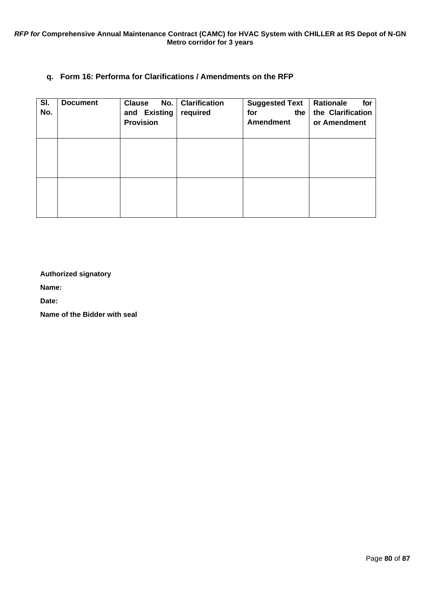# **q. Form 16: Performa for Clarifications / Amendments on the RFP**

<span id="page-79-0"></span>

| SI.<br>No. | <b>Document</b> | <b>Clause</b><br>and Existing<br><b>Provision</b> | No.   Clarification<br>required | <b>Suggested Text</b><br>for<br>the<br><b>Amendment</b> | Rationale<br>for<br>the Clarification<br>or Amendment |
|------------|-----------------|---------------------------------------------------|---------------------------------|---------------------------------------------------------|-------------------------------------------------------|
|            |                 |                                                   |                                 |                                                         |                                                       |
|            |                 |                                                   |                                 |                                                         |                                                       |

**Authorized signatory** 

**Name:**

**Date:**

**Name of the Bidder with seal**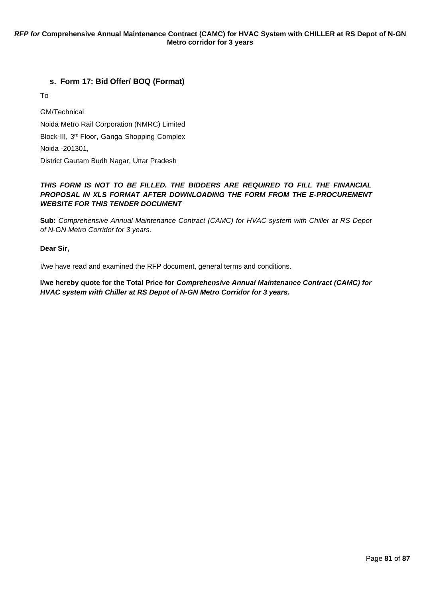# **s. Form 17: Bid Offer/ BOQ (Format)**

To

GM/Technical Noida Metro Rail Corporation (NMRC) Limited Block-III, 3rd Floor, Ganga Shopping Complex Noida -201301, District Gautam Budh Nagar, Uttar Pradesh

### *THIS FORM IS NOT TO BE FILLED. THE BIDDERS ARE REQUIRED TO FILL THE FINANCIAL PROPOSAL IN XLS FORMAT AFTER DOWNLOADING THE FORM FROM THE E-PROCUREMENT WEBSITE FOR THIS TENDER DOCUMENT*

**Sub:** *Comprehensive Annual Maintenance Contract (CAMC) for HVAC system with Chiller at RS Depot of N-GN Metro Corridor for 3 years.*

**Dear Sir,**

I/we have read and examined the RFP document, general terms and conditions.

**I/we hereby quote for the Total Price for** *Comprehensive Annual Maintenance Contract (CAMC) for HVAC system with Chiller at RS Depot of N-GN Metro Corridor for 3 years.*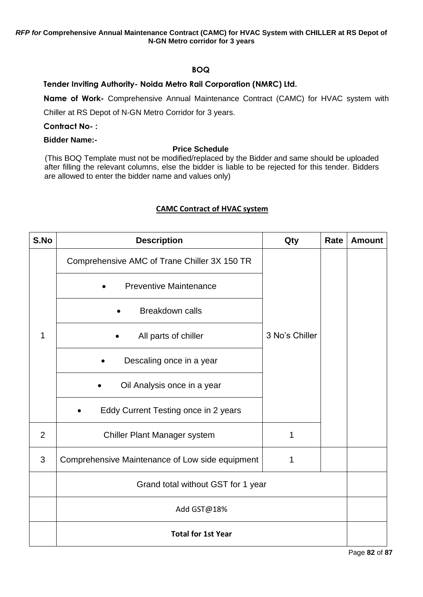# **BOQ**

# **Tender Inviting Authority- Noida Metro Rail Corporation (NMRC) Ltd.**

**Name of Work-** Comprehensive Annual Maintenance Contract (CAMC) for HVAC system with

Chiller at RS Depot of N-GN Metro Corridor for 3 years.

### **Contract No- :**

# **Bidder Name:-**

### **Price Schedule**

(This BOQ Template must not be modified/replaced by the Bidder and same should be uploaded after filling the relevant columns, else the bidder is liable to be rejected for this tender. Bidders are allowed to enter the bidder name and values only)

# **CAMC Contract of HVAC system**

| S.No | <b>Description</b>                              | Qty            | Rate | <b>Amount</b> |
|------|-------------------------------------------------|----------------|------|---------------|
|      | Comprehensive AMC of Trane Chiller 3X 150 TR    |                |      |               |
|      | <b>Preventive Maintenance</b>                   |                |      |               |
|      | <b>Breakdown calls</b>                          |                |      |               |
| 1    | All parts of chiller                            | 3 No's Chiller |      |               |
|      | Descaling once in a year                        |                |      |               |
|      | Oil Analysis once in a year                     |                |      |               |
|      | Eddy Current Testing once in 2 years            |                |      |               |
| 2    | Chiller Plant Manager system                    | 1              |      |               |
| 3    | Comprehensive Maintenance of Low side equipment | 1              |      |               |
|      | Grand total without GST for 1 year              |                |      |               |
|      | Add GST@18%                                     |                |      |               |
|      | <b>Total for 1st Year</b>                       |                |      |               |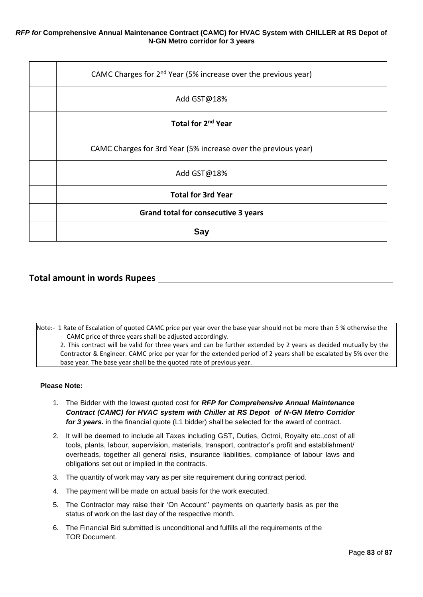| CAMC Charges for 2 <sup>nd</sup> Year (5% increase over the previous year) |  |
|----------------------------------------------------------------------------|--|
| Add GST@18%                                                                |  |
| Total for 2 <sup>nd</sup> Year                                             |  |
| CAMC Charges for 3rd Year (5% increase over the previous year)             |  |
| Add GST@18%                                                                |  |
| <b>Total for 3rd Year</b>                                                  |  |
| <b>Grand total for consecutive 3 years</b>                                 |  |
| Sav                                                                        |  |

# **Total amount in words Rupees**

Note:- 1 Rate of Escalation of quoted CAMC price per year over the base year should not be more than 5 % otherwise the CAMC price of three years shall be adjusted accordingly.

2. This contract will be valid for three years and can be further extended by 2 years as decided mutually by the Contractor & Engineer. CAMC price per year for the extended period of 2 years shall be escalated by 5% over the base year. The base year shall be the quoted rate of previous year.

#### **Please Note:**

- 1. The Bidder with the lowest quoted cost for *RFP for Comprehensive Annual Maintenance Contract (CAMC) for HVAC system with Chiller at RS Depot of N-GN Metro Corridor for 3 years.* in the financial quote (L1 bidder) shall be selected for the award of contract.
- 2. It will be deemed to include all Taxes including GST, Duties, Octroi, Royalty etc.,cost of all tools, plants, labour, supervision, materials, transport, contractor's profit and establishment/ overheads, together all general risks, insurance liabilities, compliance of labour laws and obligations set out or implied in the contracts.
- 3. The quantity of work may vary as per site requirement during contract period.
- 4. The payment will be made on actual basis for the work executed.
- 5. The Contractor may raise their 'On Account'' payments on quarterly basis as per the status of work on the last day of the respective month.
- 6. The Financial Bid submitted is unconditional and fulfills all the requirements of the TOR Document.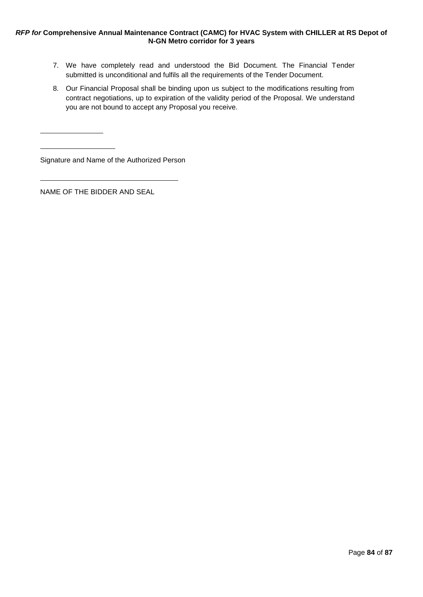- 7. We have completely read and understood the Bid Document. The Financial Tender submitted is unconditional and fulfils all the requirements of the Tender Document.
- 8. Our Financial Proposal shall be binding upon us subject to the modifications resulting from contract negotiations, up to expiration of the validity period of the Proposal. We understand you are not bound to accept any Proposal you receive.

Signature and Name of the Authorized Person

NAME OF THE BIDDER AND SEAL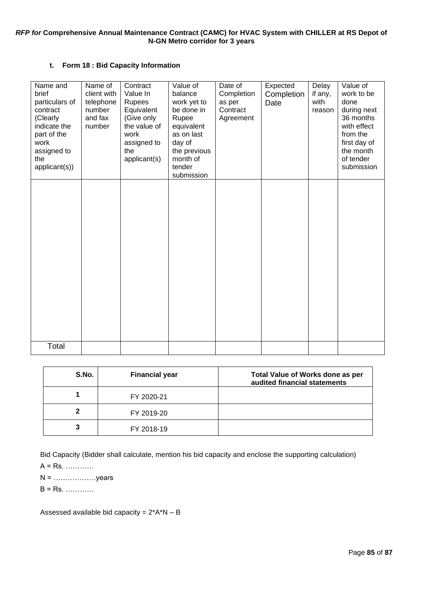### **t. Form 18 : Bid Capacity Information**

| Name and<br>brief<br>particulars of<br>contract<br>(Clearly<br>indicate the<br>part of the<br>work<br>assigned to<br>the<br>applicant(s)) | Name of<br>client with<br>telephone<br>number<br>and fax<br>number | Contract<br>Value In<br>Rupees<br>Equivalent<br>(Give only<br>the value of<br>work<br>assigned to<br>the<br>applicant(s) | Value of<br>balance<br>work yet to<br>be done in<br>Rupee<br>equivalent<br>as on last<br>day of<br>the previous<br>month of<br>tender<br>submission | Date of<br>Completion<br>as per<br>Contract<br>Agreement | Expected<br>Completion<br>Date | Delay<br>if any,<br>with<br>reason | Value of<br>work to be<br>done<br>during next<br>36 months<br>with effect<br>from the<br>first day of<br>the month<br>of tender<br>submission |
|-------------------------------------------------------------------------------------------------------------------------------------------|--------------------------------------------------------------------|--------------------------------------------------------------------------------------------------------------------------|-----------------------------------------------------------------------------------------------------------------------------------------------------|----------------------------------------------------------|--------------------------------|------------------------------------|-----------------------------------------------------------------------------------------------------------------------------------------------|
|                                                                                                                                           |                                                                    |                                                                                                                          |                                                                                                                                                     |                                                          |                                |                                    |                                                                                                                                               |
| Total                                                                                                                                     |                                                                    |                                                                                                                          |                                                                                                                                                     |                                                          |                                |                                    |                                                                                                                                               |

| S.No. | <b>Financial year</b> | <b>Total Value of Works done as per</b><br>audited financial statements |
|-------|-----------------------|-------------------------------------------------------------------------|
|       | FY 2020-21            |                                                                         |
| 2     | FY 2019-20            |                                                                         |
| 3     | FY 2018-19            |                                                                         |

Bid Capacity (Bidder shall calculate, mention his bid capacity and enclose the supporting calculation)

A = Rs. …………

N = ………………years

B = Rs. …………

Assessed available bid capacity =  $2*A*N - B$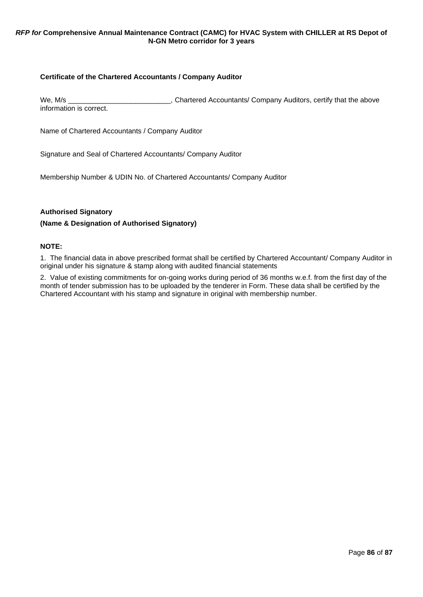### **Certificate of the Chartered Accountants / Company Auditor**

We, M/s \_\_\_\_\_\_\_\_\_\_\_\_\_\_\_\_\_\_\_\_\_\_\_\_\_\_\_\_\_, Chartered Accountants/ Company Auditors, certify that the above information is correct.

Name of Chartered Accountants / Company Auditor

Signature and Seal of Chartered Accountants/ Company Auditor

Membership Number & UDIN No. of Chartered Accountants/ Company Auditor

### **Authorised Signatory**

### **(Name & Designation of Authorised Signatory)**

### **NOTE:**

1. The financial data in above prescribed format shall be certified by Chartered Accountant/ Company Auditor in original under his signature & stamp along with audited financial statements

2. Value of existing commitments for on-going works during period of 36 months w.e.f. from the first day of the month of tender submission has to be uploaded by the tenderer in Form. These data shall be certified by the Chartered Accountant with his stamp and signature in original with membership number.